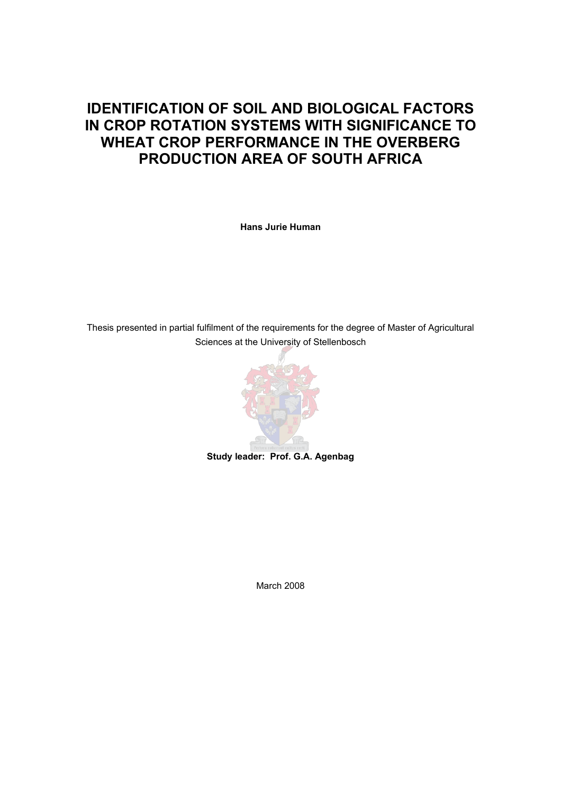# **IDENTIFICATION OF SOIL AND BIOLOGICAL FACTORS IN CROP ROTATION SYSTEMS WITH SIGNIFICANCE TO WHEAT CROP PERFORMANCE IN THE OVERBERG PRODUCTION AREA OF SOUTH AFRICA**

**Hans Jurie Human** 

Thesis presented in partial fulfilment of the requirements for the degree of Master of Agricultural Sciences at the University of Stellenbosch



**Study leader: Prof. G.A. Agenbag** 

March 2008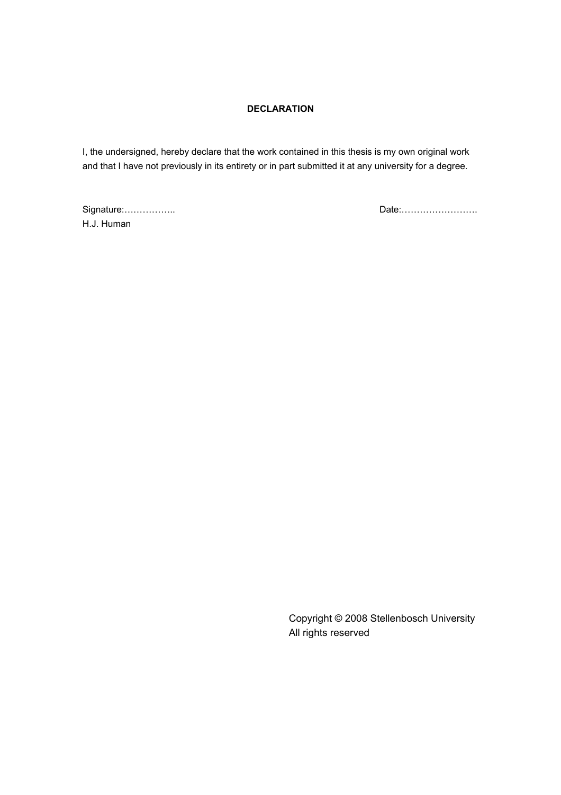# **DECLARATION**

I, the undersigned, hereby declare that the work contained in this thesis is my own original work and that I have not previously in its entirety or in part submitted it at any university for a degree.

H.J. Human

Signature:…………….. Date:…………………….

Copyright © 2008 Stellenbosch University All rights reserved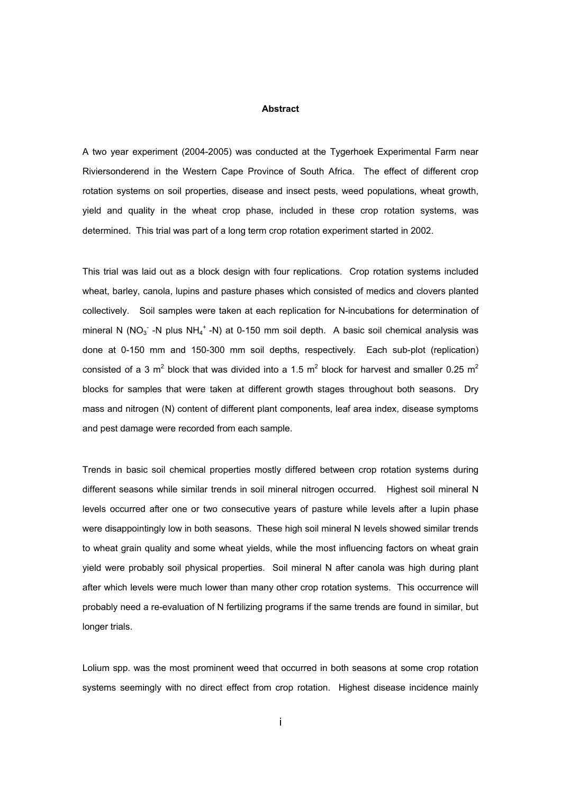#### **Abstract**

A two year experiment (2004-2005) was conducted at the Tygerhoek Experimental Farm near Riviersonderend in the Western Cape Province of South Africa. The effect of different crop rotation systems on soil properties, disease and insect pests, weed populations, wheat growth, yield and quality in the wheat crop phase, included in these crop rotation systems, was determined. This trial was part of a long term crop rotation experiment started in 2002.

This trial was laid out as a block design with four replications. Crop rotation systems included wheat, barley, canola, lupins and pasture phases which consisted of medics and clovers planted collectively. Soil samples were taken at each replication for N-incubations for determination of mineral N (NO<sub>3</sub> -N plus NH<sub>4</sub><sup>+</sup> -N) at 0-150 mm soil depth. A basic soil chemical analysis was done at 0-150 mm and 150-300 mm soil depths, respectively. Each sub-plot (replication) consisted of a 3 m<sup>2</sup> block that was divided into a 1.5 m<sup>2</sup> block for harvest and smaller 0.25 m<sup>2</sup> blocks for samples that were taken at different growth stages throughout both seasons. Dry mass and nitrogen (N) content of different plant components, leaf area index, disease symptoms and pest damage were recorded from each sample.

Trends in basic soil chemical properties mostly differed between crop rotation systems during different seasons while similar trends in soil mineral nitrogen occurred. Highest soil mineral N levels occurred after one or two consecutive years of pasture while levels after a lupin phase were disappointingly low in both seasons. These high soil mineral N levels showed similar trends to wheat grain quality and some wheat yields, while the most influencing factors on wheat grain yield were probably soil physical properties. Soil mineral N after canola was high during plant after which levels were much lower than many other crop rotation systems. This occurrence will probably need a re-evaluation of N fertilizing programs if the same trends are found in similar, but longer trials.

Lolium spp. was the most prominent weed that occurred in both seasons at some crop rotation systems seemingly with no direct effect from crop rotation. Highest disease incidence mainly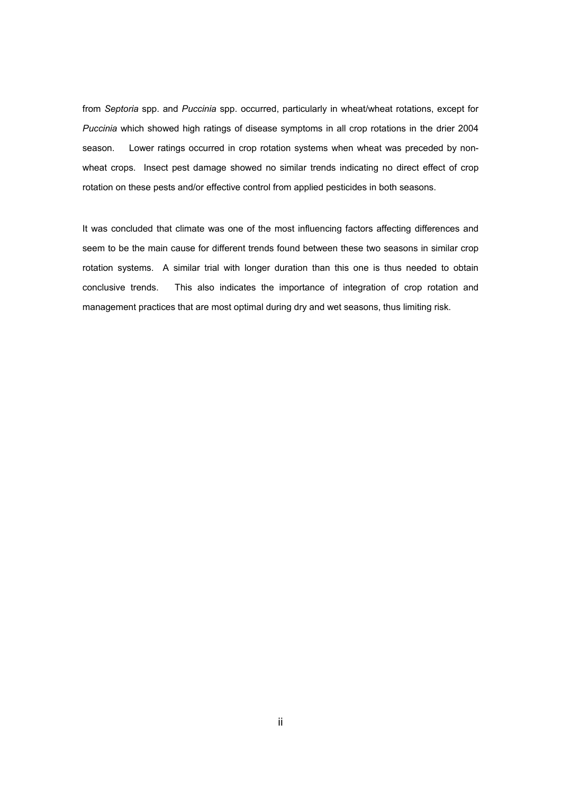from *Septoria* spp. and *Puccinia* spp. occurred, particularly in wheat/wheat rotations, except for *Puccinia* which showed high ratings of disease symptoms in all crop rotations in the drier 2004 season. Lower ratings occurred in crop rotation systems when wheat was preceded by nonwheat crops. Insect pest damage showed no similar trends indicating no direct effect of crop rotation on these pests and/or effective control from applied pesticides in both seasons.

It was concluded that climate was one of the most influencing factors affecting differences and seem to be the main cause for different trends found between these two seasons in similar crop rotation systems. A similar trial with longer duration than this one is thus needed to obtain conclusive trends. This also indicates the importance of integration of crop rotation and management practices that are most optimal during dry and wet seasons, thus limiting risk.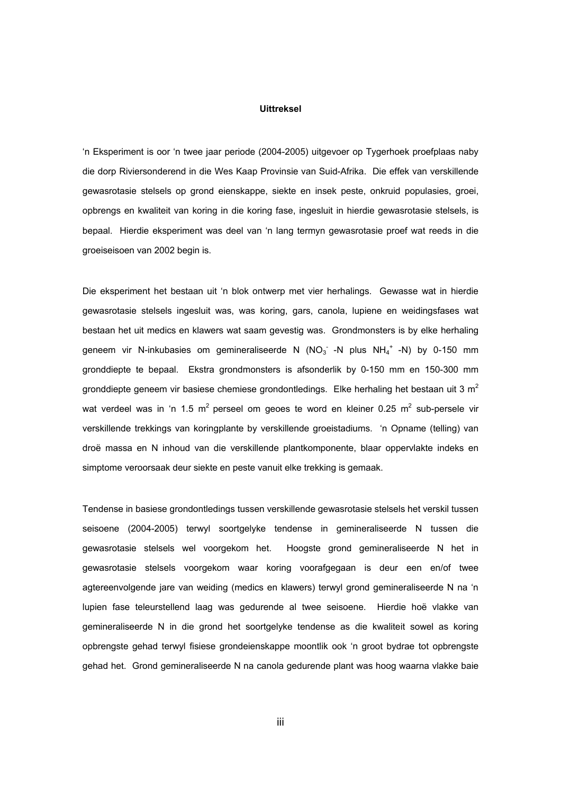## **Uittreksel**

'n Eksperiment is oor 'n twee jaar periode (2004-2005) uitgevoer op Tygerhoek proefplaas naby die dorp Riviersonderend in die Wes Kaap Provinsie van Suid-Afrika. Die effek van verskillende gewasrotasie stelsels op grond eienskappe, siekte en insek peste, onkruid populasies, groei, opbrengs en kwaliteit van koring in die koring fase, ingesluit in hierdie gewasrotasie stelsels, is bepaal. Hierdie eksperiment was deel van 'n lang termyn gewasrotasie proef wat reeds in die groeiseisoen van 2002 begin is.

Die eksperiment het bestaan uit 'n blok ontwerp met vier herhalings. Gewasse wat in hierdie gewasrotasie stelsels ingesluit was, was koring, gars, canola, lupiene en weidingsfases wat bestaan het uit medics en klawers wat saam gevestig was. Grondmonsters is by elke herhaling geneem vir N-inkubasies om gemineraliseerde N (NO<sub>3</sub> -N plus NH<sub>4</sub><sup>+</sup> -N) by 0-150 mm gronddiepte te bepaal. Ekstra grondmonsters is afsonderlik by 0-150 mm en 150-300 mm gronddiepte geneem vir basiese chemiese grondontledings. Elke herhaling het bestaan uit 3 m<sup>2</sup> wat verdeel was in 'n 1.5 m<sup>2</sup> perseel om geoes te word en kleiner 0.25 m<sup>2</sup> sub-persele vir verskillende trekkings van koringplante by verskillende groeistadiums. 'n Opname (telling) van droë massa en N inhoud van die verskillende plantkomponente, blaar oppervlakte indeks en simptome veroorsaak deur siekte en peste vanuit elke trekking is gemaak.

Tendense in basiese grondontledings tussen verskillende gewasrotasie stelsels het verskil tussen seisoene (2004-2005) terwyl soortgelyke tendense in gemineraliseerde N tussen die gewasrotasie stelsels wel voorgekom het. Hoogste grond gemineraliseerde N het in gewasrotasie stelsels voorgekom waar koring voorafgegaan is deur een en/of twee agtereenvolgende jare van weiding (medics en klawers) terwyl grond gemineraliseerde N na 'n lupien fase teleurstellend laag was gedurende al twee seisoene. Hierdie hoë vlakke van gemineraliseerde N in die grond het soortgelyke tendense as die kwaliteit sowel as koring opbrengste gehad terwyl fisiese grondeienskappe moontlik ook 'n groot bydrae tot opbrengste gehad het. Grond gemineraliseerde N na canola gedurende plant was hoog waarna vlakke baie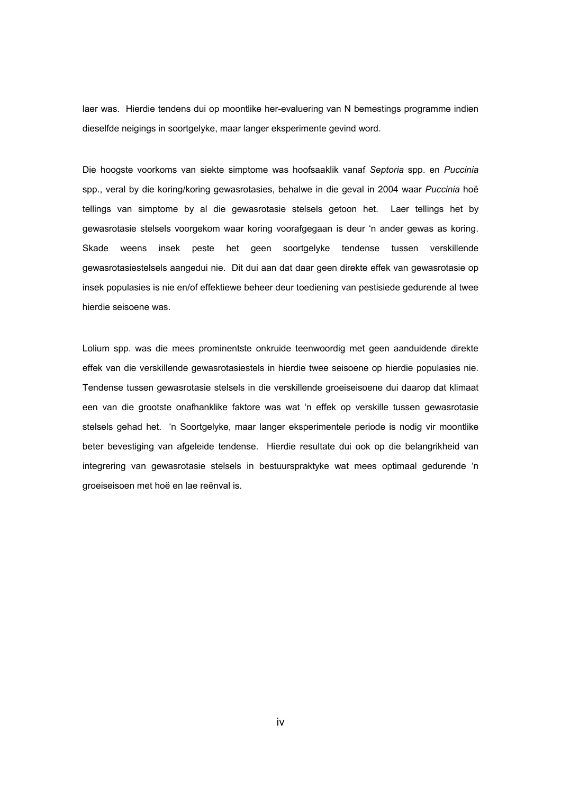laer was. Hierdie tendens dui op moontlike her-evaluering van N bemestings programme indien dieselfde neigings in soortgelyke, maar langer eksperimente gevind word.

Die hoogste voorkoms van siekte simptome was hoofsaaklik vanaf *Septoria* spp. en *Puccinia* spp., veral by die koring/koring gewasrotasies, behalwe in die geval in 2004 waar *Puccinia* hoë tellings van simptome by al die gewasrotasie stelsels getoon het. Laer tellings het by gewasrotasie stelsels voorgekom waar koring voorafgegaan is deur 'n ander gewas as koring. Skade weens insek peste het geen soortgelyke tendense tussen verskillende gewasrotasiestelsels aangedui nie. Dit dui aan dat daar geen direkte effek van gewasrotasie op insek populasies is nie en/of effektiewe beheer deur toediening van pestisiede gedurende al twee hierdie seisoene was.

Lolium spp. was die mees prominentste onkruide teenwoordig met geen aanduidende direkte effek van die verskillende gewasrotasiestels in hierdie twee seisoene op hierdie populasies nie. Tendense tussen gewasrotasie stelsels in die verskillende groeiseisoene dui daarop dat klimaat een van die grootste onafhanklike faktore was wat 'n effek op verskille tussen gewasrotasie stelsels gehad het. 'n Soortgelyke, maar langer eksperimentele periode is nodig vir moontlike beter bevestiging van afgeleide tendense. Hierdie resultate dui ook op die belangrikheid van integrering van gewasrotasie stelsels in bestuurspraktyke wat mees optimaal gedurende 'n groeiseisoen met hoë en lae reënval is.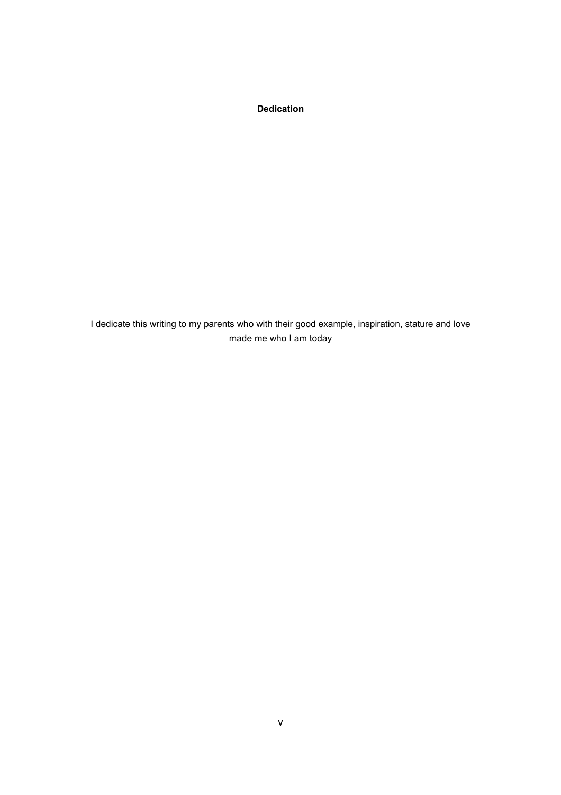**Dedication** 

I dedicate this writing to my parents who with their good example, inspiration, stature and love made me who I am today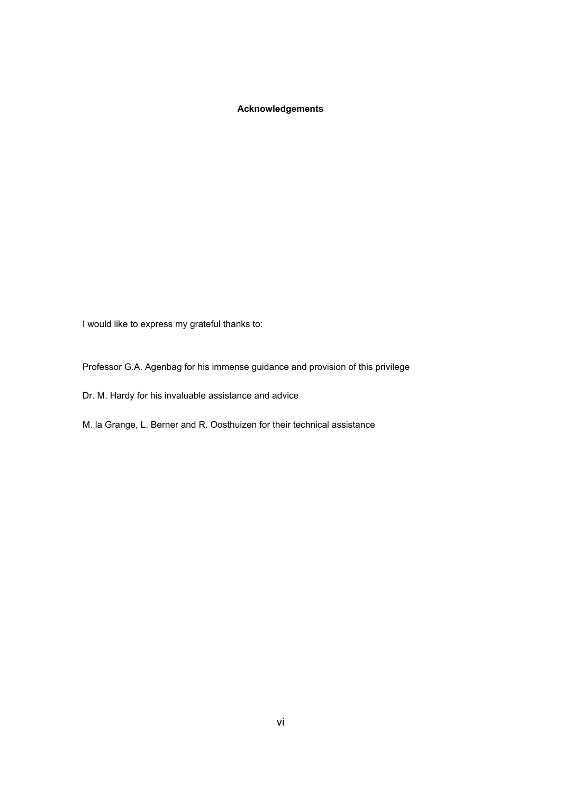# **Acknowledgements**

I would like to express my grateful thanks to:

Professor G.A. Agenbag for his immense guidance and provision of this privilege

Dr. M. Hardy for his invaluable assistance and advice

M. la Grange, L. Berner and R. Oosthuizen for their technical assistance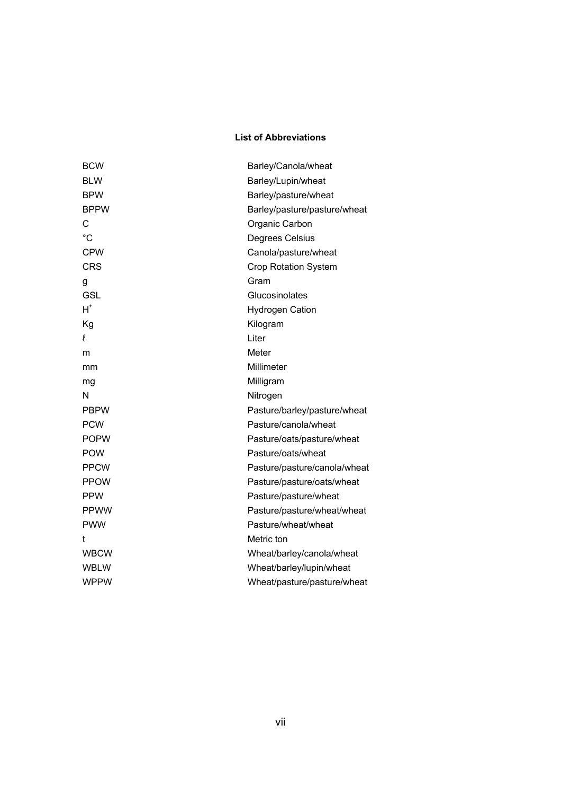# **List of Abbreviations**

| <b>BCW</b>  | Barley/Canola/wheat          |
|-------------|------------------------------|
| <b>BLW</b>  | Barley/Lupin/wheat           |
| <b>BPW</b>  | Barley/pasture/wheat         |
| <b>BPPW</b> | Barley/pasture/pasture/wheat |
| С           | Organic Carbon               |
| $^{\circ}C$ | Degrees Celsius              |
| <b>CPW</b>  | Canola/pasture/wheat         |
| <b>CRS</b>  | <b>Crop Rotation System</b>  |
| g           | Gram                         |
| <b>GSL</b>  | Glucosinolates               |
| $H^*$       | <b>Hydrogen Cation</b>       |
| Kg          | Kilogram                     |
| ł           | Liter                        |
| m           | Meter                        |
| mm          | Millimeter                   |
| mg          | Milligram                    |
| N           | Nitrogen                     |
| <b>PBPW</b> | Pasture/barley/pasture/wheat |
| <b>PCW</b>  | Pasture/canola/wheat         |
| <b>POPW</b> | Pasture/oats/pasture/wheat   |
| <b>POW</b>  | Pasture/oats/wheat           |
| <b>PPCW</b> | Pasture/pasture/canola/wheat |
| <b>PPOW</b> | Pasture/pasture/oats/wheat   |
| <b>PPW</b>  | Pasture/pasture/wheat        |
| <b>PPWW</b> | Pasture/pasture/wheat/wheat  |
| <b>PWW</b>  | Pasture/wheat/wheat          |
| t           | Metric ton                   |
| <b>WBCW</b> | Wheat/barley/canola/wheat    |
| <b>WBLW</b> | Wheat/barley/lupin/wheat     |
| <b>WPPW</b> | Wheat/pasture/pasture/wheat  |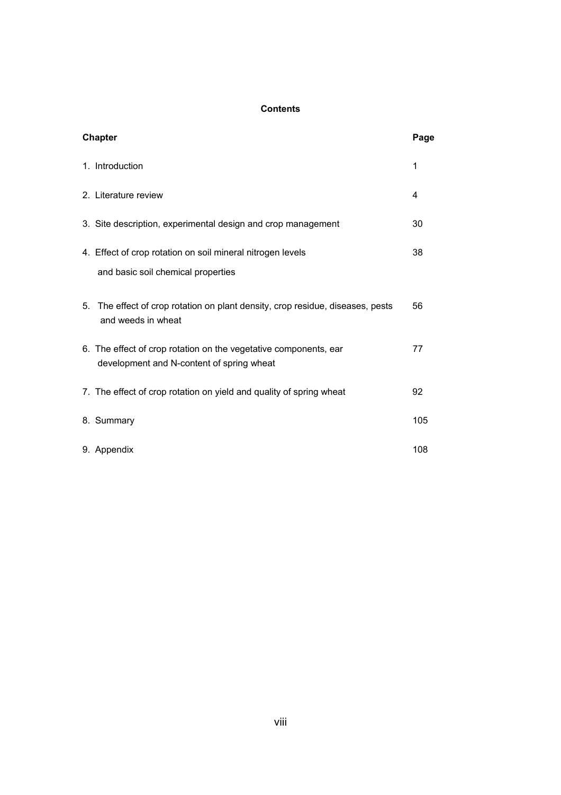# **Contents**

| <b>Chapter</b>                                                                                                | Page |
|---------------------------------------------------------------------------------------------------------------|------|
| 1. Introduction                                                                                               | 1    |
| 2. Literature review                                                                                          | 4    |
| 3. Site description, experimental design and crop management                                                  | 30   |
| 4. Effect of crop rotation on soil mineral nitrogen levels<br>and basic soil chemical properties              | 38   |
| The effect of crop rotation on plant density, crop residue, diseases, pests<br>5.<br>and weeds in wheat       | 56   |
| 6. The effect of crop rotation on the vegetative components, ear<br>development and N-content of spring wheat | 77   |
| 7. The effect of crop rotation on yield and quality of spring wheat                                           | 92   |
| 8. Summary                                                                                                    | 105  |
| 9. Appendix                                                                                                   | 108  |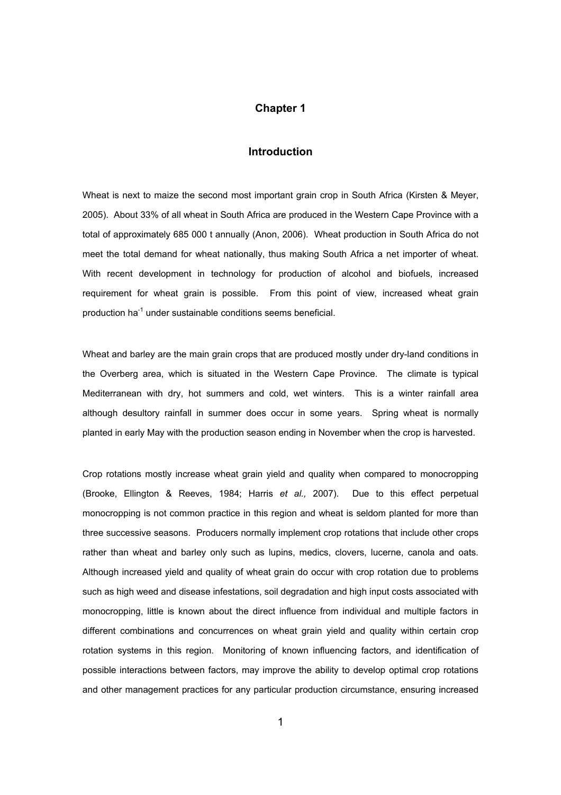# **Chapter 1**

## **Introduction**

Wheat is next to maize the second most important grain crop in South Africa (Kirsten & Meyer, 2005). About 33% of all wheat in South Africa are produced in the Western Cape Province with a total of approximately 685 000 t annually (Anon, 2006). Wheat production in South Africa do not meet the total demand for wheat nationally, thus making South Africa a net importer of wheat. With recent development in technology for production of alcohol and biofuels, increased requirement for wheat grain is possible. From this point of view, increased wheat grain production ha<sup>-1</sup> under sustainable conditions seems beneficial.

Wheat and barley are the main grain crops that are produced mostly under dry-land conditions in the Overberg area, which is situated in the Western Cape Province. The climate is typical Mediterranean with dry, hot summers and cold, wet winters. This is a winter rainfall area although desultory rainfall in summer does occur in some years. Spring wheat is normally planted in early May with the production season ending in November when the crop is harvested.

Crop rotations mostly increase wheat grain yield and quality when compared to monocropping (Brooke, Ellington & Reeves, 1984; Harris *et al.,* 2007). Due to this effect perpetual monocropping is not common practice in this region and wheat is seldom planted for more than three successive seasons. Producers normally implement crop rotations that include other crops rather than wheat and barley only such as lupins, medics, clovers, lucerne, canola and oats. Although increased yield and quality of wheat grain do occur with crop rotation due to problems such as high weed and disease infestations, soil degradation and high input costs associated with monocropping, little is known about the direct influence from individual and multiple factors in different combinations and concurrences on wheat grain yield and quality within certain crop rotation systems in this region. Monitoring of known influencing factors, and identification of possible interactions between factors, may improve the ability to develop optimal crop rotations and other management practices for any particular production circumstance, ensuring increased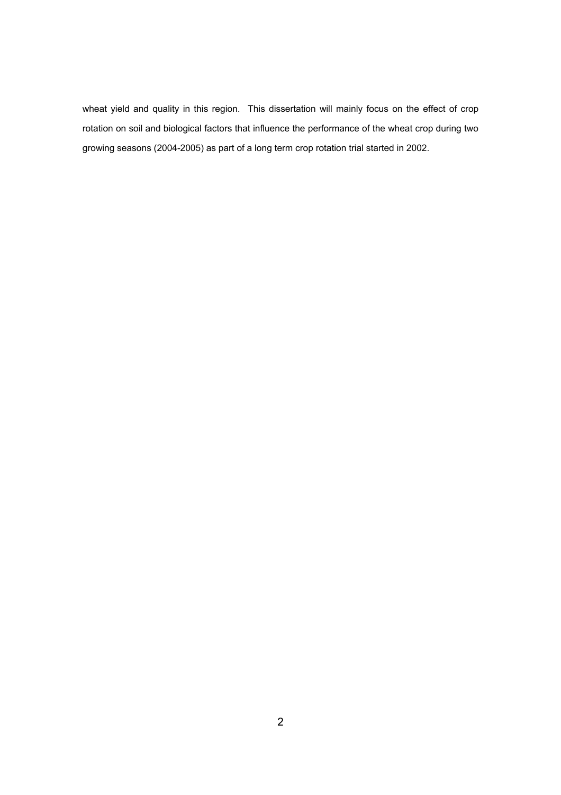wheat yield and quality in this region. This dissertation will mainly focus on the effect of crop rotation on soil and biological factors that influence the performance of the wheat crop during two growing seasons (2004-2005) as part of a long term crop rotation trial started in 2002.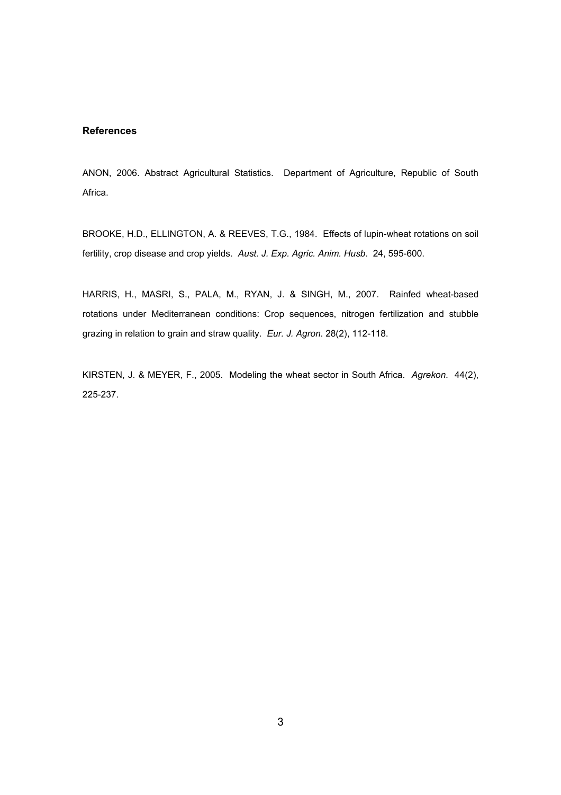## **References**

ANON, 2006. Abstract Agricultural Statistics. Department of Agriculture, Republic of South Africa.

BROOKE, H.D., ELLINGTON, A. & REEVES, T.G., 1984. Effects of lupin-wheat rotations on soil fertility, crop disease and crop yields. *Aust. J. Exp. Agric. Anim. Husb*. 24, 595-600.

HARRIS, H., MASRI, S., PALA, M., RYAN, J. & SINGH, M., 2007. Rainfed wheat-based rotations under Mediterranean conditions: Crop sequences, nitrogen fertilization and stubble grazing in relation to grain and straw quality. *Eur. J. Agron*. 28(2), 112-118.

KIRSTEN, J. & MEYER, F., 2005. Modeling the wheat sector in South Africa. *Agrekon*. 44(2), 225-237.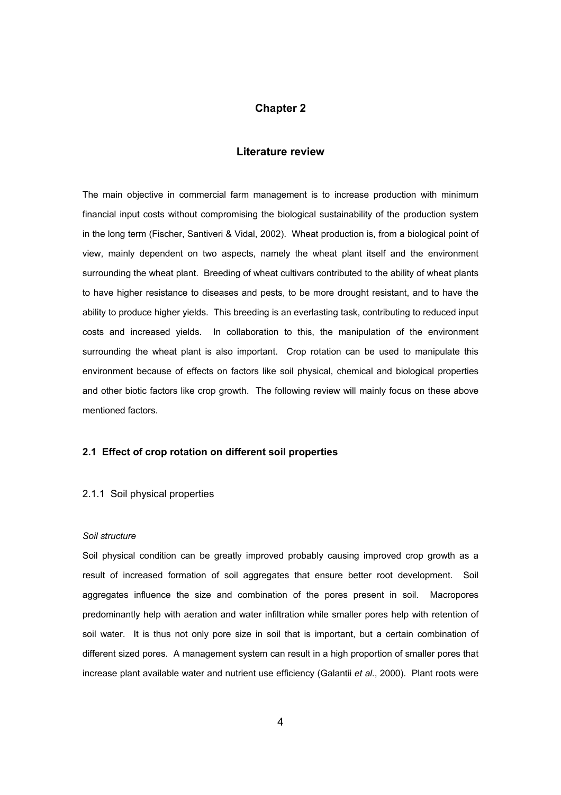## **Chapter 2**

## **Literature review**

The main objective in commercial farm management is to increase production with minimum financial input costs without compromising the biological sustainability of the production system in the long term (Fischer, Santiveri & Vidal, 2002). Wheat production is, from a biological point of view, mainly dependent on two aspects, namely the wheat plant itself and the environment surrounding the wheat plant. Breeding of wheat cultivars contributed to the ability of wheat plants to have higher resistance to diseases and pests, to be more drought resistant, and to have the ability to produce higher yields. This breeding is an everlasting task, contributing to reduced input costs and increased yields. In collaboration to this, the manipulation of the environment surrounding the wheat plant is also important. Crop rotation can be used to manipulate this environment because of effects on factors like soil physical, chemical and biological properties and other biotic factors like crop growth. The following review will mainly focus on these above mentioned factors.

# **2.1 Effect of crop rotation on different soil properties**

#### 2.1.1 Soil physical properties

#### *Soil structure*

Soil physical condition can be greatly improved probably causing improved crop growth as a result of increased formation of soil aggregates that ensure better root development. Soil aggregates influence the size and combination of the pores present in soil. Macropores predominantly help with aeration and water infiltration while smaller pores help with retention of soil water. It is thus not only pore size in soil that is important, but a certain combination of different sized pores. A management system can result in a high proportion of smaller pores that increase plant available water and nutrient use efficiency (Galantii *et al*., 2000). Plant roots were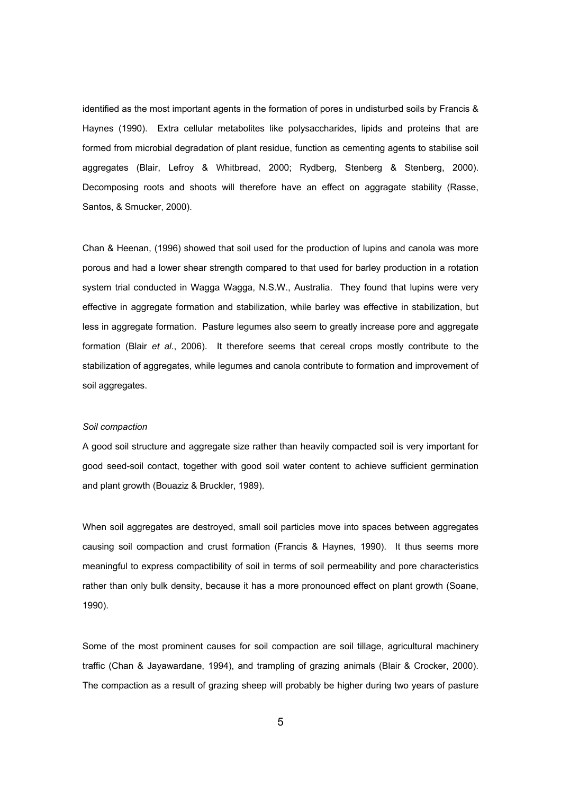identified as the most important agents in the formation of pores in undisturbed soils by Francis & Haynes (1990). Extra cellular metabolites like polysaccharides, lipids and proteins that are formed from microbial degradation of plant residue, function as cementing agents to stabilise soil aggregates (Blair, Lefroy & Whitbread, 2000; Rydberg, Stenberg & Stenberg, 2000). Decomposing roots and shoots will therefore have an effect on aggragate stability (Rasse, Santos, & Smucker, 2000).

Chan & Heenan, (1996) showed that soil used for the production of lupins and canola was more porous and had a lower shear strength compared to that used for barley production in a rotation system trial conducted in Wagga Wagga, N.S.W., Australia. They found that lupins were very effective in aggregate formation and stabilization, while barley was effective in stabilization, but less in aggregate formation. Pasture legumes also seem to greatly increase pore and aggregate formation (Blair *et al*., 2006). It therefore seems that cereal crops mostly contribute to the stabilization of aggregates, while legumes and canola contribute to formation and improvement of soil aggregates.

#### *Soil compaction*

A good soil structure and aggregate size rather than heavily compacted soil is very important for good seed-soil contact, together with good soil water content to achieve sufficient germination and plant growth (Bouaziz & Bruckler, 1989).

When soil aggregates are destroyed, small soil particles move into spaces between aggregates causing soil compaction and crust formation (Francis & Haynes, 1990). It thus seems more meaningful to express compactibility of soil in terms of soil permeability and pore characteristics rather than only bulk density, because it has a more pronounced effect on plant growth (Soane, 1990).

Some of the most prominent causes for soil compaction are soil tillage, agricultural machinery traffic (Chan & Jayawardane, 1994), and trampling of grazing animals (Blair & Crocker, 2000). The compaction as a result of grazing sheep will probably be higher during two years of pasture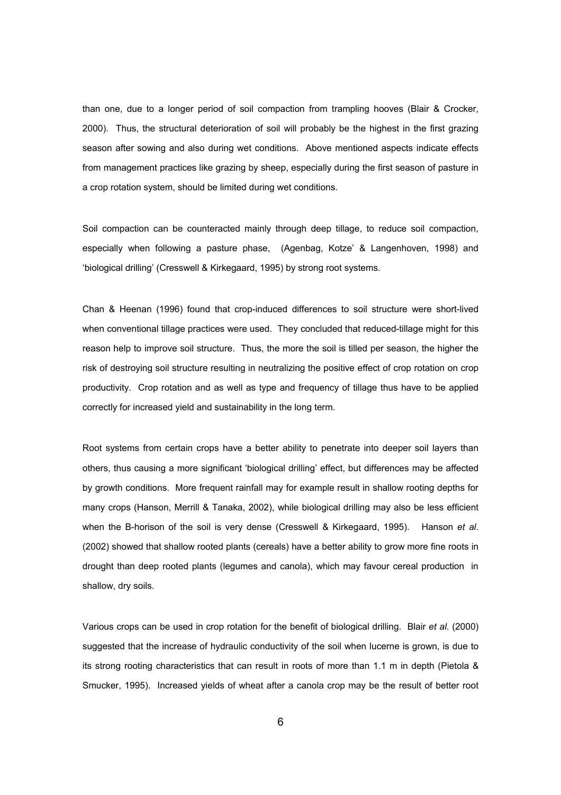than one, due to a longer period of soil compaction from trampling hooves (Blair & Crocker, 2000). Thus, the structural deterioration of soil will probably be the highest in the first grazing season after sowing and also during wet conditions. Above mentioned aspects indicate effects from management practices like grazing by sheep, especially during the first season of pasture in a crop rotation system, should be limited during wet conditions.

Soil compaction can be counteracted mainly through deep tillage, to reduce soil compaction, especially when following a pasture phase, (Agenbag, Kotze' & Langenhoven, 1998) and 'biological drilling' (Cresswell & Kirkegaard, 1995) by strong root systems.

Chan & Heenan (1996) found that crop-induced differences to soil structure were short-lived when conventional tillage practices were used. They concluded that reduced-tillage might for this reason help to improve soil structure. Thus, the more the soil is tilled per season, the higher the risk of destroying soil structure resulting in neutralizing the positive effect of crop rotation on crop productivity. Crop rotation and as well as type and frequency of tillage thus have to be applied correctly for increased yield and sustainability in the long term.

Root systems from certain crops have a better ability to penetrate into deeper soil layers than others, thus causing a more significant 'biological drilling' effect, but differences may be affected by growth conditions. More frequent rainfall may for example result in shallow rooting depths for many crops (Hanson, Merrill & Tanaka, 2002), while biological drilling may also be less efficient when the B-horison of the soil is very dense (Cresswell & Kirkegaard, 1995). Hanson *et al*. (2002) showed that shallow rooted plants (cereals) have a better ability to grow more fine roots in drought than deep rooted plants (legumes and canola), which may favour cereal production in shallow, dry soils.

Various crops can be used in crop rotation for the benefit of biological drilling. Blair *et al*. (2000) suggested that the increase of hydraulic conductivity of the soil when lucerne is grown, is due to its strong rooting characteristics that can result in roots of more than 1.1 m in depth (Pietola & Smucker, 1995). Increased yields of wheat after a canola crop may be the result of better root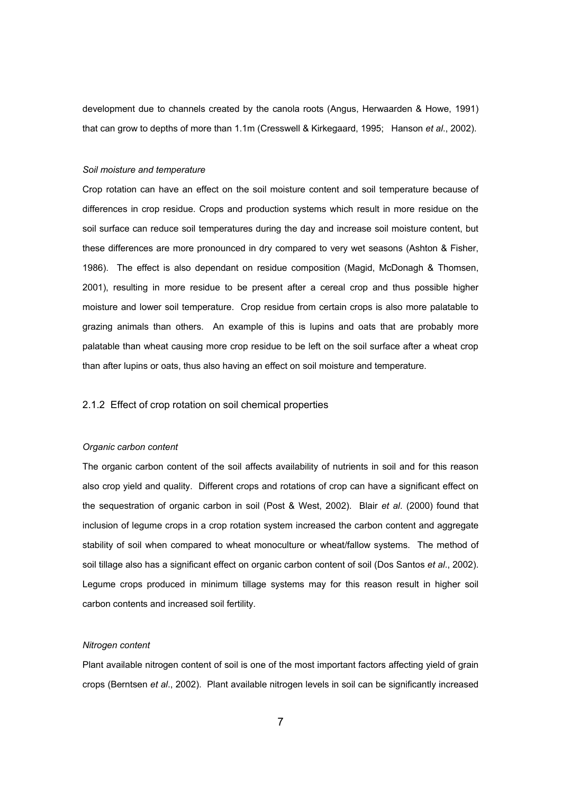development due to channels created by the canola roots (Angus, Herwaarden & Howe, 1991) that can grow to depths of more than 1.1m (Cresswell & Kirkegaard, 1995; Hanson *et al*., 2002).

#### *Soil moisture and temperature*

Crop rotation can have an effect on the soil moisture content and soil temperature because of differences in crop residue. Crops and production systems which result in more residue on the soil surface can reduce soil temperatures during the day and increase soil moisture content, but these differences are more pronounced in dry compared to very wet seasons (Ashton & Fisher, 1986). The effect is also dependant on residue composition (Magid, McDonagh & Thomsen, 2001), resulting in more residue to be present after a cereal crop and thus possible higher moisture and lower soil temperature. Crop residue from certain crops is also more palatable to grazing animals than others. An example of this is lupins and oats that are probably more palatable than wheat causing more crop residue to be left on the soil surface after a wheat crop than after lupins or oats, thus also having an effect on soil moisture and temperature.

## 2.1.2 Effect of crop rotation on soil chemical properties

#### *Organic carbon content*

The organic carbon content of the soil affects availability of nutrients in soil and for this reason also crop yield and quality. Different crops and rotations of crop can have a significant effect on the sequestration of organic carbon in soil (Post & West, 2002). Blair *et al*. (2000) found that inclusion of legume crops in a crop rotation system increased the carbon content and aggregate stability of soil when compared to wheat monoculture or wheat/fallow systems. The method of soil tillage also has a significant effect on organic carbon content of soil (Dos Santos *et al*., 2002). Legume crops produced in minimum tillage systems may for this reason result in higher soil carbon contents and increased soil fertility.

## *Nitrogen content*

Plant available nitrogen content of soil is one of the most important factors affecting yield of grain crops (Berntsen *et al*., 2002). Plant available nitrogen levels in soil can be significantly increased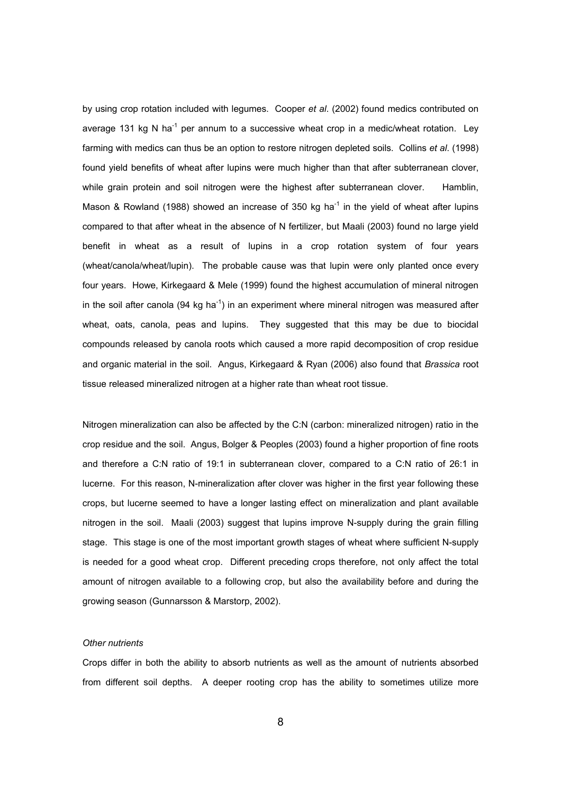by using crop rotation included with legumes. Cooper *et al*. (2002) found medics contributed on average 131 kg N ha<sup>-1</sup> per annum to a successive wheat crop in a medic/wheat rotation. Ley farming with medics can thus be an option to restore nitrogen depleted soils. Collins *et al*. (1998) found yield benefits of wheat after lupins were much higher than that after subterranean clover, while grain protein and soil nitrogen were the highest after subterranean clover. Hamblin, Mason & Rowland (1988) showed an increase of 350 kg ha<sup>-1</sup> in the yield of wheat after lupins compared to that after wheat in the absence of N fertilizer, but Maali (2003) found no large yield benefit in wheat as a result of lupins in a crop rotation system of four years (wheat/canola/wheat/lupin). The probable cause was that lupin were only planted once every four years. Howe, Kirkegaard & Mele (1999) found the highest accumulation of mineral nitrogen in the soil after canola (94 kg ha<sup>-1</sup>) in an experiment where mineral nitrogen was measured after wheat, oats, canola, peas and lupins. They suggested that this may be due to biocidal compounds released by canola roots which caused a more rapid decomposition of crop residue and organic material in the soil. Angus, Kirkegaard & Ryan (2006) also found that *Brassica* root tissue released mineralized nitrogen at a higher rate than wheat root tissue.

Nitrogen mineralization can also be affected by the C:N (carbon: mineralized nitrogen) ratio in the crop residue and the soil. Angus, Bolger & Peoples (2003) found a higher proportion of fine roots and therefore a C:N ratio of 19:1 in subterranean clover, compared to a C:N ratio of 26:1 in lucerne. For this reason, N-mineralization after clover was higher in the first year following these crops, but lucerne seemed to have a longer lasting effect on mineralization and plant available nitrogen in the soil. Maali (2003) suggest that lupins improve N-supply during the grain filling stage. This stage is one of the most important growth stages of wheat where sufficient N-supply is needed for a good wheat crop. Different preceding crops therefore, not only affect the total amount of nitrogen available to a following crop, but also the availability before and during the growing season (Gunnarsson & Marstorp, 2002).

#### *Other nutrients*

Crops differ in both the ability to absorb nutrients as well as the amount of nutrients absorbed from different soil depths. A deeper rooting crop has the ability to sometimes utilize more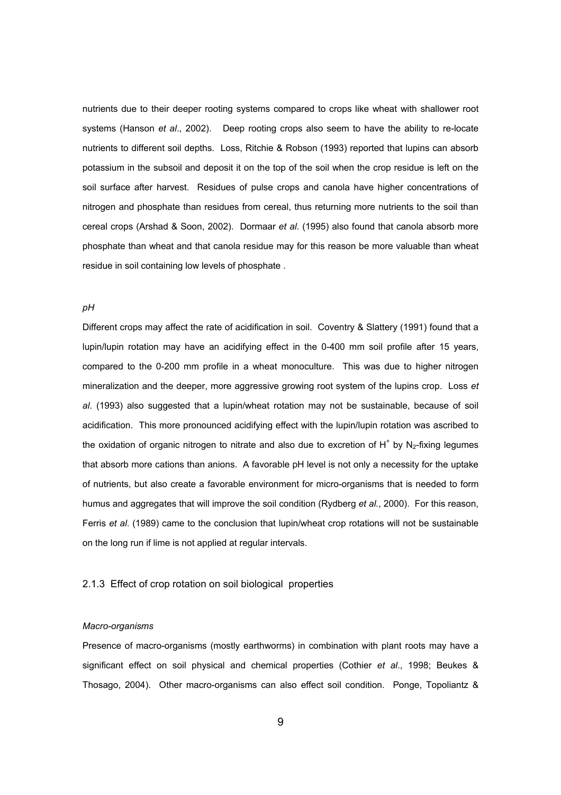nutrients due to their deeper rooting systems compared to crops like wheat with shallower root systems (Hanson *et al*., 2002). Deep rooting crops also seem to have the ability to re-locate nutrients to different soil depths. Loss, Ritchie & Robson (1993) reported that lupins can absorb potassium in the subsoil and deposit it on the top of the soil when the crop residue is left on the soil surface after harvest. Residues of pulse crops and canola have higher concentrations of nitrogen and phosphate than residues from cereal, thus returning more nutrients to the soil than cereal crops (Arshad & Soon, 2002). Dormaar *et al*. (1995) also found that canola absorb more phosphate than wheat and that canola residue may for this reason be more valuable than wheat residue in soil containing low levels of phosphate .

# *pH*

Different crops may affect the rate of acidification in soil. Coventry & Slattery (1991) found that a lupin/lupin rotation may have an acidifying effect in the 0-400 mm soil profile after 15 years, compared to the 0-200 mm profile in a wheat monoculture. This was due to higher nitrogen mineralization and the deeper, more aggressive growing root system of the lupins crop. Loss *et al*. (1993) also suggested that a lupin/wheat rotation may not be sustainable, because of soil acidification. This more pronounced acidifying effect with the lupin/lupin rotation was ascribed to the oxidation of organic nitrogen to nitrate and also due to excretion of  $H^+$  by  $N_2$ -fixing legumes that absorb more cations than anions. A favorable pH level is not only a necessity for the uptake of nutrients, but also create a favorable environment for micro-organisms that is needed to form humus and aggregates that will improve the soil condition (Rydberg *et al.*, 2000). For this reason, Ferris *et al*. (1989) came to the conclusion that lupin/wheat crop rotations will not be sustainable on the long run if lime is not applied at regular intervals.

## 2.1.3 Effect of crop rotation on soil biological properties

#### *Macro-organisms*

Presence of macro-organisms (mostly earthworms) in combination with plant roots may have a significant effect on soil physical and chemical properties (Cothier *et al*., 1998; Beukes & Thosago, 2004). Other macro-organisms can also effect soil condition. Ponge, Topoliantz &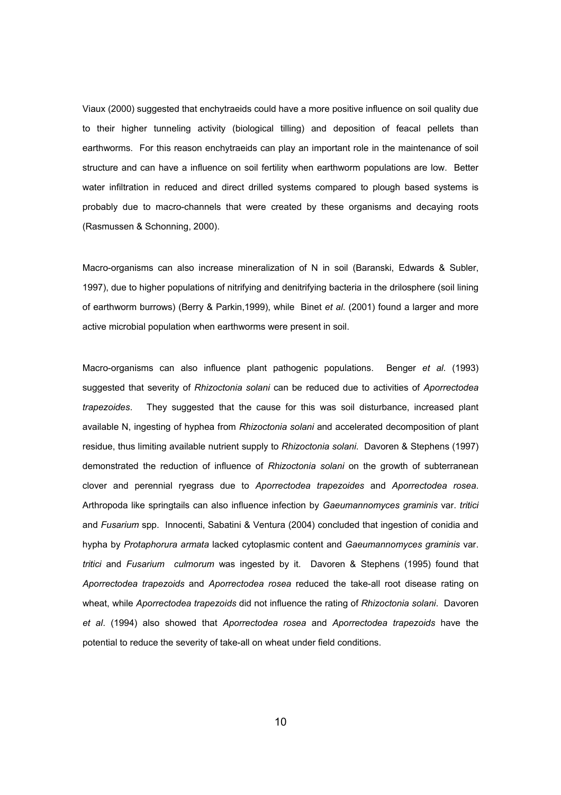Viaux (2000) suggested that enchytraeids could have a more positive influence on soil quality due to their higher tunneling activity (biological tilling) and deposition of feacal pellets than earthworms. For this reason enchytraeids can play an important role in the maintenance of soil structure and can have a influence on soil fertility when earthworm populations are low. Better water infiltration in reduced and direct drilled systems compared to plough based systems is probably due to macro-channels that were created by these organisms and decaying roots (Rasmussen & Schonning, 2000).

Macro-organisms can also increase mineralization of N in soil (Baranski, Edwards & Subler, 1997), due to higher populations of nitrifying and denitrifying bacteria in the drilosphere (soil lining of earthworm burrows) (Berry & Parkin,1999), while Binet *et al*. (2001) found a larger and more active microbial population when earthworms were present in soil.

Macro-organisms can also influence plant pathogenic populations. Benger *et al*. (1993) suggested that severity of *Rhizoctonia solani* can be reduced due to activities of *Aporrectodea trapezoides*. They suggested that the cause for this was soil disturbance, increased plant available N, ingesting of hyphea from *Rhizoctonia solani* and accelerated decomposition of plant residue, thus limiting available nutrient supply to *Rhizoctonia solani*. Davoren & Stephens (1997) demonstrated the reduction of influence of *Rhizoctonia solani* on the growth of subterranean clover and perennial ryegrass due to *Aporrectodea trapezoides* and *Aporrectodea rosea*. Arthropoda like springtails can also influence infection by *Gaeumannomyces graminis* var. *tritici* and *Fusarium* spp. Innocenti, Sabatini & Ventura (2004) concluded that ingestion of conidia and hypha by *Protaphorura armata* lacked cytoplasmic content and *Gaeumannomyces graminis* var. *tritici* and *Fusarium culmorum* was ingested by it. Davoren & Stephens (1995) found that *Aporrectodea trapezoids* and *Aporrectodea rosea* reduced the take-all root disease rating on wheat, while *Aporrectodea trapezoids* did not influence the rating of *Rhizoctonia solani*. Davoren *et al*. (1994) also showed that *Aporrectodea rosea* and *Aporrectodea trapezoids* have the potential to reduce the severity of take-all on wheat under field conditions.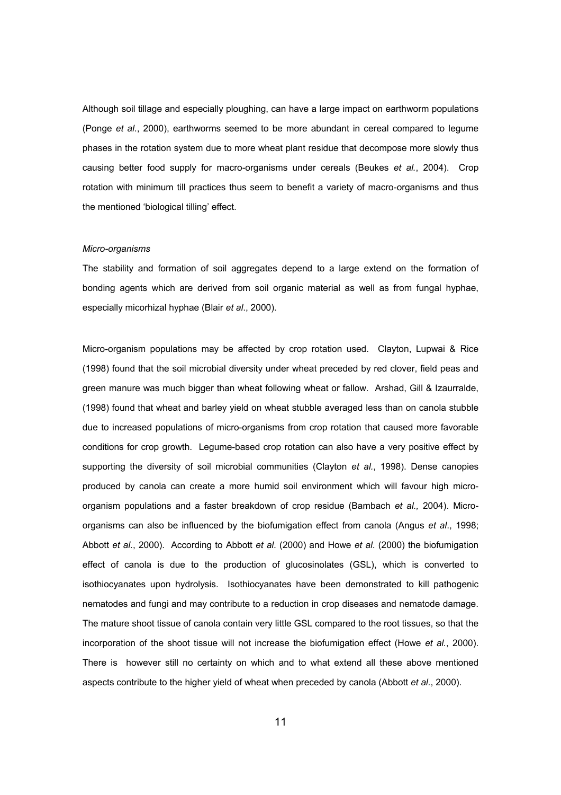Although soil tillage and especially ploughing, can have a large impact on earthworm populations (Ponge *et al*., 2000), earthworms seemed to be more abundant in cereal compared to legume phases in the rotation system due to more wheat plant residue that decompose more slowly thus causing better food supply for macro-organisms under cereals (Beukes *et al.*, 2004). Crop rotation with minimum till practices thus seem to benefit a variety of macro-organisms and thus the mentioned 'biological tilling' effect.

#### *Micro-organisms*

The stability and formation of soil aggregates depend to a large extend on the formation of bonding agents which are derived from soil organic material as well as from fungal hyphae, especially micorhizal hyphae (Blair *et al*., 2000).

Micro-organism populations may be affected by crop rotation used. Clayton, Lupwai & Rice (1998) found that the soil microbial diversity under wheat preceded by red clover, field peas and green manure was much bigger than wheat following wheat or fallow. Arshad, Gill & Izaurralde, (1998) found that wheat and barley yield on wheat stubble averaged less than on canola stubble due to increased populations of micro-organisms from crop rotation that caused more favorable conditions for crop growth. Legume-based crop rotation can also have a very positive effect by supporting the diversity of soil microbial communities (Clayton *et al.*, 1998). Dense canopies produced by canola can create a more humid soil environment which will favour high microorganism populations and a faster breakdown of crop residue (Bambach *et al.,* 2004). Microorganisms can also be influenced by the biofumigation effect from canola (Angus *et al*., 1998; Abbott *et al.*, 2000). According to Abbott *et al*. (2000) and Howe *et al*. (2000) the biofumigation effect of canola is due to the production of glucosinolates (GSL), which is converted to isothiocyanates upon hydrolysis. Isothiocyanates have been demonstrated to kill pathogenic nematodes and fungi and may contribute to a reduction in crop diseases and nematode damage. The mature shoot tissue of canola contain very little GSL compared to the root tissues, so that the incorporation of the shoot tissue will not increase the biofumigation effect (Howe *et al.*, 2000). There is however still no certainty on which and to what extend all these above mentioned aspects contribute to the higher yield of wheat when preceded by canola (Abbott *et al.*, 2000).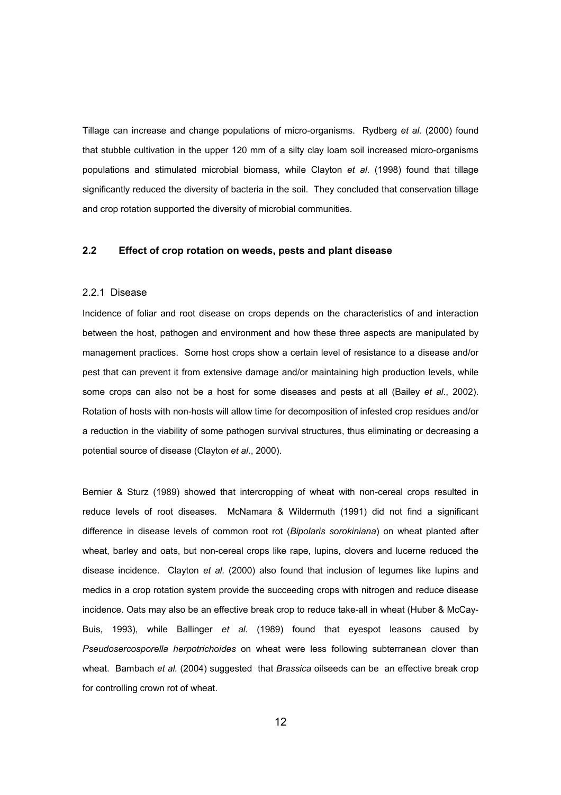Tillage can increase and change populations of micro-organisms. Rydberg *et al.* (2000) found that stubble cultivation in the upper 120 mm of a silty clay loam soil increased micro-organisms populations and stimulated microbial biomass, while Clayton *et al*. (1998) found that tillage significantly reduced the diversity of bacteria in the soil. They concluded that conservation tillage and crop rotation supported the diversity of microbial communities.

## **2.2 Effect of crop rotation on weeds, pests and plant disease**

#### 2.2.1 Disease

Incidence of foliar and root disease on crops depends on the characteristics of and interaction between the host, pathogen and environment and how these three aspects are manipulated by management practices. Some host crops show a certain level of resistance to a disease and/or pest that can prevent it from extensive damage and/or maintaining high production levels, while some crops can also not be a host for some diseases and pests at all (Bailey *et al*., 2002). Rotation of hosts with non-hosts will allow time for decomposition of infested crop residues and/or a reduction in the viability of some pathogen survival structures, thus eliminating or decreasing a potential source of disease (Clayton *et al*., 2000).

Bernier & Sturz (1989) showed that intercropping of wheat with non-cereal crops resulted in reduce levels of root diseases. McNamara & Wildermuth (1991) did not find a significant difference in disease levels of common root rot (*Bipolaris sorokiniana*) on wheat planted after wheat, barley and oats, but non-cereal crops like rape, lupins, clovers and lucerne reduced the disease incidence. Clayton *et al.* (2000) also found that inclusion of legumes like lupins and medics in a crop rotation system provide the succeeding crops with nitrogen and reduce disease incidence. Oats may also be an effective break crop to reduce take-all in wheat (Huber & McCay-Buis, 1993), while Ballinger *et al.* (1989) found that eyespot leasons caused by *Pseudosercosporella herpotrichoides* on wheat were less following subterranean clover than wheat. Bambach *et al.* (2004) suggested that *Brassica* oilseeds can be an effective break crop for controlling crown rot of wheat.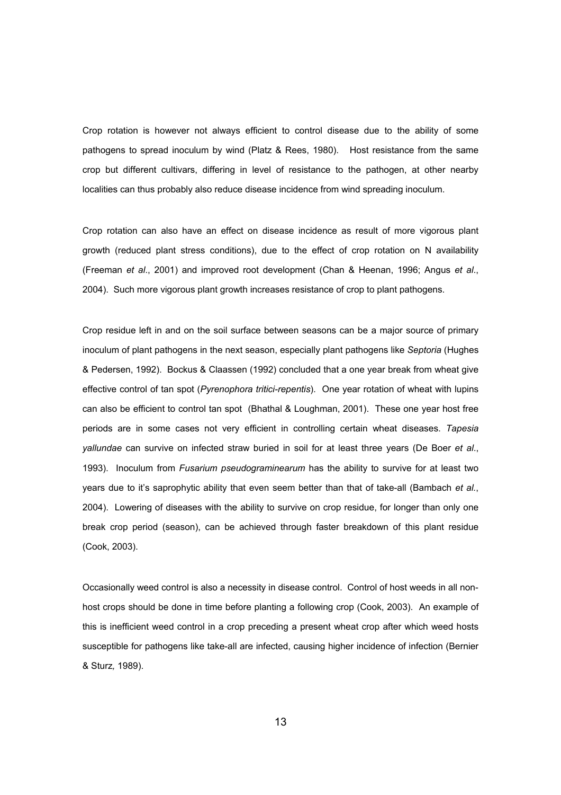Crop rotation is however not always efficient to control disease due to the ability of some pathogens to spread inoculum by wind (Platz & Rees, 1980). Host resistance from the same crop but different cultivars, differing in level of resistance to the pathogen, at other nearby localities can thus probably also reduce disease incidence from wind spreading inoculum.

Crop rotation can also have an effect on disease incidence as result of more vigorous plant growth (reduced plant stress conditions), due to the effect of crop rotation on N availability (Freeman *et al*., 2001) and improved root development (Chan & Heenan, 1996; Angus *et al*., 2004). Such more vigorous plant growth increases resistance of crop to plant pathogens.

Crop residue left in and on the soil surface between seasons can be a major source of primary inoculum of plant pathogens in the next season, especially plant pathogens like *Septoria* (Hughes & Pedersen, 1992). Bockus & Claassen (1992) concluded that a one year break from wheat give effective control of tan spot (*Pyrenophora tritici-repentis*). One year rotation of wheat with lupins can also be efficient to control tan spot (Bhathal & Loughman, 2001). These one year host free periods are in some cases not very efficient in controlling certain wheat diseases. *Tapesia yallundae* can survive on infected straw buried in soil for at least three years (De Boer *et al*., 1993). Inoculum from *Fusarium pseudograminearum* has the ability to survive for at least two years due to it's saprophytic ability that even seem better than that of take-all (Bambach *et al.*, 2004). Lowering of diseases with the ability to survive on crop residue, for longer than only one break crop period (season), can be achieved through faster breakdown of this plant residue (Cook, 2003).

Occasionally weed control is also a necessity in disease control. Control of host weeds in all nonhost crops should be done in time before planting a following crop (Cook, 2003). An example of this is inefficient weed control in a crop preceding a present wheat crop after which weed hosts susceptible for pathogens like take-all are infected, causing higher incidence of infection (Bernier & Sturz*,* 1989).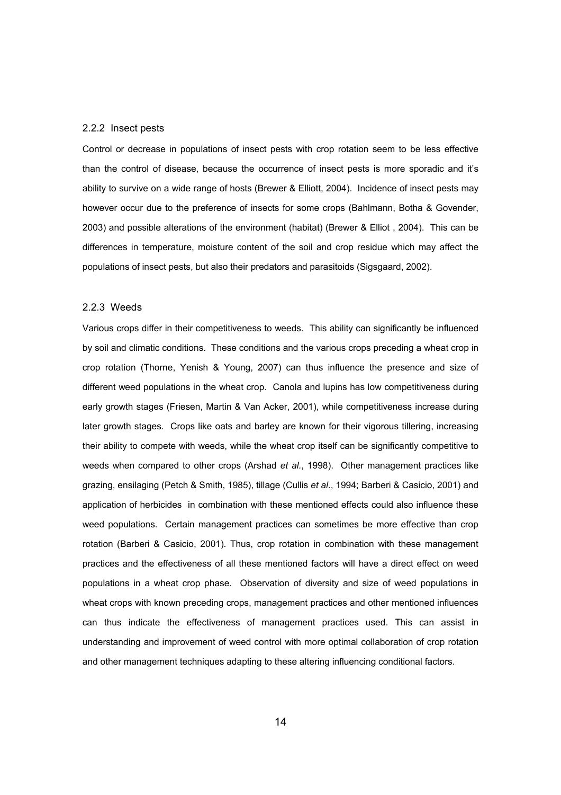#### 2.2.2 Insect pests

Control or decrease in populations of insect pests with crop rotation seem to be less effective than the control of disease, because the occurrence of insect pests is more sporadic and it's ability to survive on a wide range of hosts (Brewer & Elliott, 2004). Incidence of insect pests may however occur due to the preference of insects for some crops (Bahlmann, Botha & Govender, 2003) and possible alterations of the environment (habitat) (Brewer & Elliot , 2004). This can be differences in temperature, moisture content of the soil and crop residue which may affect the populations of insect pests, but also their predators and parasitoids (Sigsgaard, 2002).

### 2.2.3 Weeds

Various crops differ in their competitiveness to weeds. This ability can significantly be influenced by soil and climatic conditions. These conditions and the various crops preceding a wheat crop in crop rotation (Thorne, Yenish & Young, 2007) can thus influence the presence and size of different weed populations in the wheat crop. Canola and lupins has low competitiveness during early growth stages (Friesen, Martin & Van Acker, 2001), while competitiveness increase during later growth stages. Crops like oats and barley are known for their vigorous tillering, increasing their ability to compete with weeds, while the wheat crop itself can be significantly competitive to weeds when compared to other crops (Arshad *et al.*, 1998). Other management practices like grazing, ensilaging (Petch & Smith, 1985), tillage (Cullis *et al*., 1994; Barberi & Casicio, 2001) and application of herbicides in combination with these mentioned effects could also influence these weed populations. Certain management practices can sometimes be more effective than crop rotation (Barberi & Casicio, 2001). Thus, crop rotation in combination with these management practices and the effectiveness of all these mentioned factors will have a direct effect on weed populations in a wheat crop phase. Observation of diversity and size of weed populations in wheat crops with known preceding crops, management practices and other mentioned influences can thus indicate the effectiveness of management practices used. This can assist in understanding and improvement of weed control with more optimal collaboration of crop rotation and other management techniques adapting to these altering influencing conditional factors.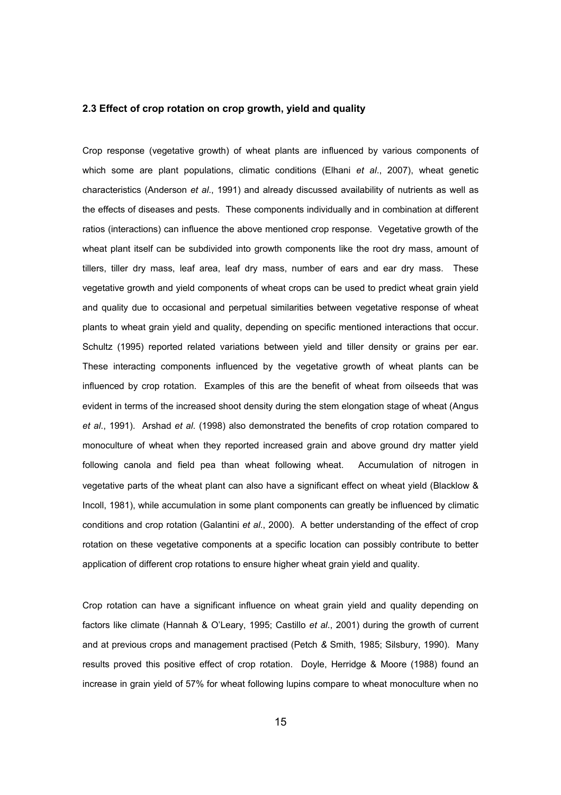## **2.3 Effect of crop rotation on crop growth, yield and quality**

Crop response (vegetative growth) of wheat plants are influenced by various components of which some are plant populations, climatic conditions (Elhani *et al*., 2007), wheat genetic characteristics (Anderson *et al*., 1991) and already discussed availability of nutrients as well as the effects of diseases and pests. These components individually and in combination at different ratios (interactions) can influence the above mentioned crop response. Vegetative growth of the wheat plant itself can be subdivided into growth components like the root dry mass, amount of tillers, tiller dry mass, leaf area, leaf dry mass, number of ears and ear dry mass. These vegetative growth and yield components of wheat crops can be used to predict wheat grain yield and quality due to occasional and perpetual similarities between vegetative response of wheat plants to wheat grain yield and quality, depending on specific mentioned interactions that occur. Schultz (1995) reported related variations between yield and tiller density or grains per ear. These interacting components influenced by the vegetative growth of wheat plants can be influenced by crop rotation. Examples of this are the benefit of wheat from oilseeds that was evident in terms of the increased shoot density during the stem elongation stage of wheat (Angus *et al*., 1991). Arshad *et al*. (1998) also demonstrated the benefits of crop rotation compared to monoculture of wheat when they reported increased grain and above ground dry matter yield following canola and field pea than wheat following wheat. Accumulation of nitrogen in vegetative parts of the wheat plant can also have a significant effect on wheat yield (Blacklow & Incoll, 1981), while accumulation in some plant components can greatly be influenced by climatic conditions and crop rotation (Galantini *et al*., 2000). A better understanding of the effect of crop rotation on these vegetative components at a specific location can possibly contribute to better application of different crop rotations to ensure higher wheat grain yield and quality.

Crop rotation can have a significant influence on wheat grain yield and quality depending on factors like climate (Hannah & O'Leary, 1995; Castillo *et al*., 2001) during the growth of current and at previous crops and management practised (Petch *&* Smith, 1985; Silsbury, 1990). Many results proved this positive effect of crop rotation. Doyle, Herridge & Moore (1988) found an increase in grain yield of 57% for wheat following lupins compare to wheat monoculture when no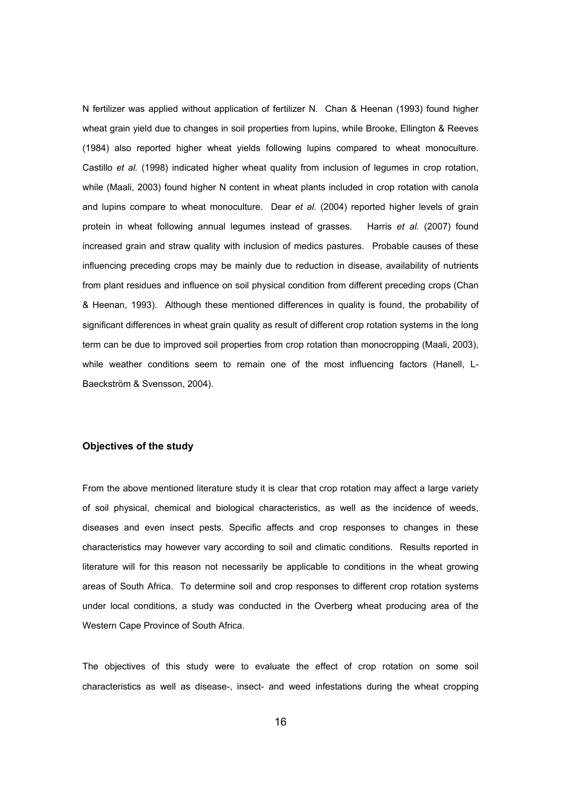N fertilizer was applied without application of fertilizer N. Chan & Heenan (1993) found higher wheat grain yield due to changes in soil properties from lupins, while Brooke, Ellington & Reeves (1984) also reported higher wheat yields following lupins compared to wheat monoculture. Castillo *et al.* (1998) indicated higher wheat quality from inclusion of legumes in crop rotation, while (Maali, 2003) found higher N content in wheat plants included in crop rotation with canola and lupins compare to wheat monoculture. Dear *et al.* (2004) reported higher levels of grain protein in wheat following annual legumes instead of grasses. Harris *et al.* (2007) found increased grain and straw quality with inclusion of medics pastures. Probable causes of these influencing preceding crops may be mainly due to reduction in disease, availability of nutrients from plant residues and influence on soil physical condition from different preceding crops (Chan & Heenan, 1993). Although these mentioned differences in quality is found, the probability of significant differences in wheat grain quality as result of different crop rotation systems in the long term can be due to improved soil properties from crop rotation than monocropping (Maali, 2003), while weather conditions seem to remain one of the most influencing factors (Hanell, L-Baeckström & Svensson, 2004).

#### **Objectives of the study**

From the above mentioned literature study it is clear that crop rotation may affect a large variety of soil physical, chemical and biological characteristics, as well as the incidence of weeds, diseases and even insect pests. Specific affects and crop responses to changes in these characteristics may however vary according to soil and climatic conditions. Results reported in literature will for this reason not necessarily be applicable to conditions in the wheat growing areas of South Africa. To determine soil and crop responses to different crop rotation systems under local conditions, a study was conducted in the Overberg wheat producing area of the Western Cape Province of South Africa.

The objectives of this study were to evaluate the effect of crop rotation on some soil characteristics as well as disease-, insect- and weed infestations during the wheat cropping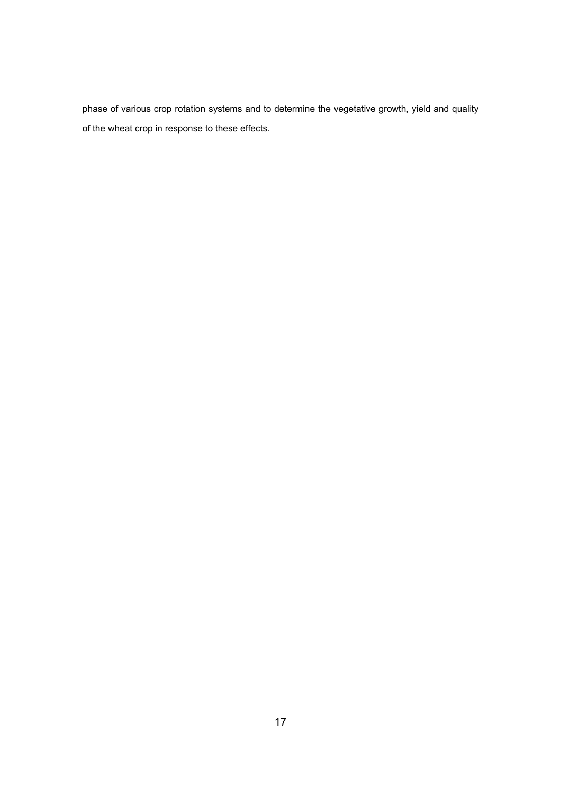phase of various crop rotation systems and to determine the vegetative growth, yield and quality of the wheat crop in response to these effects.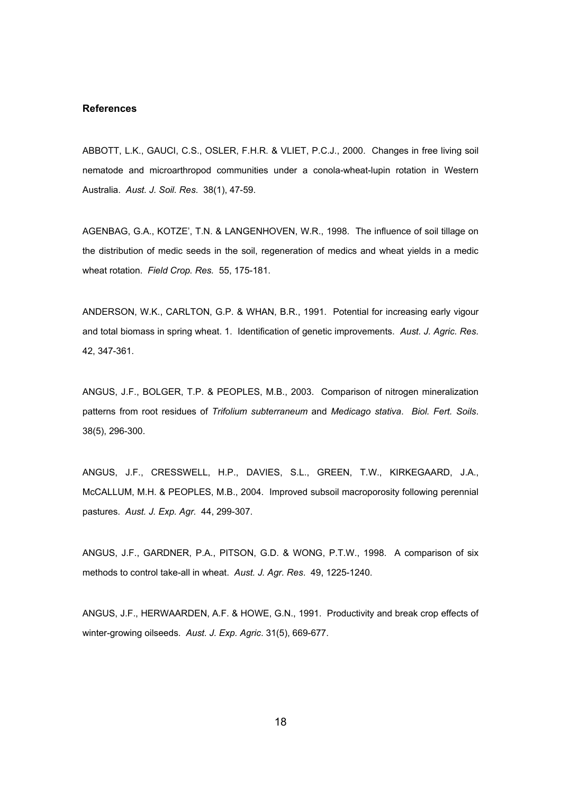## **References**

ABBOTT, L.K., GAUCI, C.S., OSLER, F.H.R. & VLIET, P.C.J., 2000. Changes in free living soil nematode and microarthropod communities under a conola-wheat-lupin rotation in Western Australia. *Aust. J. Soil. Res*. 38(1), 47-59.

AGENBAG, G.A., KOTZE', T.N. & LANGENHOVEN, W.R., 1998. The influence of soil tillage on the distribution of medic seeds in the soil, regeneration of medics and wheat yields in a medic wheat rotation. *Field Crop. Res.* 55, 175-181.

ANDERSON, W.K., CARLTON, G.P. & WHAN, B.R., 1991. Potential for increasing early vigour and total biomass in spring wheat. 1. Identification of genetic improvements. *Aust. J. Agric. Res*. 42, 347-361.

ANGUS, J.F., BOLGER, T.P. & PEOPLES, M.B., 2003. Comparison of nitrogen mineralization patterns from root residues of *Trifolium subterraneum* and *Medicago stativa*. *Biol. Fert. Soils*. 38(5), 296-300.

ANGUS, J.F., CRESSWELL, H.P., DAVIES, S.L., GREEN, T.W., KIRKEGAARD, J.A., McCALLUM, M.H. & PEOPLES, M.B., 2004. Improved subsoil macroporosity following perennial pastures. *Aust. J. Exp. Agr.* 44, 299-307.

ANGUS, J.F., GARDNER, P.A., PITSON, G.D. & WONG, P.T.W., 1998. A comparison of six methods to control take-all in wheat. *Aust. J. Agr. Res*. 49, 1225-1240.

ANGUS, J.F., HERWAARDEN, A.F. & HOWE, G.N., 1991. Productivity and break crop effects of winter-growing oilseeds. *Aust. J. Exp. Agric*. 31(5), 669-677.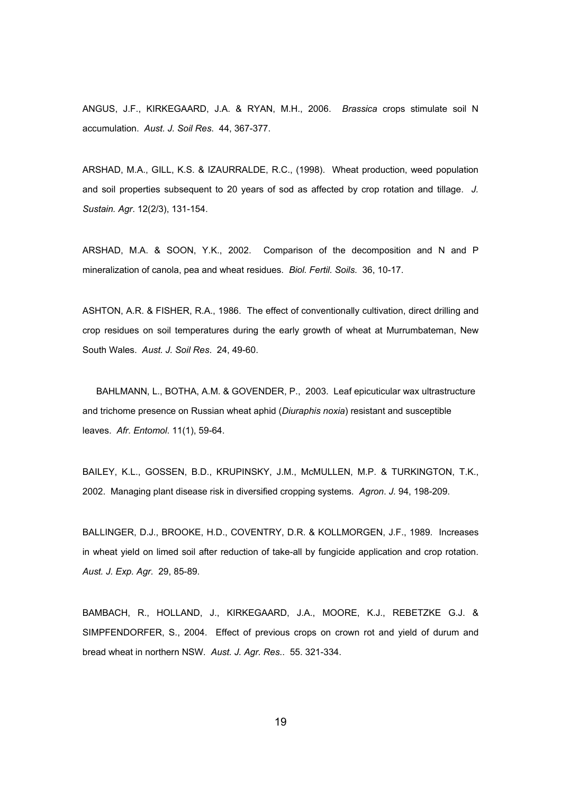ANGUS, J.F., KIRKEGAARD, J.A. & RYAN, M.H., 2006. *Brassica* crops stimulate soil N accumulation. *Aust. J. Soil Res*. 44, 367-377.

ARSHAD, M.A., GILL, K.S. & IZAURRALDE, R.C., (1998). Wheat production, weed population and soil properties subsequent to 20 years of sod as affected by crop rotation and tillage. *J. Sustain. Agr*. 12(2/3), 131-154.

ARSHAD, M.A. & SOON, Y.K., 2002. Comparison of the decomposition and N and P mineralization of canola, pea and wheat residues. *Biol. Fertil. Soils*. 36, 10-17.

ASHTON, A.R. & FISHER, R.A., 1986. The effect of conventionally cultivation, direct drilling and crop residues on soil temperatures during the early growth of wheat at Murrumbateman, New South Wales. *Aust. J. Soil Res*. 24, 49-60.

BAHLMANN, L., BOTHA, A.M. & GOVENDER, P., 2003. Leaf epicuticular wax ultrastructure and trichome presence on Russian wheat aphid (*Diuraphis noxia*) resistant and susceptible leaves. *Afr. Entomol*. 11(1), 59-64.

BAILEY, K.L., GOSSEN, B.D., KRUPINSKY, J.M., McMULLEN, M.P. & TURKINGTON, T.K., 2002. Managing plant disease risk in diversified cropping systems. *Agron*. *J.* 94, 198-209.

BALLINGER, D.J., BROOKE, H.D., COVENTRY, D.R. & KOLLMORGEN, J.F., 1989. Increases in wheat yield on limed soil after reduction of take-all by fungicide application and crop rotation. *Aust. J. Exp. Agr.* 29, 85-89.

BAMBACH, R., HOLLAND, J., KIRKEGAARD, J.A., MOORE, K.J., REBETZKE G.J. & SIMPFENDORFER, S., 2004. Effect of previous crops on crown rot and yield of durum and bread wheat in northern NSW. *Aust. J. Agr. Res*.. 55. 321-334.

ta a 1992 a 1993 a 1994 a 1995 a 1996 a 1997 a 1998 a 1999 a 1999 a 1999 a 1999 a 1999 a 1999 a 199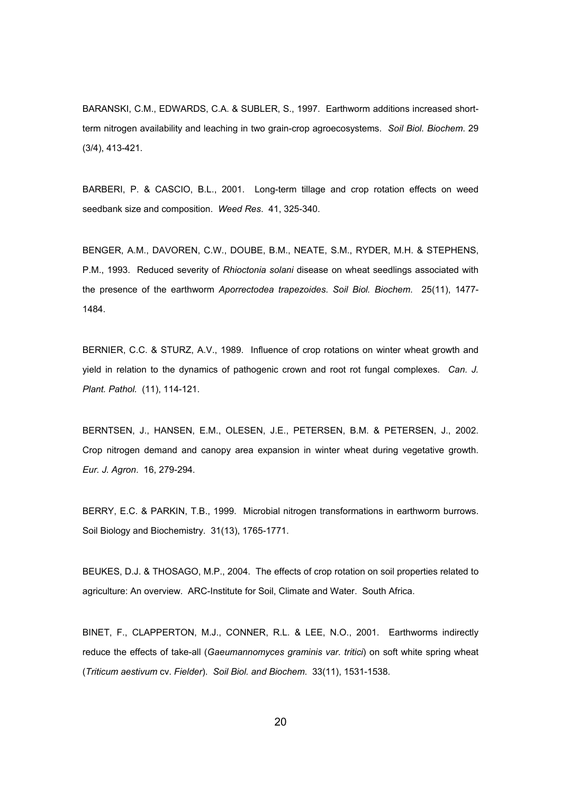BARANSKI, C.M., EDWARDS, C.A. & SUBLER, S., 1997. Earthworm additions increased shortterm nitrogen availability and leaching in two grain-crop agroecosystems. *Soil Biol. Biochem*. 29 (3/4), 413-421.

BARBERI, P. & CASCIO, B.L., 2001. Long-term tillage and crop rotation effects on weed seedbank size and composition. *Weed Res*. 41, 325-340.

BENGER, A.M., DAVOREN, C.W., DOUBE, B.M., NEATE, S.M., RYDER, M.H. & STEPHENS, P.M., 1993. Reduced severity of *Rhioctonia solani* disease on wheat seedlings associated with the presence of the earthworm *Aporrectodea trapezoides*. *Soil Biol. Biochem*. 25(11), 1477- 1484.

BERNIER, C.C. & STURZ, A.V., 1989. Influence of crop rotations on winter wheat growth and yield in relation to the dynamics of pathogenic crown and root rot fungal complexes. *Can. J. Plant. Pathol.* (11), 114-121.

BERNTSEN, J., HANSEN, E.M., OLESEN, J.E., PETERSEN, B.M. & PETERSEN, J., 2002. Crop nitrogen demand and canopy area expansion in winter wheat during vegetative growth. *Eur. J. Agron*. 16, 279-294.

BERRY, E.C. & PARKIN, T.B., 1999. Microbial nitrogen transformations in earthworm burrows. Soil Biology and Biochemistry. 31(13), 1765-1771.

BEUKES, D.J. & THOSAGO, M.P., 2004. The effects of crop rotation on soil properties related to agriculture: An overview. ARC-Institute for Soil, Climate and Water. South Africa.

BINET, F., CLAPPERTON, M.J., CONNER, R.L. & LEE, N.O., 2001. Earthworms indirectly reduce the effects of take-all (*Gaeumannomyces graminis var. tritici*) on soft white spring wheat (*Triticum aestivum* cv. *Fielder*). *Soil Biol. and Biochem*. 33(11), 1531-1538.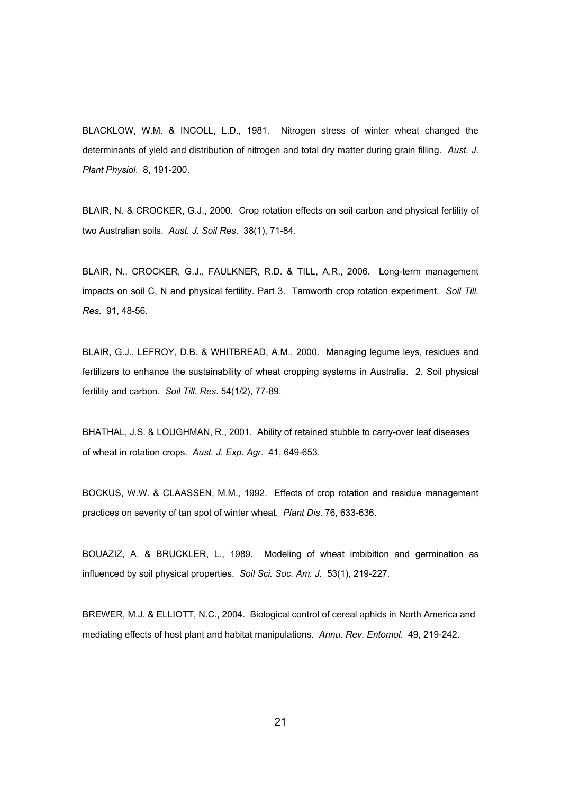BLACKLOW, W.M. & INCOLL, L.D., 1981. Nitrogen stress of winter wheat changed the determinants of yield and distribution of nitrogen and total dry matter during grain filling. *Aust. J. Plant Physiol*. 8, 191-200.

BLAIR, N. & CROCKER, G.J., 2000. Crop rotation effects on soil carbon and physical fertility of two Australian soils. *Aust. J. Soil Res*. 38(1), 71-84.

BLAIR, N., CROCKER, G.J., FAULKNER, R.D. & TILL, A.R., 2006. Long-term management impacts on soil C, N and physical fertility. Part 3. Tamworth crop rotation experiment. *Soil Till. Res*. 91, 48-56.

BLAIR, G.J., LEFROY, D.B. & WHITBREAD, A.M., 2000. Managing legume leys, residues and fertilizers to enhance the sustainability of wheat cropping systems in Australia. 2. Soil physical fertility and carbon. *Soil Till. Res*. 54(1/2), 77-89.

BHATHAL, J.S. & LOUGHMAN, R., 2001. Ability of retained stubble to carry-over leaf diseases of wheat in rotation crops. *Aust. J. Exp. Agr*. 41, 649-653.

BOCKUS, W.W. & CLAASSEN, M.M., 1992. Effects of crop rotation and residue management practices on severity of tan spot of winter wheat. *Plant Dis*. 76, 633-636.

BOUAZIZ, A. & BRUCKLER, L., 1989. Modeling of wheat imbibition and germination as influenced by soil physical properties. *Soil Sci. Soc. Am. J*. 53(1), 219-227.

BREWER, M.J. & ELLIOTT, N.C., 2004. Biological control of cereal aphids in North America and mediating effects of host plant and habitat manipulations. *Annu. Rev. Entomol*. 49, 219-242.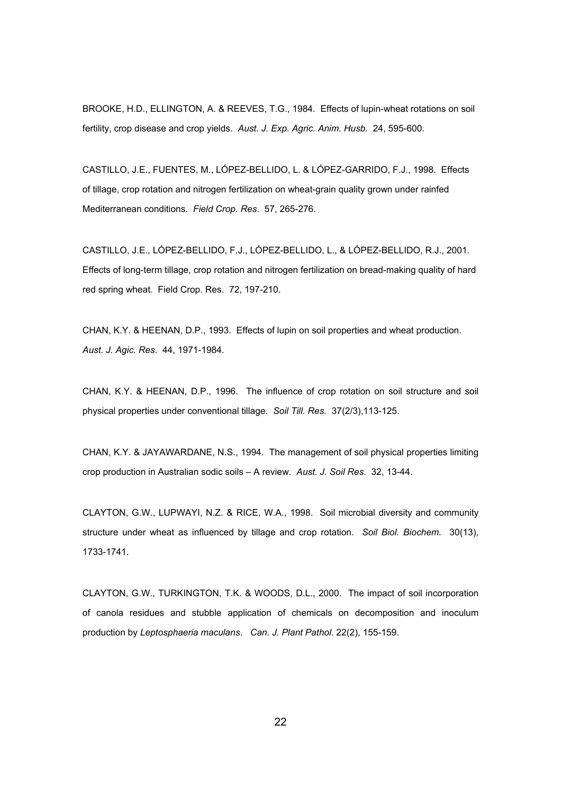BROOKE, H.D., ELLINGTON, A. & REEVES, T.G., 1984. Effects of lupin-wheat rotations on soil fertility, crop disease and crop yields. *Aust. J. Exp. Agric. Anim. Husb.* 24, 595-600.

CASTILLO, J.E., FUENTES, M., LÓPEZ-BELLIDO, L. & LÓPEZ-GARRIDO, F.J., 1998. Effects of tillage, crop rotation and nitrogen fertilization on wheat-grain quality grown under rainfed Mediterranean conditions. *Field Crop. Res*. 57, 265-276.

CASTILLO, J.E., LÓPEZ-BELLIDO, F.J., LÓPEZ-BELLIDO, L., & LÓPEZ-BELLIDO, R.J., 2001. Effects of long-term tillage, crop rotation and nitrogen fertilization on bread-making quality of hard red spring wheat. Field Crop. Res. 72, 197-210.

CHAN, K.Y. & HEENAN, D.P., 1993. Effects of lupin on soil properties and wheat production. *Aust. J. Agic. Res*. 44, 1971-1984.

CHAN, K.Y. & HEENAN, D.P., 1996. The influence of crop rotation on soil structure and soil physical properties under conventional tillage. *Soil Till. Res.* 37(2/3),113-125.

CHAN, K.Y. & JAYAWARDANE, N.S., 1994. The management of soil physical properties limiting crop production in Australian sodic soils – A review. *Aust. J. Soil Res*. 32, 13-44.

CLAYTON, G.W., LUPWAYI, N.Z. & RICE, W.A., 1998. Soil microbial diversity and community structure under wheat as influenced by tillage and crop rotation. *Soil Biol. Biochem.* 30(13), 1733-1741.

CLAYTON, G.W., TURKINGTON, T.K. & WOODS, D.L., 2000. The impact of soil incorporation of canola residues and stubble application of chemicals on decomposition and inoculum production by *Leptosphaeria maculans*. *Can. J. Plant Pathol*. 22(2), 155-159.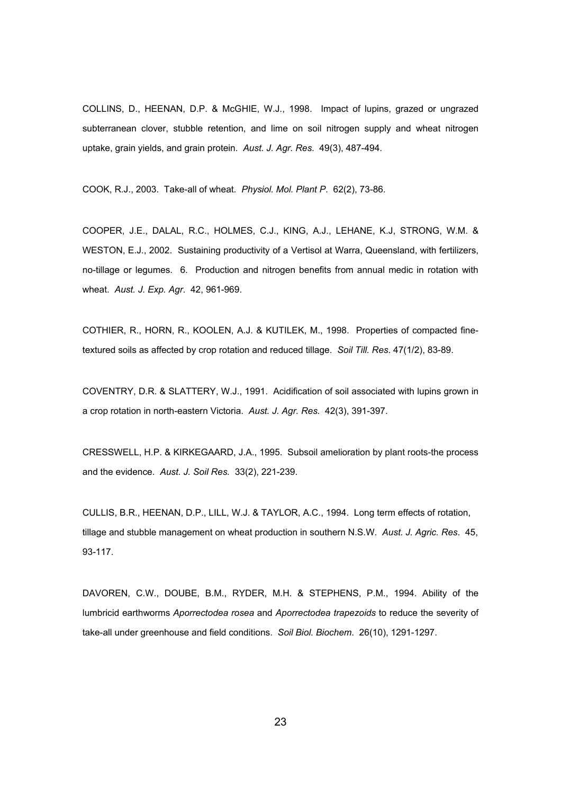COLLINS, D., HEENAN, D.P. & McGHIE, W.J., 1998. Impact of lupins, grazed or ungrazed subterranean clover, stubble retention, and lime on soil nitrogen supply and wheat nitrogen uptake, grain yields, and grain protein. *Aust. J. Agr. Res*. 49(3), 487-494.

COOK, R.J., 2003. Take-all of wheat. *Physiol. Mol. Plant P*. 62(2), 73-86.

COOPER, J.E., DALAL, R.C., HOLMES, C.J., KING, A.J., LEHANE, K.J, STRONG, W.M. & WESTON, E.J., 2002. Sustaining productivity of a Vertisol at Warra, Queensland, with fertilizers, no-tillage or legumes. 6. Production and nitrogen benefits from annual medic in rotation with wheat. *Aust. J. Exp. Agr*. 42, 961-969.

COTHIER, R., HORN, R., KOOLEN, A.J. & KUTILEK, M., 1998. Properties of compacted finetextured soils as affected by crop rotation and reduced tillage. *Soil Till. Res*. 47(1/2), 83-89.

COVENTRY, D.R. & SLATTERY, W.J., 1991. Acidification of soil associated with lupins grown in a crop rotation in north-eastern Victoria. *Aust. J. Agr. Res*. 42(3), 391-397.

CRESSWELL, H.P. & KIRKEGAARD, J.A., 1995. Subsoil amelioration by plant roots-the process and the evidence. *Aust. J. Soil Res.* 33(2), 221-239.

CULLIS, B.R., HEENAN, D.P., LILL, W.J. & TAYLOR, A.C., 1994. Long term effects of rotation, tillage and stubble management on wheat production in southern N.S.W. *Aust. J. Agric. Res*. 45, 93-117.

DAVOREN, C.W., DOUBE, B.M., RYDER, M.H. & STEPHENS, P.M., 1994. Ability of the lumbricid earthworms *Aporrectodea rosea* and *Aporrectodea trapezoids* to reduce the severity of take-all under greenhouse and field conditions. *Soil Biol. Biochem*. 26(10), 1291-1297.

<u>23 and 23 and 23 and 23 and 23 and 23 and 23 and 23 and 23 and 23 and 23 and 23 and 23 and 23 and 23 and 23 and 23 and 23 and 23 and 23 and 23 and 23 and 23 and 23 and 23 and 23 and 23 and 23 and 23 and 23 and 23 and 23 a</u>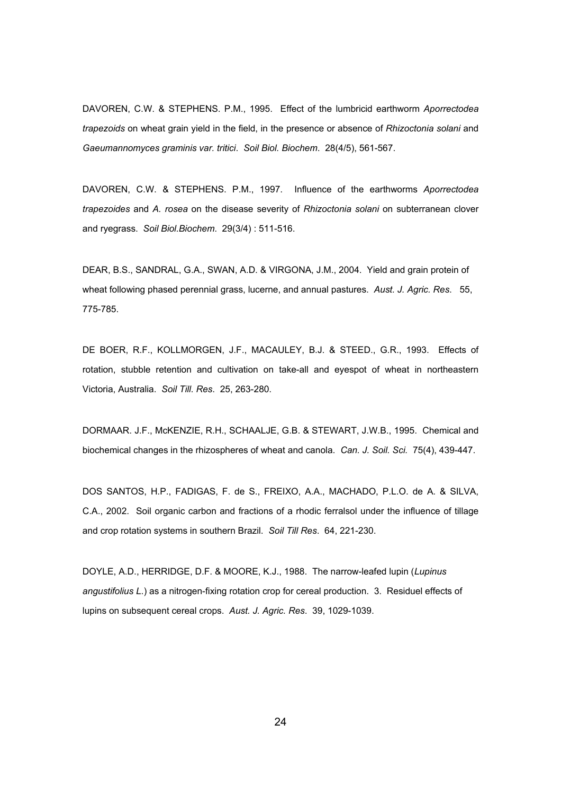DAVOREN, C.W. & STEPHENS. P.M., 1995. Effect of the lumbricid earthworm *Aporrectodea trapezoids* on wheat grain yield in the field, in the presence or absence of *Rhizoctonia solani* and *Gaeumannomyces graminis var. tritici*. *Soil Biol. Biochem*. 28(4/5), 561-567.

DAVOREN, C.W. & STEPHENS. P.M., 1997. Influence of the earthworms *Aporrectodea trapezoides* and *A. rosea* on the disease severity of *Rhizoctonia solani* on subterranean clover and ryegrass. *Soil Biol.Biochem*. 29(3/4) : 511-516.

DEAR, B.S., SANDRAL, G.A., SWAN, A.D. & VIRGONA, J.M., 2004. Yield and grain protein of wheat following phased perennial grass, lucerne, and annual pastures. *Aust. J. Agric. Res*. 55, 775-785.

DE BOER, R.F., KOLLMORGEN, J.F., MACAULEY, B.J. & STEED., G.R., 1993. Effects of rotation, stubble retention and cultivation on take-all and eyespot of wheat in northeastern Victoria, Australia. *Soil Till. Res*. 25, 263-280.

DORMAAR. J.F., McKENZIE, R.H., SCHAALJE, G.B. & STEWART, J.W.B., 1995. Chemical and biochemical changes in the rhizospheres of wheat and canola. *Can. J. Soil. Sci.* 75(4), 439-447.

DOS SANTOS, H.P., FADIGAS, F. de S., FREIXO, A.A., MACHADO, P.L.O. de A. & SILVA, C.A., 2002. Soil organic carbon and fractions of a rhodic ferralsol under the influence of tillage and crop rotation systems in southern Brazil. *Soil Till Res*. 64, 221-230.

DOYLE, A.D., HERRIDGE, D.F. & MOORE, K.J., 1988. The narrow-leafed lupin (*Lupinus angustifolius L*.) as a nitrogen-fixing rotation crop for cereal production. 3. Residuel effects of lupins on subsequent cereal crops. *Aust. J. Agric. Res*. 39, 1029-1039.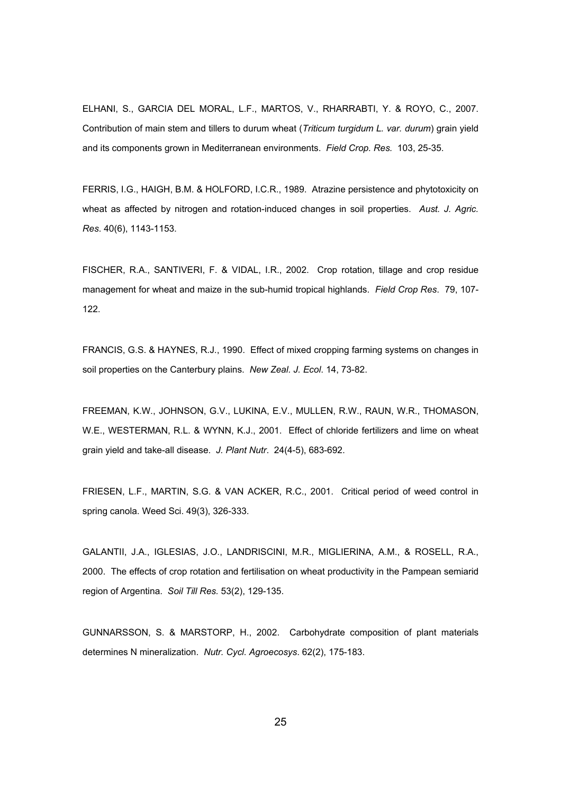ELHANI, S., GARCIA DEL MORAL, L.F., MARTOS, V., RHARRABTI, Y. & ROYO, C., 2007. Contribution of main stem and tillers to durum wheat (*Triticum turgidum L. var. durum*) grain yield and its components grown in Mediterranean environments. *Field Crop. Res.* 103, 25-35.

FERRIS, I.G., HAIGH, B.M. & HOLFORD, I.C.R., 1989. Atrazine persistence and phytotoxicity on wheat as affected by nitrogen and rotation-induced changes in soil properties. *Aust. J. Agric. Res*. 40(6), 1143-1153.

FISCHER, R.A., SANTIVERI, F. & VIDAL, I.R., 2002. Crop rotation, tillage and crop residue management for wheat and maize in the sub-humid tropical highlands. *Field Crop Res*. 79, 107- 122.

FRANCIS, G.S. & HAYNES, R.J., 1990. Effect of mixed cropping farming systems on changes in soil properties on the Canterbury plains. *New Zeal. J. Ecol*. 14, 73-82.

FREEMAN, K.W., JOHNSON, G.V., LUKINA, E.V., MULLEN, R.W., RAUN, W.R., THOMASON, W.E., WESTERMAN, R.L. & WYNN, K.J., 2001. Effect of chloride fertilizers and lime on wheat grain yield and take-all disease. *J. Plant Nutr*. 24(4-5), 683-692.

FRIESEN, L.F., MARTIN, S.G. & VAN ACKER, R.C., 2001. Critical period of weed control in spring canola. Weed Sci. 49(3), 326-333.

GALANTII, J.A., IGLESIAS, J.O., LANDRISCINI, M.R., MIGLIERINA, A.M., & ROSELL, R.A., 2000. The effects of crop rotation and fertilisation on wheat productivity in the Pampean semiarid region of Argentina. *Soil Till Res.* 53(2), 129-135.

GUNNARSSON, S. & MARSTORP, H., 2002. Carbohydrate composition of plant materials determines N mineralization. *Nutr. Cycl. Agroecosys*. 62(2), 175-183.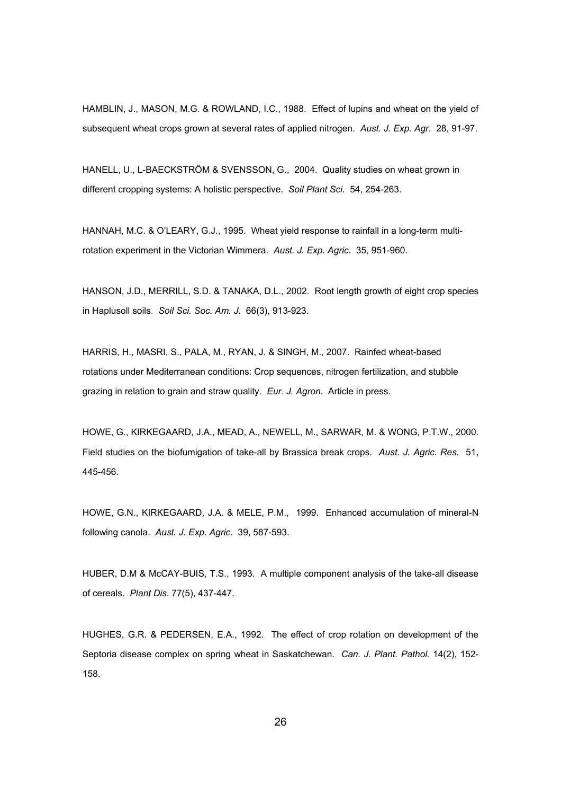HAMBLIN, J., MASON, M.G. & ROWLAND, I.C., 1988. Effect of lupins and wheat on the yield of subsequent wheat crops grown at several rates of applied nitrogen. *Aust. J. Exp. Agr*. 28, 91-97.

HANELL, U., L-BAECKSTRÖM & SVENSSON, G., 2004. Quality studies on wheat grown in different cropping systems: A holistic perspective. *Soil Plant Sci*. 54, 254-263.

HANNAH, M.C. & O'LEARY, G.J., 1995. Wheat yield response to rainfall in a long-term multirotation experiment in the Victorian Wimmera. *Aust. J. Exp. Agric*. 35, 951-960.

HANSON, J.D., MERRILL, S.D. & TANAKA, D.L., 2002. Root length growth of eight crop species in Haplusoll soils. *Soil Sci. Soc. Am. J.* 66(3), 913-923.

HARRIS, H., MASRI, S., PALA, M., RYAN, J. & SINGH, M., 2007. Rainfed wheat-based rotations under Mediterranean conditions: Crop sequences, nitrogen fertilization, and stubble grazing in relation to grain and straw quality. *Eur. J. Agron*. Article in press.

HOWE, G., KIRKEGAARD, J.A., MEAD, A., NEWELL, M., SARWAR, M. & WONG, P.T.W., 2000. Field studies on the biofumigation of take-all by Brassica break crops. *Aust. J. Agric. Res.* 51, 445-456.

HOWE, G.N., KIRKEGAARD, J.A. & MELE, P.M., 1999. Enhanced accumulation of mineral-N following canola. *Aust. J. Exp. Agric*. 39, 587-593.

HUBER, D.M & McCAY-BUIS, T.S., 1993. A multiple component analysis of the take-all disease of cereals. *Plant Dis*. 77(5), 437-447.

HUGHES, G.R. & PEDERSEN, E.A., 1992. The effect of crop rotation on development of the Septoria disease complex on spring wheat in Saskatchewan. *Can. J. Plant. Pathol.* 14(2), 152- 158.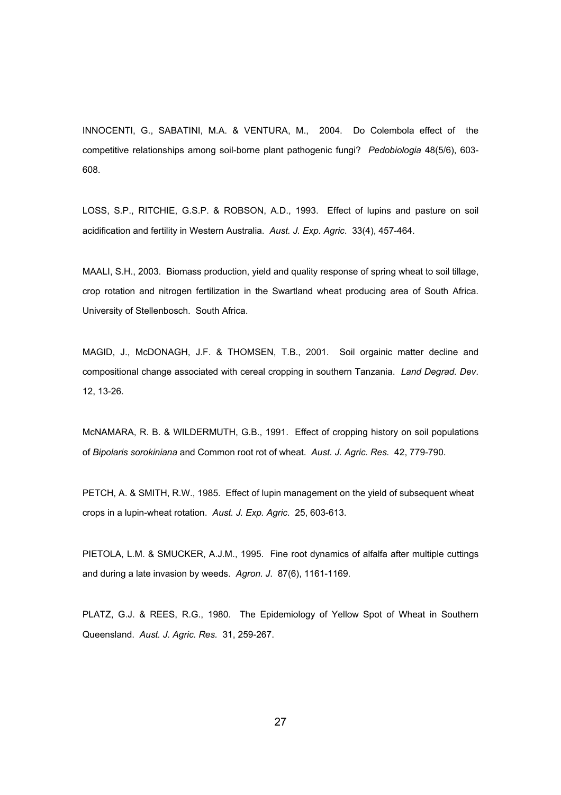INNOCENTI, G., SABATINI, M.A. & VENTURA, M., 2004. Do Colembola effect of the competitive relationships among soil-borne plant pathogenic fungi? *Pedobiologia* 48(5/6), 603- 608.

LOSS, S.P., RITCHIE, G.S.P. & ROBSON, A.D., 1993. Effect of lupins and pasture on soil acidification and fertility in Western Australia. *Aust. J. Exp. Agric*. 33(4), 457-464.

MAALI, S.H., 2003. Biomass production, yield and quality response of spring wheat to soil tillage, crop rotation and nitrogen fertilization in the Swartland wheat producing area of South Africa. University of Stellenbosch. South Africa.

MAGID, J., McDONAGH, J.F. & THOMSEN, T.B., 2001. Soil orgainic matter decline and compositional change associated with cereal cropping in southern Tanzania. *Land Degrad. Dev*. 12, 13-26.

McNAMARA, R. B. & WILDERMUTH, G.B., 1991. Effect of cropping history on soil populations of *Bipolaris sorokiniana* and Common root rot of wheat. *Aust. J. Agric. Res.* 42, 779-790.

PETCH, A. & SMITH, R.W., 1985. Effect of lupin management on the yield of subsequent wheat crops in a lupin-wheat rotation. *Aust. J. Exp. Agric*. 25, 603-613.

PIETOLA, L.M. & SMUCKER, A.J.M., 1995. Fine root dynamics of alfalfa after multiple cuttings and during a late invasion by weeds. *Agron. J*. 87(6), 1161-1169.

PLATZ, G.J. & REES, R.G., 1980. The Epidemiology of Yellow Spot of Wheat in Southern Queensland. *Aust. J. Agric. Res.* 31, 259-267.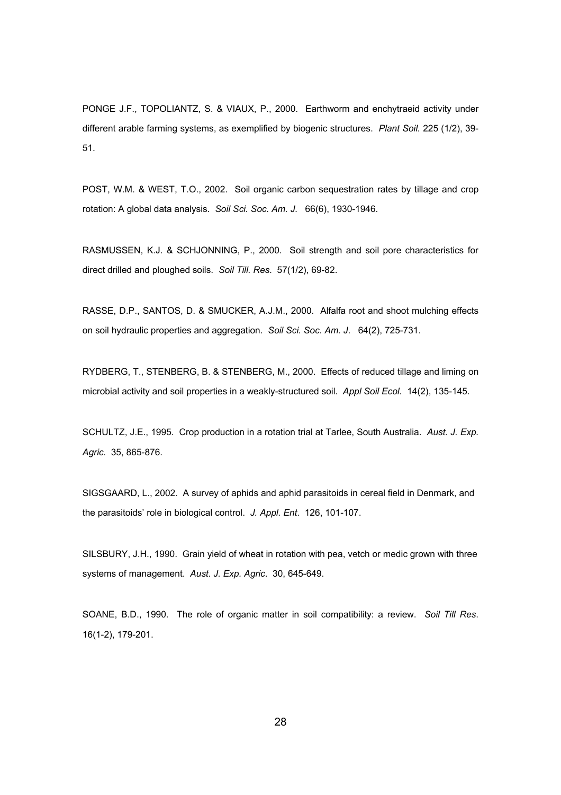PONGE J.F., TOPOLIANTZ, S. & VIAUX, P., 2000. Earthworm and enchytraeid activity under different arable farming systems, as exemplified by biogenic structures. *Plant Soil.* 225 (1/2), 39- 51.

POST, W.M. & WEST, T.O., 2002. Soil organic carbon sequestration rates by tillage and crop rotation: A global data analysis. *Soil Sci. Soc. Am. J.* 66(6), 1930-1946.

RASMUSSEN, K.J. & SCHJONNING, P., 2000. Soil strength and soil pore characteristics for direct drilled and ploughed soils. *Soil Till. Res*. 57(1/2), 69-82.

RASSE, D.P., SANTOS, D. & SMUCKER, A.J.M., 2000. Alfalfa root and shoot mulching effects on soil hydraulic properties and aggregation. *Soil Sci. Soc. Am. J*. 64(2), 725-731.

RYDBERG, T., STENBERG, B. & STENBERG, M., 2000. Effects of reduced tillage and liming on microbial activity and soil properties in a weakly-structured soil. *Appl Soil Ecol*. 14(2), 135-145.

SCHULTZ, J.E., 1995. Crop production in a rotation trial at Tarlee, South Australia. *Aust. J. Exp. Agric.* 35, 865-876.

SIGSGAARD, L., 2002. A survey of aphids and aphid parasitoids in cereal field in Denmark, and the parasitoids' role in biological control. *J. Appl. Ent*. 126, 101-107.

SILSBURY, J.H., 1990. Grain yield of wheat in rotation with pea, vetch or medic grown with three systems of management. *Aust. J. Exp. Agric*. 30, 645-649.

SOANE, B.D., 1990. The role of organic matter in soil compatibility: a review. *Soil Till Res*. 16(1-2), 179-201.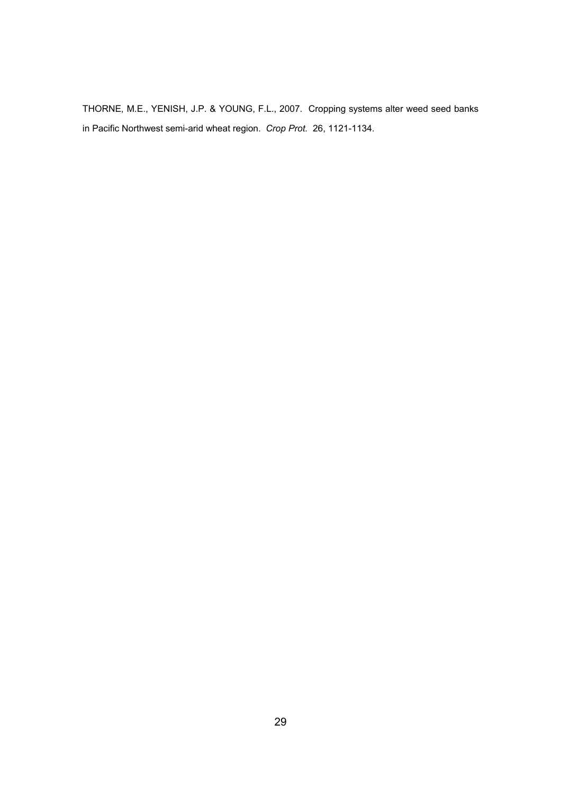THORNE, M.E., YENISH, J.P. & YOUNG, F.L., 2007. Cropping systems alter weed seed banks in Pacific Northwest semi-arid wheat region. *Crop Prot.* 26, 1121-1134.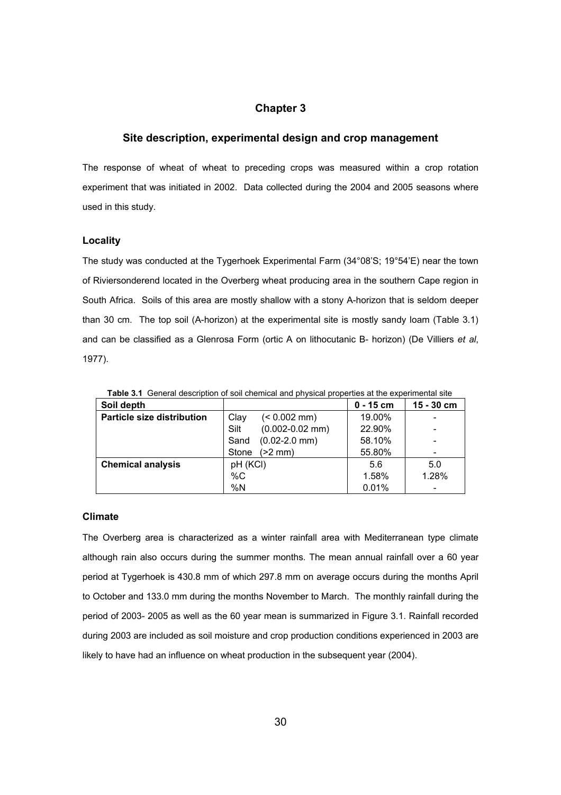# **Chapter 3**

# **Site description, experimental design and crop management**

The response of wheat of wheat to preceding crops was measured within a crop rotation experiment that was initiated in 2002. Data collected during the 2004 and 2005 seasons where used in this study.

#### **Locality**

The study was conducted at the Tygerhoek Experimental Farm (34°08'S; 19°54'E) near the town of Riviersonderend located in the Overberg wheat producing area in the southern Cape region in South Africa. Soils of this area are mostly shallow with a stony A-horizon that is seldom deeper than 30 cm. The top soil (A-horizon) at the experimental site is mostly sandy loam (Table 3.1) and can be classified as a Glenrosa Form (ortic A on lithocutanic B- horizon) (De Villiers *et al*, 1977).

| Soil depth                        |                             | $0 - 15$ cm | $15 - 30$ cm |
|-----------------------------------|-----------------------------|-------------|--------------|
| <b>Particle size distribution</b> | $(< 0.002$ mm)<br>Clay      | 19.00%      |              |
|                                   | $(0.002 - 0.02$ mm)<br>Silt | 22.90%      |              |
|                                   | $(0.02 - 2.0$ mm)<br>Sand   | 58.10%      |              |
|                                   | $(>2$ mm $)$<br>Stone       | 55.80%      |              |
| <b>Chemical analysis</b>          | pH (KCI)                    | 5.6         | 5.0          |
|                                   | $\%C$                       | 1.58%       | 1.28%        |
|                                   | %N                          | 0.01%       |              |

**Table 3.1** General description of soil chemical and physical properties at the experimental site

#### **Climate**

The Overberg area is characterized as a winter rainfall area with Mediterranean type climate although rain also occurs during the summer months. The mean annual rainfall over a 60 year period at Tygerhoek is 430.8 mm of which 297.8 mm on average occurs during the months April to October and 133.0 mm during the months November to March. The monthly rainfall during the period of 2003- 2005 as well as the 60 year mean is summarized in Figure 3.1. Rainfall recorded during 2003 are included as soil moisture and crop production conditions experienced in 2003 are likely to have had an influence on wheat production in the subsequent year (2004).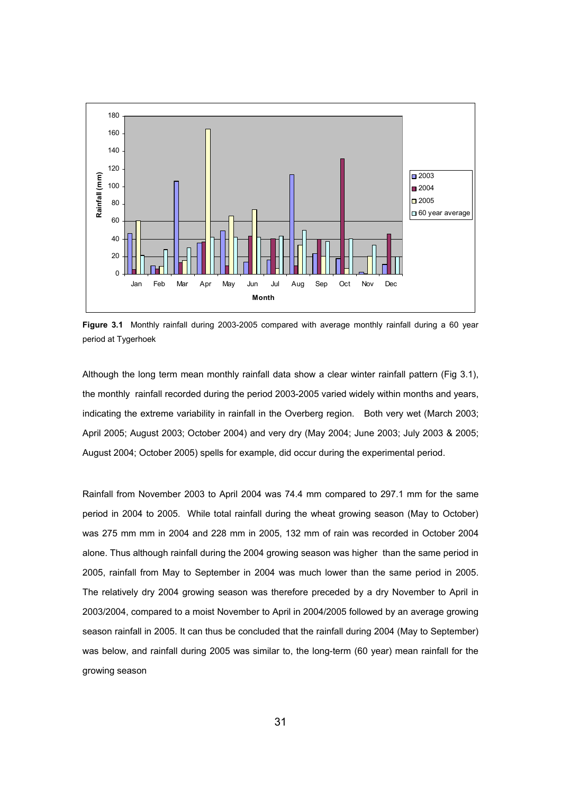

**Figure 3.1** Monthly rainfall during 2003-2005 compared with average monthly rainfall during a 60 year period at Tygerhoek

Although the long term mean monthly rainfall data show a clear winter rainfall pattern (Fig 3.1), the monthly rainfall recorded during the period 2003-2005 varied widely within months and years, indicating the extreme variability in rainfall in the Overberg region. Both very wet (March 2003; April 2005; August 2003; October 2004) and very dry (May 2004; June 2003; July 2003 & 2005; August 2004; October 2005) spells for example, did occur during the experimental period.

Rainfall from November 2003 to April 2004 was 74.4 mm compared to 297.1 mm for the same period in 2004 to 2005. While total rainfall during the wheat growing season (May to October) was 275 mm mm in 2004 and 228 mm in 2005, 132 mm of rain was recorded in October 2004 alone. Thus although rainfall during the 2004 growing season was higher than the same period in 2005, rainfall from May to September in 2004 was much lower than the same period in 2005. The relatively dry 2004 growing season was therefore preceded by a dry November to April in 2003/2004, compared to a moist November to April in 2004/2005 followed by an average growing season rainfall in 2005. It can thus be concluded that the rainfall during 2004 (May to September) was below, and rainfall during 2005 was similar to, the long-term (60 year) mean rainfall for the growing season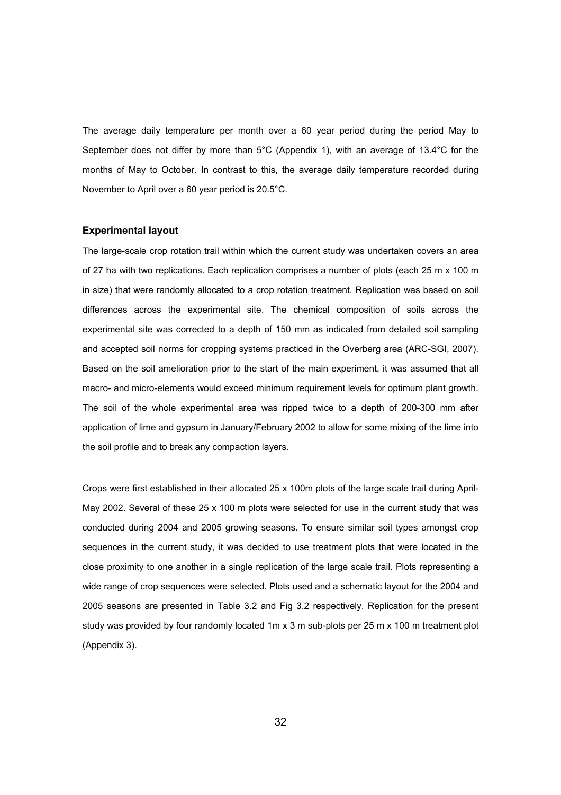The average daily temperature per month over a 60 year period during the period May to September does not differ by more than 5°C (Appendix 1), with an average of 13.4°C for the months of May to October. In contrast to this, the average daily temperature recorded during November to April over a 60 year period is 20.5°C.

#### **Experimental layout**

The large-scale crop rotation trail within which the current study was undertaken covers an area of 27 ha with two replications. Each replication comprises a number of plots (each 25 m x 100 m in size) that were randomly allocated to a crop rotation treatment. Replication was based on soil differences across the experimental site. The chemical composition of soils across the experimental site was corrected to a depth of 150 mm as indicated from detailed soil sampling and accepted soil norms for cropping systems practiced in the Overberg area (ARC-SGI, 2007). Based on the soil amelioration prior to the start of the main experiment, it was assumed that all macro- and micro-elements would exceed minimum requirement levels for optimum plant growth. The soil of the whole experimental area was ripped twice to a depth of 200-300 mm after application of lime and gypsum in January/February 2002 to allow for some mixing of the lime into the soil profile and to break any compaction layers.

Crops were first established in their allocated 25 x 100m plots of the large scale trail during April-May 2002. Several of these  $25 \times 100$  m plots were selected for use in the current study that was conducted during 2004 and 2005 growing seasons. To ensure similar soil types amongst crop sequences in the current study, it was decided to use treatment plots that were located in the close proximity to one another in a single replication of the large scale trail. Plots representing a wide range of crop sequences were selected. Plots used and a schematic layout for the 2004 and 2005 seasons are presented in Table 3.2 and Fig 3.2 respectively. Replication for the present study was provided by four randomly located 1m x 3 m sub-plots per 25 m x 100 m treatment plot (Appendix 3).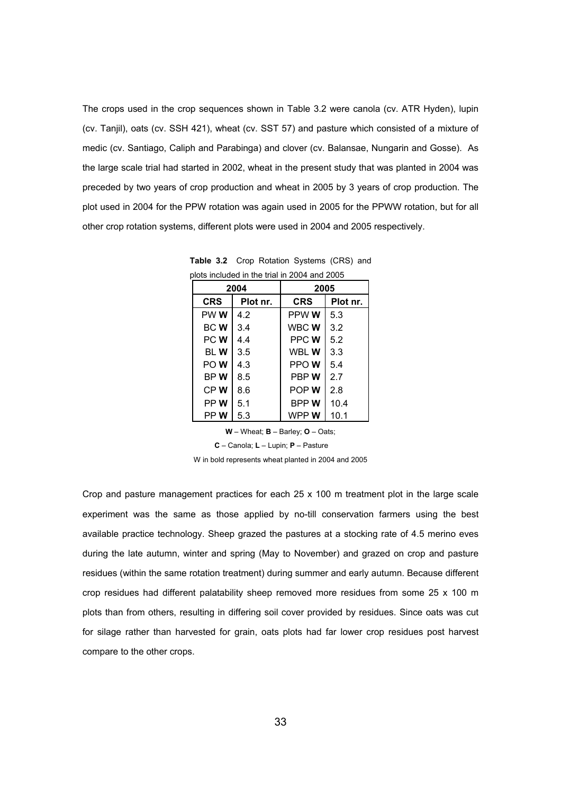The crops used in the crop sequences shown in Table 3.2 were canola (cv. ATR Hyden), lupin (cv. Tanjil), oats (cv. SSH 421), wheat (cv. SST 57) and pasture which consisted of a mixture of medic (cv. Santiago, Caliph and Parabinga) and clover (cv. Balansae, Nungarin and Gosse). As the large scale trial had started in 2002, wheat in the present study that was planted in 2004 was preceded by two years of crop production and wheat in 2005 by 3 years of crop production. The plot used in 2004 for the PPW rotation was again used in 2005 for the PPWW rotation, but for all other crop rotation systems, different plots were used in 2004 and 2005 respectively.

| plots included in the trial in 2004 and 2005 |          |             |          |  |  |
|----------------------------------------------|----------|-------------|----------|--|--|
| 2004                                         |          | 2005        |          |  |  |
| <b>CRS</b>                                   | Plot nr. | <b>CRS</b>  | Plot nr. |  |  |
| PW W                                         | 4.2      | PPW W       | 5.3      |  |  |
| <b>BCW</b>                                   | 3.4      | WBC W       | 3.2      |  |  |
| PC W                                         | 4.4      | PPC W       | 5.2      |  |  |
| bl W                                         | 3.5      | WBL W       | 3.3      |  |  |
| PO W                                         | 4.3      | PPO W       | 5.4      |  |  |
| BP W                                         | 8.5      | PBP W       | 2.7      |  |  |
| CP W                                         | 8.6      | POP W       | 2.8      |  |  |
| PP W                                         | 5.1      | <b>BPPW</b> | 10.4     |  |  |
| PP W                                         | 5.3      | WPP W       | 10.1     |  |  |

**Table 3.2** Crop Rotation Systems (CRS) and plots included in the trial in 2004 and 2005

**W** – Wheat; **B** – Barley; **O** – Oats;

**C** – Canola; **L** – Lupin; **P** – Pasture

W in bold represents wheat planted in 2004 and 2005

Crop and pasture management practices for each 25 x 100 m treatment plot in the large scale experiment was the same as those applied by no-till conservation farmers using the best available practice technology. Sheep grazed the pastures at a stocking rate of 4.5 merino eves during the late autumn, winter and spring (May to November) and grazed on crop and pasture residues (within the same rotation treatment) during summer and early autumn. Because different crop residues had different palatability sheep removed more residues from some 25 x 100 m plots than from others, resulting in differing soil cover provided by residues. Since oats was cut for silage rather than harvested for grain, oats plots had far lower crop residues post harvest compare to the other crops.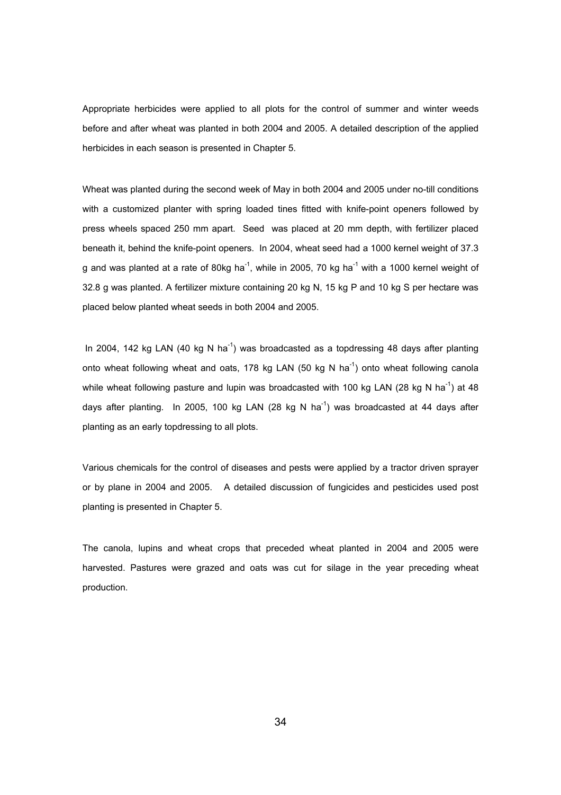Appropriate herbicides were applied to all plots for the control of summer and winter weeds before and after wheat was planted in both 2004 and 2005. A detailed description of the applied herbicides in each season is presented in Chapter 5.

Wheat was planted during the second week of May in both 2004 and 2005 under no-till conditions with a customized planter with spring loaded tines fitted with knife-point openers followed by press wheels spaced 250 mm apart. Seed was placed at 20 mm depth, with fertilizer placed beneath it, behind the knife-point openers. In 2004, wheat seed had a 1000 kernel weight of 37.3 g and was planted at a rate of 80kg ha<sup>-1</sup>, while in 2005, 70 kg ha<sup>-1</sup> with a 1000 kernel weight of 32.8 g was planted. A fertilizer mixture containing 20 kg N, 15 kg P and 10 kg S per hectare was placed below planted wheat seeds in both 2004 and 2005.

In 2004, 142 kg LAN (40 kg N ha<sup>-1</sup>) was broadcasted as a topdressing 48 days after planting onto wheat following wheat and oats, 178 kg LAN (50 kg N ha<sup>-1</sup>) onto wheat following canola while wheat following pasture and lupin was broadcasted with 100 kg LAN (28 kg N ha<sup>-1</sup>) at 48 days after planting. In 2005, 100 kg LAN (28 kg N ha<sup>-1</sup>) was broadcasted at 44 days after planting as an early topdressing to all plots.

Various chemicals for the control of diseases and pests were applied by a tractor driven sprayer or by plane in 2004 and 2005. A detailed discussion of fungicides and pesticides used post planting is presented in Chapter 5.

The canola, lupins and wheat crops that preceded wheat planted in 2004 and 2005 were harvested. Pastures were grazed and oats was cut for silage in the year preceding wheat production.

<u>34 and 2012</u>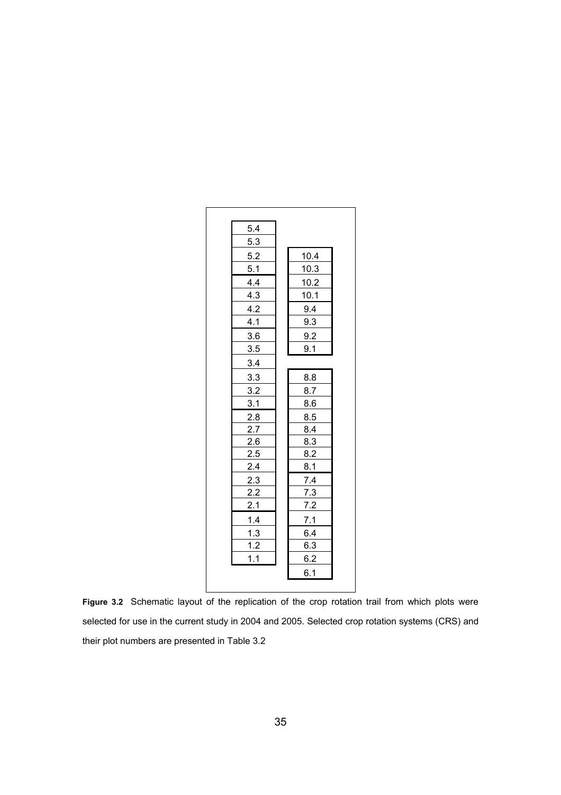| 5.4 |      |  |
|-----|------|--|
| 5.3 |      |  |
| 5.2 | 10.4 |  |
| 5.1 | 10.3 |  |
| 4.4 | 10.2 |  |
| 4.3 | 10.1 |  |
| 4.2 | 9.4  |  |
| 4.1 | 9.3  |  |
| 3.6 | 9.2  |  |
| 3.5 | 9.1  |  |
| 3.4 |      |  |
| 3.3 | 8.8  |  |
| 3.2 | 8.7  |  |
| 3.1 | 8.6  |  |
| 2.8 | 8.5  |  |
| 2.7 | 8.4  |  |
| 2.6 | 8.3  |  |
| 2.5 | 8.2  |  |
| 2.4 | 8.1  |  |
| 2.3 | 7.4  |  |
| 2.2 | 7.3  |  |
| 2.1 | 7.2  |  |
| 1.4 | 7.1  |  |
| 1.3 | 6.4  |  |
| 1.2 | 6.3  |  |
| 1.1 | 6.2  |  |
|     | 6.1  |  |
|     |      |  |

**Figure 3.2** Schematic layout of the replication of the crop rotation trail from which plots were selected for use in the current study in 2004 and 2005. Selected crop rotation systems (CRS) and their plot numbers are presented in Table 3.2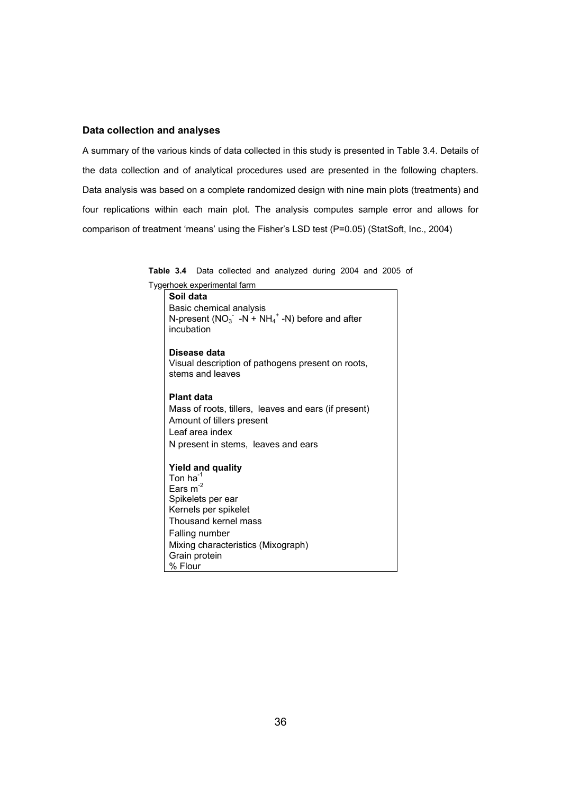# **Data collection and analyses**

A summary of the various kinds of data collected in this study is presented in Table 3.4. Details of the data collection and of analytical procedures used are presented in the following chapters. Data analysis was based on a complete randomized design with nine main plots (treatments) and four replications within each main plot. The analysis computes sample error and allows for comparison of treatment 'means' using the Fisher's LSD test (P=0.05) (StatSoft, Inc., 2004)

**Table 3.4** Data collected and analyzed during 2004 and 2005 of

Tygerhoek experimental farm

**Soil data**  Basic chemical analysis N-present ( $NO_3^-$  -N + NH<sub>4</sub><sup>+</sup> -N) before and after incubation **Disease data**  Visual description of pathogens present on roots, stems and leaves **Plant data**  Mass of roots, tillers, leaves and ears (if present) Amount of tillers present Leaf area index

**Yield and quality**  Ton ha $^{-1}$ Ears  $m<sup>-2</sup>$ Spikelets per ear Kernels per spikelet Thousand kernel mass Falling number Mixing characteristics (Mixograph) Grain protein % Flour

N present in stems, leaves and ears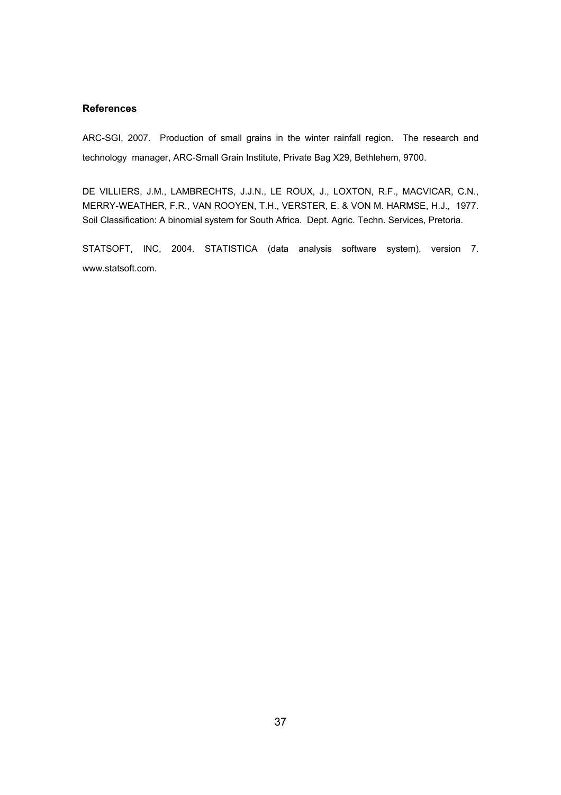# **References**

ARC-SGI, 2007. Production of small grains in the winter rainfall region. The research and technology manager, ARC-Small Grain Institute, Private Bag X29, Bethlehem, 9700.

DE VILLIERS, J.M., LAMBRECHTS, J.J.N., LE ROUX, J., LOXTON, R.F., MACVICAR, C.N., MERRY-WEATHER, F.R., VAN ROOYEN, T.H., VERSTER, E. & VON M. HARMSE, H.J., 1977. Soil Classification: A binomial system for South Africa. Dept. Agric. Techn. Services, Pretoria.

STATSOFT, INC, 2004. STATISTICA (data analysis software system), version 7. www.statsoft.com.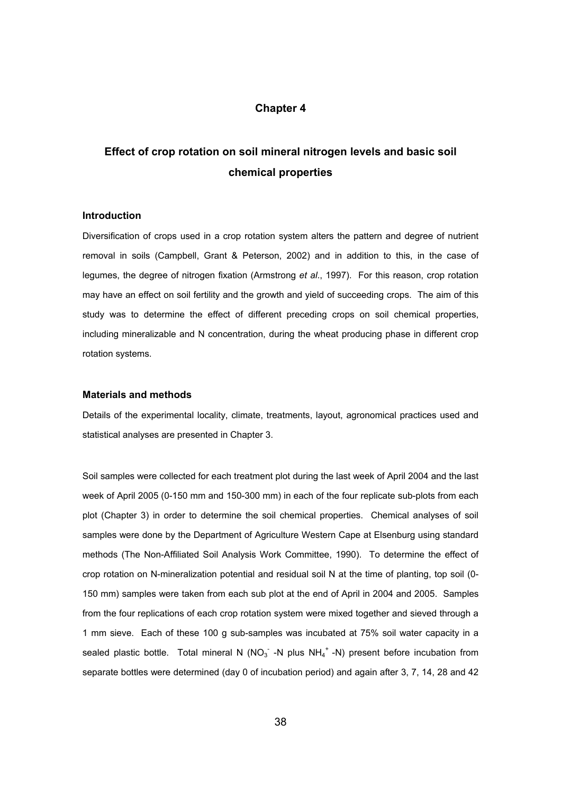# **Chapter 4**

# **Effect of crop rotation on soil mineral nitrogen levels and basic soil chemical properties**

# **Introduction**

Diversification of crops used in a crop rotation system alters the pattern and degree of nutrient removal in soils (Campbell, Grant & Peterson, 2002) and in addition to this, in the case of legumes, the degree of nitrogen fixation (Armstrong *et al*., 1997). For this reason, crop rotation may have an effect on soil fertility and the growth and yield of succeeding crops. The aim of this study was to determine the effect of different preceding crops on soil chemical properties, including mineralizable and N concentration, during the wheat producing phase in different crop rotation systems.

#### **Materials and methods**

Details of the experimental locality, climate, treatments, layout, agronomical practices used and statistical analyses are presented in Chapter 3.

Soil samples were collected for each treatment plot during the last week of April 2004 and the last week of April 2005 (0-150 mm and 150-300 mm) in each of the four replicate sub-plots from each plot (Chapter 3) in order to determine the soil chemical properties. Chemical analyses of soil samples were done by the Department of Agriculture Western Cape at Elsenburg using standard methods (The Non-Affiliated Soil Analysis Work Committee, 1990). To determine the effect of crop rotation on N-mineralization potential and residual soil N at the time of planting, top soil (0- 150 mm) samples were taken from each sub plot at the end of April in 2004 and 2005. Samples from the four replications of each crop rotation system were mixed together and sieved through a 1 mm sieve. Each of these 100 g sub-samples was incubated at 75% soil water capacity in a sealed plastic bottle. Total mineral N (NO<sub>3</sub> -N plus NH<sub>4</sub><sup>+</sup> -N) present before incubation from separate bottles were determined (day 0 of incubation period) and again after 3, 7, 14, 28 and 42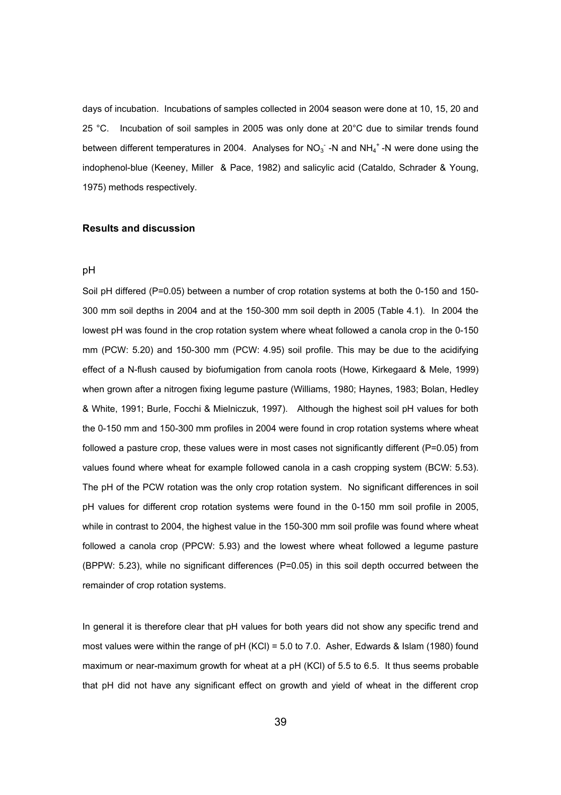days of incubation. Incubations of samples collected in 2004 season were done at 10, 15, 20 and 25 °C. Incubation of soil samples in 2005 was only done at 20°C due to similar trends found between different temperatures in 2004. Analyses for NO<sub>3</sub><sup>-</sup>-N and NH<sub>4</sub><sup>+</sup>-N were done using the indophenol-blue (Keeney, Miller & Pace, 1982) and salicylic acid (Cataldo, Schrader & Young, 1975) methods respectively.

#### **Results and discussion**

#### pH

Soil pH differed (P=0.05) between a number of crop rotation systems at both the 0-150 and 150-300 mm soil depths in 2004 and at the 150-300 mm soil depth in 2005 (Table 4.1). In 2004 the lowest pH was found in the crop rotation system where wheat followed a canola crop in the 0-150 mm (PCW: 5.20) and 150-300 mm (PCW: 4.95) soil profile. This may be due to the acidifying effect of a N-flush caused by biofumigation from canola roots (Howe, Kirkegaard & Mele, 1999) when grown after a nitrogen fixing legume pasture (Williams, 1980; Haynes, 1983; Bolan, Hedley & White, 1991; Burle, Focchi & Mielniczuk, 1997). Although the highest soil pH values for both the 0-150 mm and 150-300 mm profiles in 2004 were found in crop rotation systems where wheat followed a pasture crop, these values were in most cases not significantly different (P=0.05) from values found where wheat for example followed canola in a cash cropping system (BCW: 5.53). The pH of the PCW rotation was the only crop rotation system. No significant differences in soil pH values for different crop rotation systems were found in the 0-150 mm soil profile in 2005, while in contrast to 2004, the highest value in the 150-300 mm soil profile was found where wheat followed a canola crop (PPCW: 5.93) and the lowest where wheat followed a legume pasture (BPPW: 5.23), while no significant differences (P=0.05) in this soil depth occurred between the remainder of crop rotation systems.

In general it is therefore clear that pH values for both years did not show any specific trend and most values were within the range of pH (KCl) = 5.0 to 7.0. Asher, Edwards & Islam (1980) found maximum or near-maximum growth for wheat at a pH (KCl) of 5.5 to 6.5. It thus seems probable that pH did not have any significant effect on growth and yield of wheat in the different crop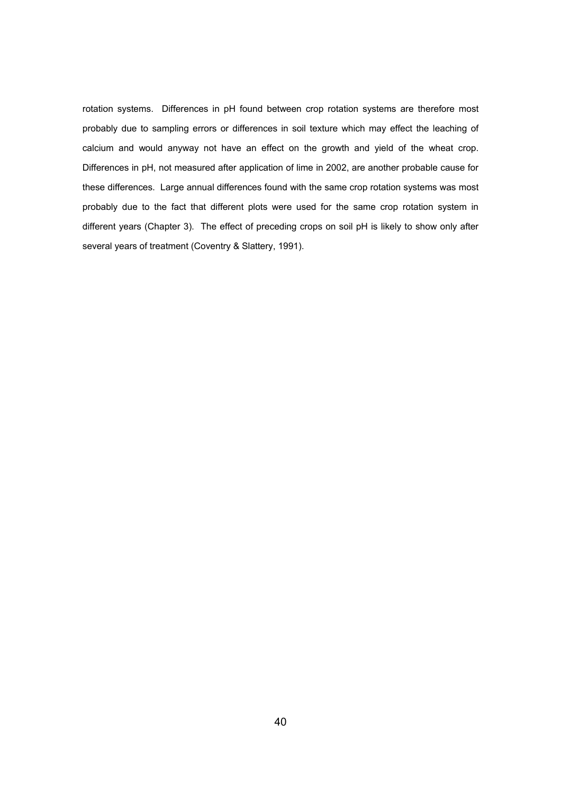rotation systems. Differences in pH found between crop rotation systems are therefore most probably due to sampling errors or differences in soil texture which may effect the leaching of calcium and would anyway not have an effect on the growth and yield of the wheat crop. Differences in pH, not measured after application of lime in 2002, are another probable cause for these differences. Large annual differences found with the same crop rotation systems was most probably due to the fact that different plots were used for the same crop rotation system in different years (Chapter 3). The effect of preceding crops on soil pH is likely to show only after several years of treatment (Coventry & Slattery, 1991).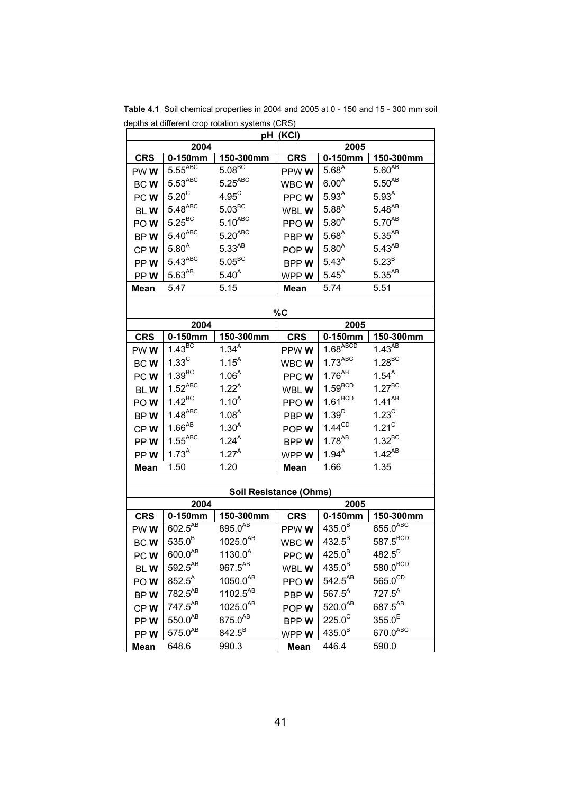| pH (KCI)        |                            |                        |                |                        |                        |
|-----------------|----------------------------|------------------------|----------------|------------------------|------------------------|
| 2004<br>2005    |                            |                        |                |                        |                        |
| <b>CRS</b>      | 0-150mm                    | 150-300mm              | <b>CRS</b>     | $0-150$ mm             | 150-300mm              |
| PWW <sub></sub> | $5.55^{ABC}$               | $5.08\overline{BC}$    | PPW W          | $5.68^{A}$             | $5.60^{AB}$            |
| BCW             | $5.53^{ABC}$               | $5.25^{ABC}$           | WBCWW          | $6.00^{A}$             | $5.50^{AB}$            |
| PCW             | $5.20^{\circ}$             | $4.95^{\circ}$         | PPC W          | $5.93^{A}$             | 5.93 <sup>A</sup>      |
| <b>BLW</b>      | $5.48^{ABC}$               | $5.03^{BC}$            | WBL W          | $5.88^{A}$             | $5.48^{AB}$            |
| POW             | $5.25^{\text{BC}}$         | $5.10^{ABC}$           | PPOW           | $5.80^{A}$             | $5.70^{AB}$            |
| BPW             | $5.40^{ABC}$               | $5.20^{ABC}$           | PBPW           | $5.68^{A}$             | $5.35^{AB}$            |
| CPW             | $5.80^A$                   | $5.33^{AB}$            | POP W          | $5.80^{A}$             | $5.43^{AB}$            |
| PPW             | $5.43^{ABC}$               | $5.05^{\text{BC}}$     | BPP W          | $5.43^{A}$             | 5.23 <sup>B</sup>      |
| PPW             | $5.63^{AB}$                | $5.40^{A}$             | WPP W          | $5.45^{A}$             | $5.35^{AB}$            |
| Mean            | 5.47                       | 5.15                   | Mean           | 5.74                   | 5.51                   |
|                 |                            |                        |                |                        |                        |
|                 |                            |                        | %C             |                        |                        |
| <b>CRS</b>      | 2004<br>$0-150$ mm         | 150-300mm              | <b>CRS</b>     | 2005<br>$0-150$ mm     | 150-300mm              |
| PWWW            | $1.43\overline{BC}$        | $1.34^{A}$             | PPW W          | $1.68$ <sup>ABCD</sup> | $1.43^{AB}$            |
| <b>BCW</b>      | $1.33^{\circ}$             | $1.15^{A}$             | WBC W          | $1.73$ <sup>ABC</sup>  | $1.28^{BC}$            |
| PCW             | $1.39^{BC}$                | $1.06^{A}$             | PPCWW          | $1.76^{AB}$            | $1.54^A$               |
| <b>BLW</b>      | $1.52^{ABC}$               | $1.22^{A}$             | WBL W          | $1.59^{BCD}$           | $1.27^{BC}$            |
| POW <sub></sub> | $1.42^{\text{BC}}$         | $1.10^{A}$             | PPOW           | $1.61^{BCD}$           | $1.41^{AB}$            |
| BPW             | $1.48$ <sup>ABC</sup>      | 1.08 <sup>A</sup>      | PBP W          | $1.39^{D}$             | $1.23^{\circ}$         |
| CPW             | $1.66^{AB}$                | $1.30^{A}$             | POP W          | $1.44^{\text{CD}}$     | $1.21^C$               |
| PPW             | $1.55^{ABC}$               | $1.24^{A}$             | BPP W          | $1.78^{AB}$            | $1.32^{BC}$            |
| PPW             | $1.73^{A}$                 | $1.27^{A}$             | WPP W          | $1.94^{A}$             | $1.42^{AB}$            |
| Mean            | 1.50                       | 1.20                   | Mean           | 1.66                   | 1.35                   |
|                 |                            |                        |                |                        |                        |
|                 |                            | Soil Resistance (Ohms) |                |                        |                        |
|                 | 2004                       |                        |                | 2005                   |                        |
| <b>CRS</b>      | $0-150$ mm<br>$602.5^{AB}$ | 150-300mm<br>895.0AB   | <b>CRS</b>     | 0-150mm<br>$435.0^B$   | 150-300mm<br>655.0ABC  |
| PWW             | $535.0^B$                  | 1025.0 <sup>AB</sup>   | PPW W<br>WBCWW | $432.5^B$              | 587.5 <sup>BCD</sup>   |
| <b>BCW</b>      | $600.0^{AB}$               | $1130.0^{A}$           |                | $425.0^B$              | $482.5^{D}$            |
| PCW             | $592.5^{AB}$               | $967.5^{AB}$           | PPCW           | $435.0^{B}$            | $580.0$ <sup>BCD</sup> |
| BLW             | $852.5^{A}$                | $1050.0^{AB}$          | WBL W          | $542.5^{AB}$           | $565.0^{\text{CD}}$    |
| POW             | 782.5 <sup>AB</sup>        | 1102.5 <sup>AB</sup>   | PPOW           | $567.5^{A}$            | $727.5^{A}$            |
| BPW<br>CPW      | 747.5 <sup>AB</sup>        | $1025.0^{AB}$          | PBP W<br>POP W | $520.0^{AB}$           | 687.5 <sup>AB</sup>    |
| PPW             | $550.0^{AB}$               | $875.0^{AB}$           | <b>BPPW</b>    | $225.0^\circ$          | $355.0^{\rm E}$        |
| PPW             | $575.0^{AB}$               | $842.5^B$              | WPPW           | $435.0^{B}$            | 670.0ABC               |
| Mean            | 648.6                      | 990.3                  | Mean           | 446.4                  | 590.0                  |

**Table 4.1** Soil chemical properties in 2004 and 2005 at 0 - 150 and 15 - 300 mm soil depths at different crop rotation systems (CRS)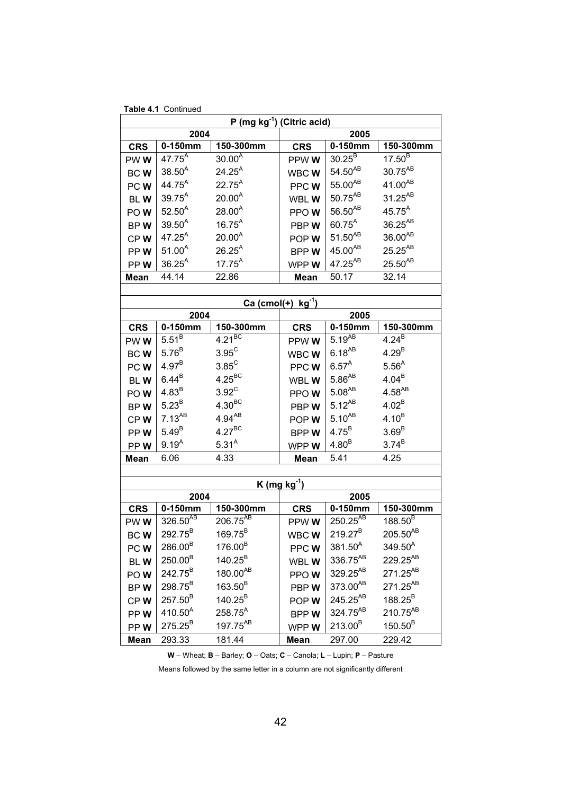|                               | P (mg $kg^{-1}$ ) (Citric acid)    |                            |                               |                                    |                                      |  |  |
|-------------------------------|------------------------------------|----------------------------|-------------------------------|------------------------------------|--------------------------------------|--|--|
|                               | 2004<br>2005                       |                            |                               |                                    |                                      |  |  |
| <b>CRS</b>                    | $0-150$ mm                         | 150-300mm                  | <b>CRS</b>                    | $0-150$ mm                         | 150-300mm                            |  |  |
| PWW                           | $47.75^{A}$                        | 30.00 <sup>7</sup>         | PPW W                         | $30.25^{\overline{B}}$             | $17.50^{B}$                          |  |  |
| <b>BCW</b>                    | $38.50^{A}$                        | $24.25^{A}$                | WBCWW                         | $54.50^{AB}$                       | 30.75 <sup>AB</sup>                  |  |  |
| PCW <sub></sub>               | $44.75^{A}$                        | $22.75^{A}$                | PPCWW                         | $55.00^{AB}$                       | $41.00^{AB}$                         |  |  |
| BLW                           | $39.75^{A}$                        | $20.00^{A}$                | WBL W                         | $50.75^{\text{AB}}$                | $31.25^{AB}$                         |  |  |
| POW <sub></sub>               | $52.50^{A}$                        | $28.00^{A}$                | PPOW                          | $56.50^{\mathrm{AB}}$              | $45.75^{A}$                          |  |  |
| BPW                           | $39.50^{A}$                        | $16.75^{A}$                | PBPW                          | $60.75^{A}$                        | 36.25 <sup>AB</sup>                  |  |  |
| CPW                           | $47.25^{A}$                        | 20.00 <sup>A</sup>         | POP W                         | $51.50^{AB}$                       | $36.00^{AB}$                         |  |  |
| PPW                           | $51.00^{A}$                        | $26.25^{A}$                | <b>BPPW</b>                   | $45.00^{AB}$                       | $25.25^{\text{AB}}$                  |  |  |
| PPW                           | $36.25^{A}$                        | $17.75^{A}$                | WPP W                         | $47.25^{AB}$                       | $25.50^{AB}$                         |  |  |
| Mean                          | 44.14                              | 22.86                      | <b>Mean</b>                   | 50.17                              | 32.14                                |  |  |
|                               |                                    |                            |                               |                                    |                                      |  |  |
|                               |                                    |                            | $Ca (cmol(+) kg^{-1})$        |                                    |                                      |  |  |
|                               | 2004                               |                            |                               | 2005                               |                                      |  |  |
| <b>CRS</b>                    | $0-150$ mm                         | 150-300mm                  | <b>CRS</b>                    | 0-150mm                            | 150-300mm                            |  |  |
| PWW                           | $5.51^{B}$                         | $4.21^{BC}$                | PPW W                         | $5.19^{AB}$                        | $4.24^{B}$                           |  |  |
| <b>BCW</b>                    | $5.76^B$                           | $3.95^{\circ}$             | WBCWW                         | $6.18^{AB}$                        | $4.29^{B}$                           |  |  |
| $4.97^{B}$<br>PCW <sub></sub> |                                    | $3.85^{\circ}$             | PPCWW                         | $6.57^A$                           | $5.56^{A}$                           |  |  |
| BLW                           | $6.44^B$                           | $4.25^{BC}$                | WBL W                         | $5.86^{AB}$                        | $4.04^{B}$                           |  |  |
| POW <sub></sub>               | 4.83 <sup>B</sup>                  | $3.92^C$                   | PPOW                          | $5.08^{AB}$                        | $4.58^{AB}$                          |  |  |
| BPW                           | $5.23^B$                           | $4.30^{BC}$                | PBPW                          | $5.12^{AB}$                        | $4.02^{B}$                           |  |  |
| CPW                           | $7.13^{AB}$                        | $4.94^{\text{AB}}$         | POP W                         | $5.10^{AB}$                        | $4.10^{B}$                           |  |  |
| PPW                           | $5.49^B$                           | $4.27^{BC}$                | <b>BPPW</b>                   | $4.75^B$                           | 3.69 <sup>B</sup>                    |  |  |
| PPW                           | $9.19^{A}$                         | $5.31^{A}$                 | WPP W                         | 4.80 <sup>B</sup>                  | $3.74^{B}$                           |  |  |
| Mean                          | 6.06                               | 4.33                       | <b>Mean</b>                   | 5.41                               | 4.25                                 |  |  |
|                               |                                    |                            |                               |                                    |                                      |  |  |
|                               |                                    |                            | <u>K (mg kg<sup>-1</sup>)</u> |                                    |                                      |  |  |
|                               | 2004                               |                            |                               | 2005                               |                                      |  |  |
| <b>CRS</b>                    | $0-150$ mm<br>326.50 <sup>AB</sup> | 150-300mm<br>$206.75^{AB}$ | <b>CRS</b>                    | $0-150$ mm<br>250.25 <sup>AB</sup> | 150-300mm<br>$188.50^{\overline{B}}$ |  |  |
| PWW <sub></sub>               |                                    |                            | PPW W                         |                                    |                                      |  |  |
| BCW                           | 292.75 <sup>B</sup>                | $169.75^{B}$               | WBC W                         | $219.27^B$                         | $205.50^{AB}$                        |  |  |
| PCW <sub></sub>               | $286.00^{B}$                       | 176.00 <sup>B</sup>        | PPCWW                         | $381.50^{A}$                       | $349.50^{A}$                         |  |  |
| BLW                           | $250.00^{\text{B}}$                | $140.25^B$                 | WBL W                         | 336.75 <sup>AB</sup>               | 229.25 <sup>AB</sup>                 |  |  |
| POW <sub></sub>               | 242.75 <sup>B</sup>                | 180.00 <sup>AB</sup>       | PPOW                          | $329.25^{AB}$                      | 271.25 <sup>AB</sup>                 |  |  |
| BPW                           | 298.75 <sup>B</sup>                | 163.50 <sup>B</sup>        | PBPW                          | 373.00AB                           | $271.25^{AB}$                        |  |  |
| CPW                           | $257.50^{B}$                       | $140.25^B$                 | POP W                         | $245.25^{AB}$                      | $188.25^B$                           |  |  |
| PPW                           | $410.50^{A}$                       | 258.75 <sup>A</sup>        | <b>BPPW</b>                   | 324.75 <sup>AB</sup>               | 210.75 <sup>AB</sup>                 |  |  |
| PPW                           | $275.25^{B}$                       | 197.75 <sup>AB</sup>       | WPP W                         | $213.00^{B}$                       | $150.50^{B}$                         |  |  |
| <b>Mean</b>                   | 293.33                             | 181.44                     | <b>Mean</b>                   | 297.00                             | 229.42                               |  |  |

**Table 4.1** Continued

**W** – Wheat; **B** – Barley; **O** – Oats; **C** – Canola; **L** – Lupin; **P** – Pasture

Means followed by the same letter in a column are not significantly different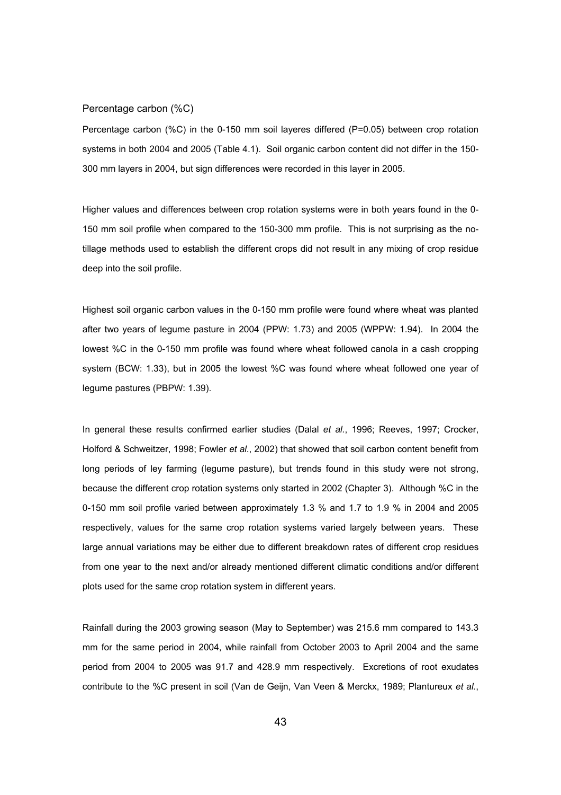#### Percentage carbon (%C)

Percentage carbon (%C) in the 0-150 mm soil layeres differed (P=0.05) between crop rotation systems in both 2004 and 2005 (Table 4.1). Soil organic carbon content did not differ in the 150- 300 mm layers in 2004, but sign differences were recorded in this layer in 2005.

Higher values and differences between crop rotation systems were in both years found in the 0- 150 mm soil profile when compared to the 150-300 mm profile. This is not surprising as the notillage methods used to establish the different crops did not result in any mixing of crop residue deep into the soil profile.

Highest soil organic carbon values in the 0-150 mm profile were found where wheat was planted after two years of legume pasture in 2004 (PPW: 1.73) and 2005 (WPPW: 1.94). In 2004 the lowest %C in the 0-150 mm profile was found where wheat followed canola in a cash cropping system (BCW: 1.33), but in 2005 the lowest %C was found where wheat followed one year of legume pastures (PBPW: 1.39).

In general these results confirmed earlier studies (Dalal *et al.*, 1996; Reeves, 1997; Crocker, Holford & Schweitzer, 1998; Fowler *et al*., 2002) that showed that soil carbon content benefit from long periods of ley farming (legume pasture), but trends found in this study were not strong, because the different crop rotation systems only started in 2002 (Chapter 3). Although %C in the 0-150 mm soil profile varied between approximately 1.3 % and 1.7 to 1.9 % in 2004 and 2005 respectively, values for the same crop rotation systems varied largely between years. These large annual variations may be either due to different breakdown rates of different crop residues from one year to the next and/or already mentioned different climatic conditions and/or different plots used for the same crop rotation system in different years.

Rainfall during the 2003 growing season (May to September) was 215.6 mm compared to 143.3 mm for the same period in 2004, while rainfall from October 2003 to April 2004 and the same period from 2004 to 2005 was 91.7 and 428.9 mm respectively. Excretions of root exudates contribute to the %C present in soil (Van de Geijn, Van Veen & Merckx, 1989; Plantureux *et al.*,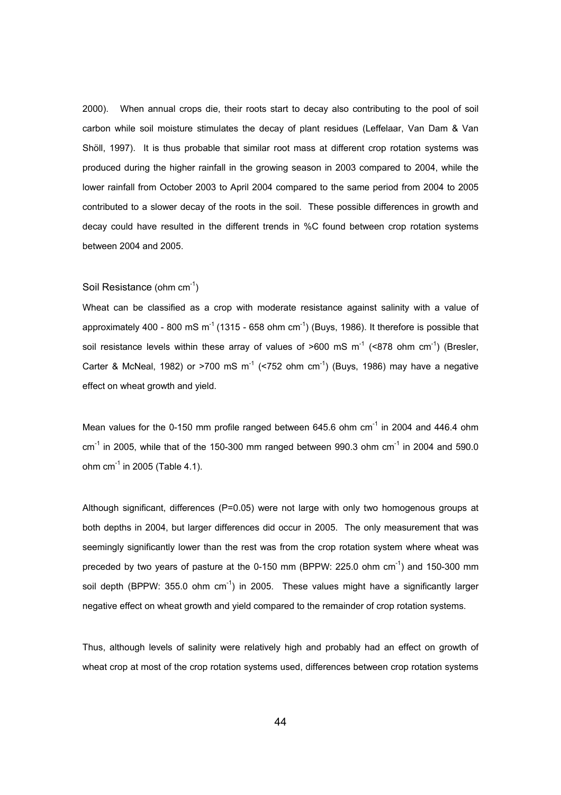2000). When annual crops die, their roots start to decay also contributing to the pool of soil carbon while soil moisture stimulates the decay of plant residues (Leffelaar, Van Dam & Van Shöll, 1997). It is thus probable that similar root mass at different crop rotation systems was produced during the higher rainfall in the growing season in 2003 compared to 2004, while the lower rainfall from October 2003 to April 2004 compared to the same period from 2004 to 2005 contributed to a slower decay of the roots in the soil. These possible differences in growth and decay could have resulted in the different trends in %C found between crop rotation systems between 2004 and 2005.

#### Soil Resistance (ohm cm-1)

Wheat can be classified as a crop with moderate resistance against salinity with a value of approximately 400 - 800 mS  $m^{-1}$  (1315 - 658 ohm cm<sup>-1</sup>) (Buys, 1986). It therefore is possible that soil resistance levels within these array of values of  $>600$  mS m<sup>-1</sup> ( $< 878$  ohm cm<sup>-1</sup>) (Bresler, Carter & McNeal, 1982) or >700 mS  $m^{-1}$  (<752 ohm cm<sup>-1</sup>) (Buys, 1986) may have a negative effect on wheat growth and yield.

Mean values for the 0-150 mm profile ranged between 645.6 ohm cm<sup>-1</sup> in 2004 and 446.4 ohm  $cm<sup>-1</sup>$  in 2005, while that of the 150-300 mm ranged between 990.3 ohm  $cm<sup>-1</sup>$  in 2004 and 590.0 ohm  $cm^{-1}$  in 2005 (Table 4.1).

Although significant, differences (P=0.05) were not large with only two homogenous groups at both depths in 2004, but larger differences did occur in 2005. The only measurement that was seemingly significantly lower than the rest was from the crop rotation system where wheat was preceded by two years of pasture at the 0-150 mm (BPPW: 225.0 ohm  $cm^{-1}$ ) and 150-300 mm soil depth (BPPW: 355.0 ohm  $cm^{-1}$ ) in 2005. These values might have a significantly larger negative effect on wheat growth and yield compared to the remainder of crop rotation systems.

Thus, although levels of salinity were relatively high and probably had an effect on growth of wheat crop at most of the crop rotation systems used, differences between crop rotation systems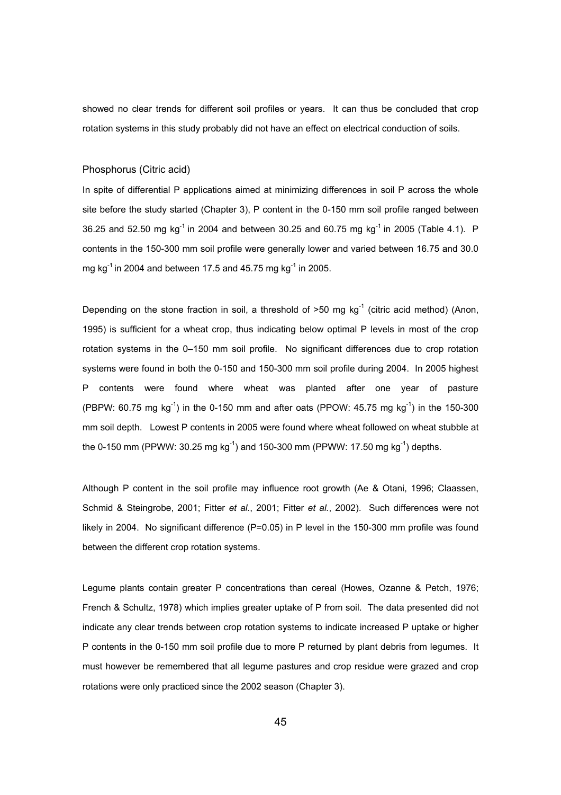showed no clear trends for different soil profiles or years. It can thus be concluded that crop rotation systems in this study probably did not have an effect on electrical conduction of soils.

#### Phosphorus (Citric acid)

In spite of differential P applications aimed at minimizing differences in soil P across the whole site before the study started (Chapter 3), P content in the 0-150 mm soil profile ranged between 36.25 and 52.50 mg kg<sup>-1</sup> in 2004 and between 30.25 and 60.75 mg kg<sup>-1</sup> in 2005 (Table 4.1). P contents in the 150-300 mm soil profile were generally lower and varied between 16.75 and 30.0 mg kg<sup>-1</sup> in 2004 and between 17.5 and 45.75 mg kg<sup>-1</sup> in 2005.

Depending on the stone fraction in soil, a threshold of  $>50$  mg kg<sup>-1</sup> (citric acid method) (Anon, 1995) is sufficient for a wheat crop, thus indicating below optimal P levels in most of the crop rotation systems in the 0–150 mm soil profile. No significant differences due to crop rotation systems were found in both the 0-150 and 150-300 mm soil profile during 2004. In 2005 highest P contents were found where wheat was planted after one year of pasture (PBPW: 60.75 mg  $kg^{-1}$ ) in the 0-150 mm and after oats (PPOW: 45.75 mg  $kg^{-1}$ ) in the 150-300 mm soil depth. Lowest P contents in 2005 were found where wheat followed on wheat stubble at the 0-150 mm (PPWW: 30.25 mg kg<sup>-1</sup>) and 150-300 mm (PPWW: 17.50 mg kg<sup>-1</sup>) depths.

Although P content in the soil profile may influence root growth (Ae & Otani, 1996; Claassen, Schmid & Steingrobe, 2001; Fitter *et al.*, 2001; Fitter *et al.*, 2002). Such differences were not likely in 2004. No significant difference (P=0.05) in P level in the 150-300 mm profile was found between the different crop rotation systems.

Legume plants contain greater P concentrations than cereal (Howes, Ozanne & Petch, 1976; French & Schultz, 1978) which implies greater uptake of P from soil. The data presented did not indicate any clear trends between crop rotation systems to indicate increased P uptake or higher P contents in the 0-150 mm soil profile due to more P returned by plant debris from legumes. It must however be remembered that all legume pastures and crop residue were grazed and crop rotations were only practiced since the 2002 season (Chapter 3).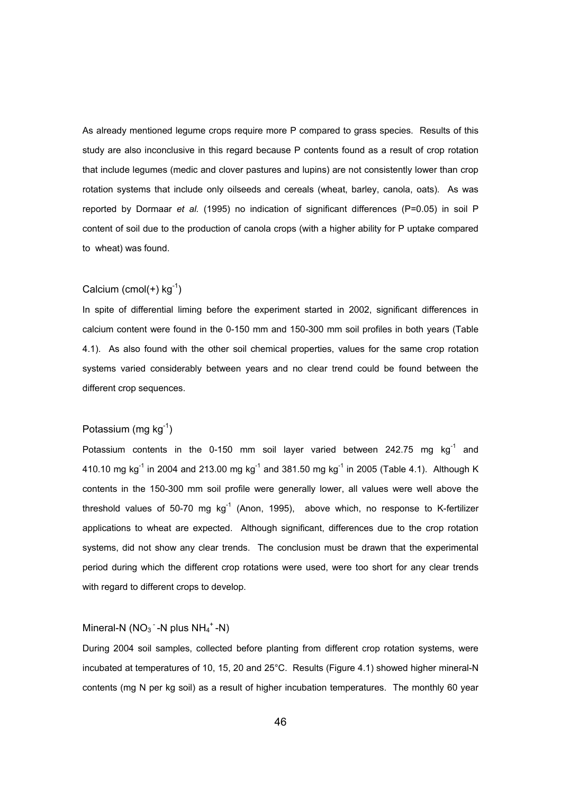As already mentioned legume crops require more P compared to grass species. Results of this study are also inconclusive in this regard because P contents found as a result of crop rotation that include legumes (medic and clover pastures and lupins) are not consistently lower than crop rotation systems that include only oilseeds and cereals (wheat, barley, canola, oats). As was reported by Dormaar *et al.* (1995) no indication of significant differences (P=0.05) in soil P content of soil due to the production of canola crops (with a higher ability for P uptake compared to wheat) was found.

## Calcium (cmol $(+)$  kg<sup>-1</sup>)

In spite of differential liming before the experiment started in 2002, significant differences in calcium content were found in the 0-150 mm and 150-300 mm soil profiles in both years (Table 4.1). As also found with the other soil chemical properties, values for the same crop rotation systems varied considerably between years and no clear trend could be found between the different crop sequences.

# Potassium (mg  $kq^{-1}$ )

Potassium contents in the 0-150 mm soil layer varied between 242.75 mg  $kq^{-1}$  and 410.10 mg kg<sup>-1</sup> in 2004 and 213.00 mg kg<sup>-1</sup> and 381.50 mg kg<sup>-1</sup> in 2005 (Table 4.1). Although K contents in the 150-300 mm soil profile were generally lower, all values were well above the threshold values of 50-70 mg  $kq^{-1}$  (Anon, 1995), above which, no response to K-fertilizer applications to wheat are expected. Although significant, differences due to the crop rotation systems, did not show any clear trends. The conclusion must be drawn that the experimental period during which the different crop rotations were used, were too short for any clear trends with regard to different crops to develop.

# Mineral-N  $(NO<sub>3</sub> - N$  plus  $NH<sub>4</sub> + N)$

During 2004 soil samples, collected before planting from different crop rotation systems, were incubated at temperatures of 10, 15, 20 and 25°C. Results (Figure 4.1) showed higher mineral-N contents (mg N per kg soil) as a result of higher incubation temperatures. The monthly 60 year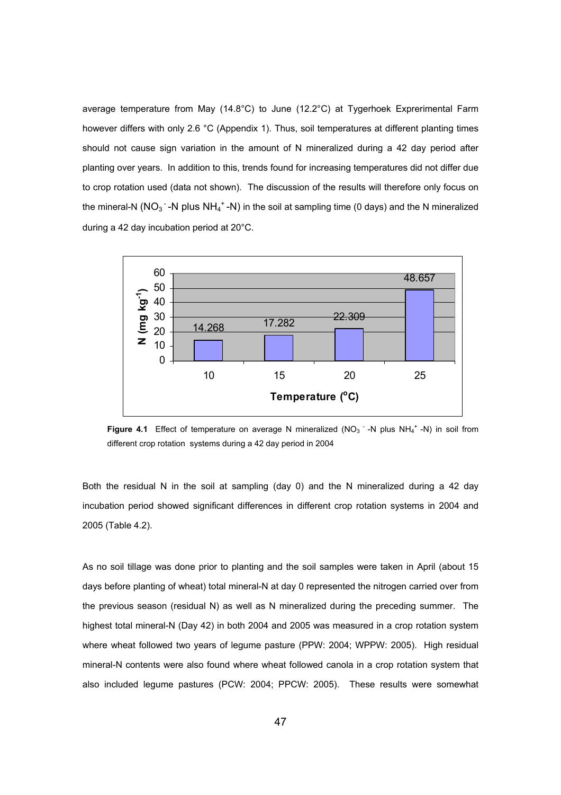average temperature from May (14.8°C) to June (12.2°C) at Tygerhoek Exprerimental Farm however differs with only 2.6 °C (Appendix 1). Thus, soil temperatures at different planting times should not cause sign variation in the amount of N mineralized during a 42 day period after planting over years. In addition to this, trends found for increasing temperatures did not differ due to crop rotation used (data not shown). The discussion of the results will therefore only focus on the mineral-N (NO<sub>3</sub><sup>-</sup>-N plus NH<sub>4</sub><sup>+</sup>-N) in the soil at sampling time (0 days) and the N mineralized during a 42 day incubation period at 20°C.



**Figure 4.1** Effect of temperature on average N mineralized ( $NO<sub>3</sub>$  -N plus NH<sub>4</sub><sup>+</sup> -N) in soil from different crop rotation systems during a 42 day period in 2004

Both the residual N in the soil at sampling (day 0) and the N mineralized during a 42 day incubation period showed significant differences in different crop rotation systems in 2004 and 2005 (Table 4.2).

As no soil tillage was done prior to planting and the soil samples were taken in April (about 15 days before planting of wheat) total mineral-N at day 0 represented the nitrogen carried over from the previous season (residual N) as well as N mineralized during the preceding summer. The highest total mineral-N (Day 42) in both 2004 and 2005 was measured in a crop rotation system where wheat followed two years of legume pasture (PPW: 2004; WPPW: 2005). High residual mineral-N contents were also found where wheat followed canola in a crop rotation system that also included legume pastures (PCW: 2004; PPCW: 2005). These results were somewhat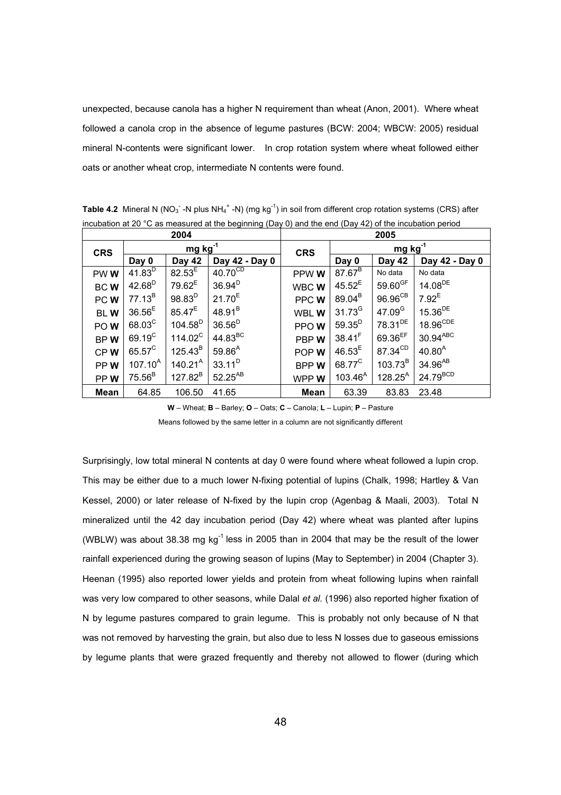unexpected, because canola has a higher N requirement than wheat (Anon, 2001). Where wheat followed a canola crop in the absence of legume pastures (BCW: 2004; WBCW: 2005) residual mineral N-contents were significant lower. In crop rotation system where wheat followed either oats or another wheat crop, intermediate N contents were found.

| 2004            |                 |                  | 2005                |              |                    |                     |                        |
|-----------------|-----------------|------------------|---------------------|--------------|--------------------|---------------------|------------------------|
| <b>CRS</b>      | $mg kg^{-1}$    |                  | <b>CRS</b>          | $mg kg^{-1}$ |                    |                     |                        |
|                 | Day 0           | Day 42           | Day 42 - Day 0      |              | Day 0              | Day 42              | Day 42 - Day 0         |
| PWW             | $41.83^{D}$     | $82.53^{E}$      | $40.70^{CD}$        | PPW W        | $87.67^B$          | No data             | No data                |
| <b>BCW</b>      | $42.68^{D}$     | $79.62^E$        | 36.94 <sup>D</sup>  | WBC W        | $45.52^E$          | $59.60^{GF}$        | $14.08^{DE}$           |
| PCW             | $77.13^B$       | $98.83^{D}$      | $21.70^{E}$         | PPC W        | $89.04^{B}$        | $96.96^{\text{CB}}$ | $7.92^E$               |
| <b>BLW</b>      | $36.56^{E}$     | $85.47^{E}$      | $48.91^{B}$         | WBL W        | $31.73^{G}$        | 47.09 <sup>G</sup>  | $15.36^{DE}$           |
| POW <sub></sub> | $68.03^{\circ}$ | $104.58^D$       | $36.56^{D}$         | PPOW         | $59.35^{D}$        | 78.31 <sup>DE</sup> | $18.96^{\text{CDE}}$   |
| BPW             | $69.19^{\circ}$ | $114.02^{\circ}$ | 44.83 <sup>BC</sup> | PBP W        | $38.41^{F}$        | $69.36^{EF}$        | $30.94$ <sup>ABC</sup> |
| CPW             | $65.57^{\circ}$ | $125.43^{B}$     | $59.86^{A}$         | POP W        | $46.53^{E}$        | 87.34 <sup>CD</sup> | $40.80^{A}$            |
| PPW <sub></sub> | $107.10^{A}$    | $140.21^A$       | $33.11^{D}$         | <b>BPPW</b>  | 68.77 <sup>C</sup> | $103.73^B$          | $34.96^{AB}$           |
| PPW             | $75.56^B$       | $127.82^B$       | $52.25^{AB}$        | WPP W        | $103.46^{A}$       | $128.25^{A}$        | $24.79^{BCD}$          |
| Mean            | 64.85           | 106.50           | 41.65               | Mean         | 63.39              | 83.83               | 23.48                  |

Table 4.2 Mineral N (NO<sub>3</sub><sup>-</sup> -N plus NH<sub>4</sub><sup>+</sup> -N) (mg kg<sup>-1</sup>) in soil from different crop rotation systems (CRS) after incubation at 20 °C as measured at the beginning (Day 0) and the end (Day 42) of the incubation period

**W** – Wheat; **B** – Barley; **O** – Oats; **C** – Canola; **L** – Lupin; **P** – Pasture

Means followed by the same letter in a column are not significantly different

Surprisingly, low total mineral N contents at day 0 were found where wheat followed a lupin crop. This may be either due to a much lower N-fixing potential of lupins (Chalk, 1998; Hartley & Van Kessel, 2000) or later release of N-fixed by the lupin crop (Agenbag & Maali, 2003). Total N mineralized until the 42 day incubation period (Day 42) where wheat was planted after lupins (WBLW) was about 38.38 mg  $kg^{-1}$  less in 2005 than in 2004 that may be the result of the lower rainfall experienced during the growing season of lupins (May to September) in 2004 (Chapter 3). Heenan (1995) also reported lower yields and protein from wheat following lupins when rainfall was very low compared to other seasons, while Dalal *et al.* (1996) also reported higher fixation of N by legume pastures compared to grain legume. This is probably not only because of N that was not removed by harvesting the grain, but also due to less N losses due to gaseous emissions by legume plants that were grazed frequently and thereby not allowed to flower (during which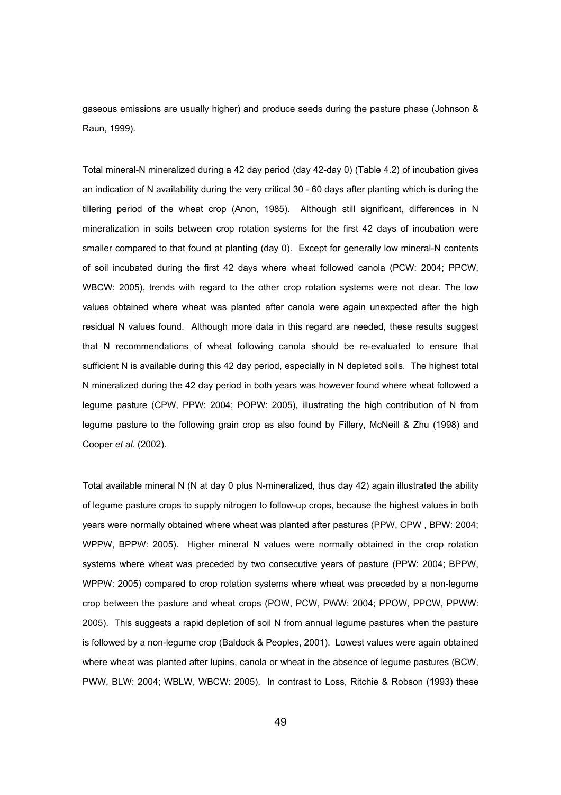gaseous emissions are usually higher) and produce seeds during the pasture phase (Johnson & Raun, 1999).

Total mineral-N mineralized during a 42 day period (day 42-day 0) (Table 4.2) of incubation gives an indication of N availability during the very critical 30 - 60 days after planting which is during the tillering period of the wheat crop (Anon, 1985). Although still significant, differences in N mineralization in soils between crop rotation systems for the first 42 days of incubation were smaller compared to that found at planting (day 0). Except for generally low mineral-N contents of soil incubated during the first 42 days where wheat followed canola (PCW: 2004; PPCW, WBCW: 2005), trends with regard to the other crop rotation systems were not clear. The low values obtained where wheat was planted after canola were again unexpected after the high residual N values found. Although more data in this regard are needed, these results suggest that N recommendations of wheat following canola should be re-evaluated to ensure that sufficient N is available during this 42 day period, especially in N depleted soils. The highest total N mineralized during the 42 day period in both years was however found where wheat followed a legume pasture (CPW, PPW: 2004; POPW: 2005), illustrating the high contribution of N from legume pasture to the following grain crop as also found by Fillery, McNeill & Zhu (1998) and Cooper *et al.* (2002).

Total available mineral N (N at day 0 plus N-mineralized, thus day 42) again illustrated the ability of legume pasture crops to supply nitrogen to follow-up crops, because the highest values in both years were normally obtained where wheat was planted after pastures (PPW, CPW , BPW: 2004; WPPW, BPPW: 2005). Higher mineral N values were normally obtained in the crop rotation systems where wheat was preceded by two consecutive years of pasture (PPW: 2004; BPPW, WPPW: 2005) compared to crop rotation systems where wheat was preceded by a non-legume crop between the pasture and wheat crops (POW, PCW, PWW: 2004; PPOW, PPCW, PPWW: 2005). This suggests a rapid depletion of soil N from annual legume pastures when the pasture is followed by a non-legume crop (Baldock & Peoples, 2001). Lowest values were again obtained where wheat was planted after lupins, canola or wheat in the absence of legume pastures (BCW, PWW, BLW: 2004; WBLW, WBCW: 2005). In contrast to Loss, Ritchie & Robson (1993) these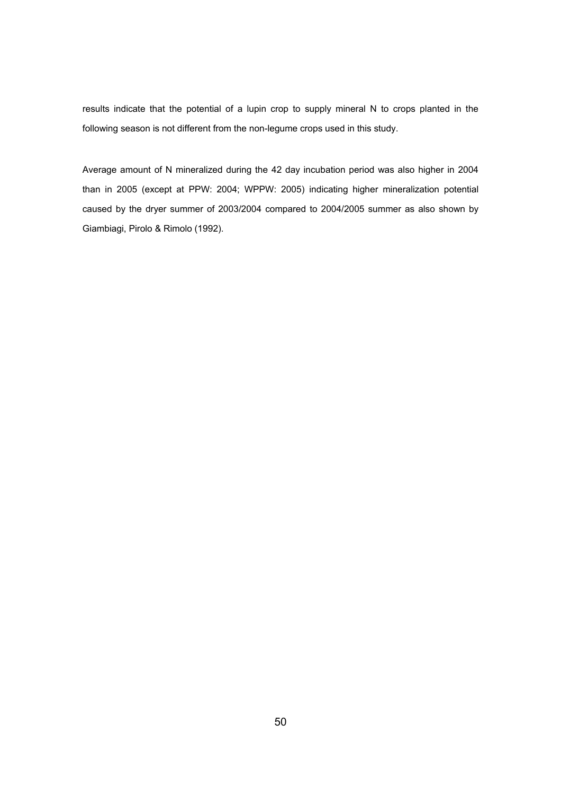results indicate that the potential of a lupin crop to supply mineral N to crops planted in the following season is not different from the non-legume crops used in this study.

Average amount of N mineralized during the 42 day incubation period was also higher in 2004 than in 2005 (except at PPW: 2004; WPPW: 2005) indicating higher mineralization potential caused by the dryer summer of 2003/2004 compared to 2004/2005 summer as also shown by Giambiagi, Pirolo & Rimolo (1992).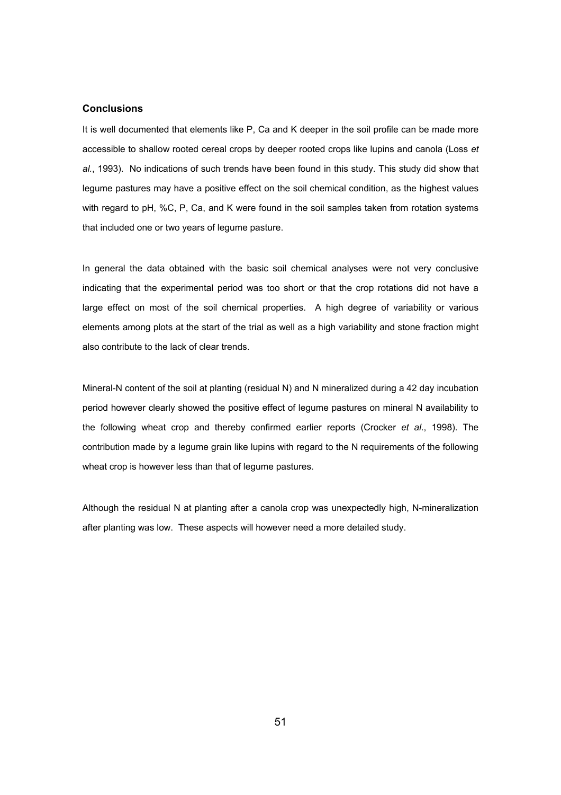# **Conclusions**

It is well documented that elements like P, Ca and K deeper in the soil profile can be made more accessible to shallow rooted cereal crops by deeper rooted crops like lupins and canola (Loss *et al.*, 1993). No indications of such trends have been found in this study. This study did show that legume pastures may have a positive effect on the soil chemical condition, as the highest values with regard to pH, %C, P, Ca, and K were found in the soil samples taken from rotation systems that included one or two years of legume pasture.

In general the data obtained with the basic soil chemical analyses were not very conclusive indicating that the experimental period was too short or that the crop rotations did not have a large effect on most of the soil chemical properties. A high degree of variability or various elements among plots at the start of the trial as well as a high variability and stone fraction might also contribute to the lack of clear trends.

Mineral-N content of the soil at planting (residual N) and N mineralized during a 42 day incubation period however clearly showed the positive effect of legume pastures on mineral N availability to the following wheat crop and thereby confirmed earlier reports (Crocker *et al*., 1998). The contribution made by a legume grain like lupins with regard to the N requirements of the following wheat crop is however less than that of legume pastures.

Although the residual N at planting after a canola crop was unexpectedly high, N-mineralization after planting was low. These aspects will however need a more detailed study.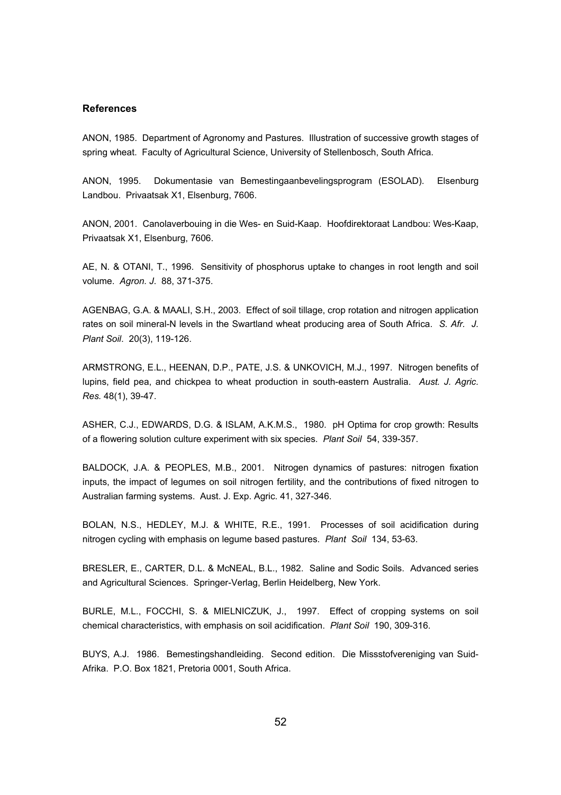# **References**

ANON, 1985. Department of Agronomy and Pastures. Illustration of successive growth stages of spring wheat. Faculty of Agricultural Science, University of Stellenbosch, South Africa.

ANON, 1995. Dokumentasie van Bemestingaanbevelingsprogram (ESOLAD). Elsenburg Landbou. Privaatsak X1, Elsenburg, 7606.

ANON, 2001. Canolaverbouing in die Wes- en Suid-Kaap. Hoofdirektoraat Landbou: Wes-Kaap, Privaatsak X1, Elsenburg, 7606.

AE, N. & OTANI, T., 1996. Sensitivity of phosphorus uptake to changes in root length and soil volume. *Agron. J*. 88, 371-375.

AGENBAG, G.A. & MAALI, S.H., 2003. Effect of soil tillage, crop rotation and nitrogen application rates on soil mineral-N levels in the Swartland wheat producing area of South Africa. *S. Afr. J. Plant Soil*. 20(3), 119-126.

ARMSTRONG, E.L., HEENAN, D.P., PATE, J.S. & UNKOVICH, M.J., 1997. Nitrogen benefits of lupins, field pea, and chickpea to wheat production in south-eastern Australia. *Aust. J. Agric. Res.* 48(1), 39-47.

ASHER, C.J., EDWARDS, D.G. & ISLAM, A.K.M.S., 1980. pH Optima for crop growth: Results of a flowering solution culture experiment with six species. *Plant Soil* 54, 339-357.

BALDOCK, J.A. & PEOPLES, M.B., 2001. Nitrogen dynamics of pastures: nitrogen fixation inputs, the impact of legumes on soil nitrogen fertility, and the contributions of fixed nitrogen to Australian farming systems. Aust. J. Exp. Agric. 41, 327-346.

BOLAN, N.S., HEDLEY, M.J. & WHITE, R.E., 1991. Processes of soil acidification during nitrogen cycling with emphasis on legume based pastures. *Plant Soil* 134, 53-63.

BRESLER, E., CARTER, D.L. & McNEAL, B.L., 1982. Saline and Sodic Soils. Advanced series and Agricultural Sciences. Springer-Verlag, Berlin Heidelberg, New York.

BURLE, M.L., FOCCHI, S. & MIELNICZUK, J., 1997. Effect of cropping systems on soil chemical characteristics, with emphasis on soil acidification. *Plant Soil* 190, 309-316.

BUYS, A.J. 1986. Bemestingshandleiding. Second edition. Die Missstofvereniging van Suid-Afrika. P.O. Box 1821, Pretoria 0001, South Africa.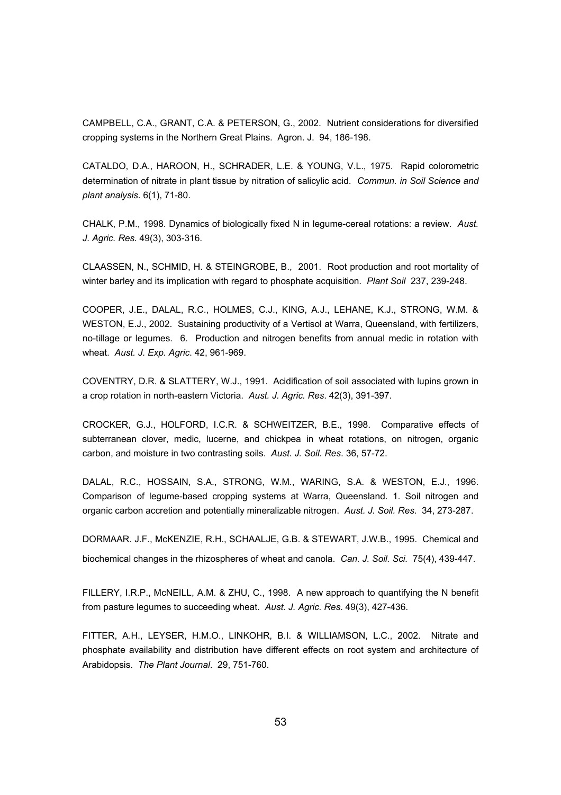CAMPBELL, C.A., GRANT, C.A. & PETERSON, G., 2002. Nutrient considerations for diversified cropping systems in the Northern Great Plains. Agron. J. 94, 186-198.

CATALDO, D.A., HAROON, H., SCHRADER, L.E. & YOUNG, V.L., 1975. Rapid colorometric determination of nitrate in plant tissue by nitration of salicylic acid. *Commun. in Soil Science and plant analysis*. 6(1), 71-80.

CHALK, P.M., 1998. Dynamics of biologically fixed N in legume-cereal rotations: a review. *Aust. J. Agric. Res.* 49(3), 303-316.

CLAASSEN, N., SCHMID, H. & STEINGROBE, B., 2001. Root production and root mortality of winter barley and its implication with regard to phosphate acquisition. *Plant Soil* 237, 239-248.

COOPER, J.E., DALAL, R.C., HOLMES, C.J., KING, A.J., LEHANE, K.J., STRONG, W.M. & WESTON, E.J., 2002. Sustaining productivity of a Vertisol at Warra, Queensland, with fertilizers, no-tillage or legumes. 6. Production and nitrogen benefits from annual medic in rotation with wheat. *Aust. J. Exp. Agric*. 42, 961-969.

COVENTRY, D.R. & SLATTERY, W.J., 1991. Acidification of soil associated with lupins grown in a crop rotation in north-eastern Victoria. *Aust. J. Agric. Res*. 42(3), 391-397.

CROCKER, G.J., HOLFORD, I.C.R. & SCHWEITZER, B.E., 1998. Comparative effects of subterranean clover, medic, lucerne, and chickpea in wheat rotations, on nitrogen, organic carbon, and moisture in two contrasting soils. *Aust. J. Soil. Res*. 36, 57-72.

DALAL, R.C., HOSSAIN, S.A., STRONG, W.M., WARING, S.A. & WESTON, E.J., 1996. Comparison of legume-based cropping systems at Warra, Queensland. 1. Soil nitrogen and organic carbon accretion and potentially mineralizable nitrogen. *Aust. J. Soil. Res*. 34, 273-287.

DORMAAR. J.F., McKENZIE, R.H., SCHAALJE, G.B. & STEWART, J.W.B., 1995. Chemical and biochemical changes in the rhizospheres of wheat and canola. *Can. J. Soil. Sci.* 75(4), 439-447.

FILLERY, I.R.P., McNEILL, A.M. & ZHU, C., 1998. A new approach to quantifying the N benefit from pasture legumes to succeeding wheat. *Aust. J. Agric. Res*. 49(3), 427-436.

FITTER, A.H., LEYSER, H.M.O., LINKOHR, B.I. & WILLIAMSON, L.C., 2002. Nitrate and phosphate availability and distribution have different effects on root system and architecture of Arabidopsis. *The Plant Journal*. 29, 751-760.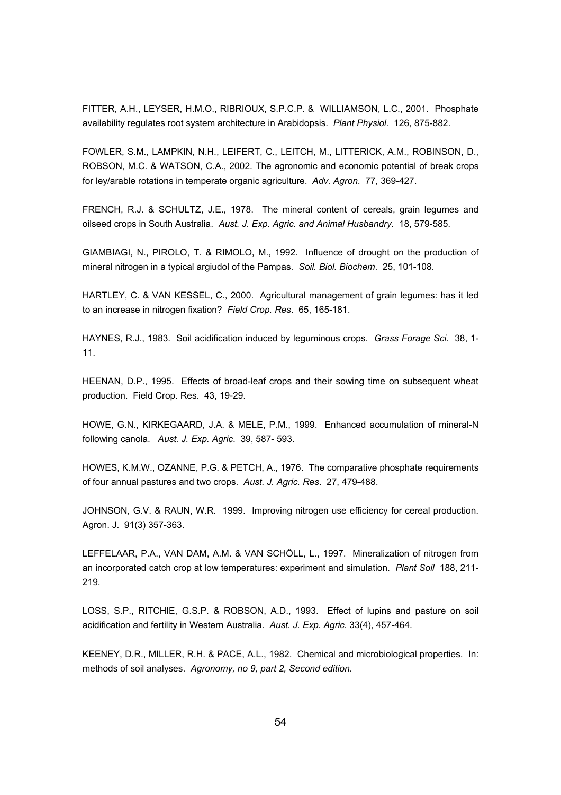FITTER, A.H., LEYSER, H.M.O., RIBRIOUX, S.P.C.P. & WILLIAMSON, L.C., 2001. Phosphate availability regulates root system architecture in Arabidopsis. *Plant Physiol.* 126, 875-882.

FOWLER, S.M., LAMPKIN, N.H., LEIFERT, C., LEITCH, M., LITTERICK, A.M., ROBINSON, D., ROBSON, M.C. & WATSON, C.A., 2002. The agronomic and economic potential of break crops for ley/arable rotations in temperate organic agriculture. *Adv. Agron*. 77, 369-427.

FRENCH, R.J. & SCHULTZ, J.E., 1978. The mineral content of cereals, grain legumes and oilseed crops in South Australia. *Aust. J. Exp. Agric. and Animal Husbandry*. 18, 579-585.

GIAMBIAGI, N., PIROLO, T. & RIMOLO, M., 1992. Influence of drought on the production of mineral nitrogen in a typical argiudol of the Pampas. *Soil. Biol. Biochem*. 25, 101-108.

HARTLEY, C. & VAN KESSEL, C., 2000. Agricultural management of grain legumes: has it led to an increase in nitrogen fixation? *Field Crop. Res*. 65, 165-181.

HAYNES, R.J., 1983. Soil acidification induced by leguminous crops. *Grass Forage Sci.* 38, 1- 11.

HEENAN, D.P., 1995. Effects of broad-leaf crops and their sowing time on subsequent wheat production. Field Crop. Res. 43, 19-29.

HOWE, G.N., KIRKEGAARD, J.A. & MELE, P.M., 1999. Enhanced accumulation of mineral-N following canola. *Aust. J. Exp. Agric*. 39, 587- 593.

HOWES, K.M.W., OZANNE, P.G. & PETCH, A., 1976. The comparative phosphate requirements of four annual pastures and two crops. *Aust. J. Agric. Res*. 27, 479-488.

JOHNSON, G.V. & RAUN, W.R. 1999. Improving nitrogen use efficiency for cereal production. Agron. J. 91(3) 357-363.

LEFFELAAR, P.A., VAN DAM, A.M. & VAN SCHÖLL, L., 1997. Mineralization of nitrogen from an incorporated catch crop at low temperatures: experiment and simulation. *Plant Soil* 188, 211- 219.

LOSS, S.P., RITCHIE, G.S.P. & ROBSON, A.D., 1993. Effect of lupins and pasture on soil acidification and fertility in Western Australia. *Aust. J. Exp. Agric.* 33(4), 457-464.

KEENEY, D.R., MILLER, R.H. & PACE, A.L., 1982. Chemical and microbiological properties. In: methods of soil analyses. *Agronomy, no 9, part 2, Second edition*.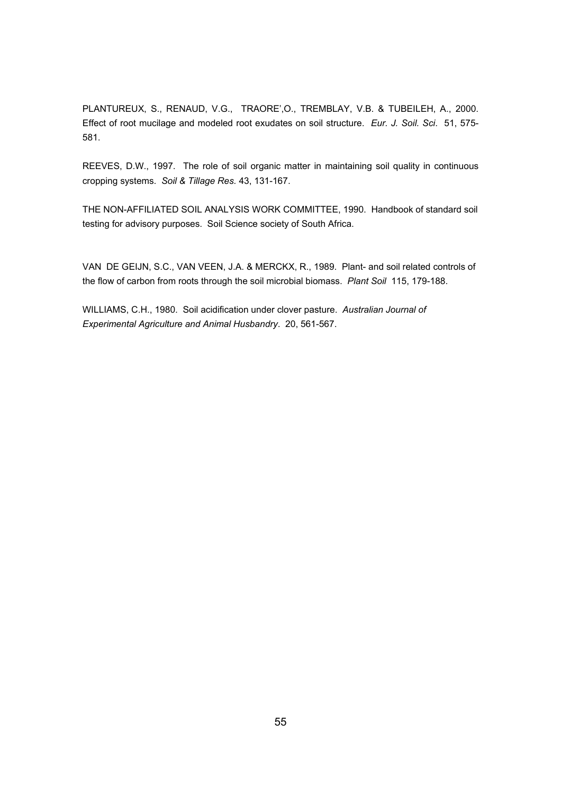PLANTUREUX, S., RENAUD, V.G., TRAORE',O., TREMBLAY, V.B. & TUBEILEH, A., 2000. Effect of root mucilage and modeled root exudates on soil structure. *Eur. J. Soil. Sci*. 51, 575- 581.

REEVES, D.W., 1997. The role of soil organic matter in maintaining soil quality in continuous cropping systems. *Soil & Tillage Res.* 43, 131-167.

THE NON-AFFILIATED SOIL ANALYSIS WORK COMMITTEE, 1990. Handbook of standard soil testing for advisory purposes. Soil Science society of South Africa.

VAN DE GEIJN, S.C., VAN VEEN, J.A. & MERCKX, R., 1989. Plant- and soil related controls of the flow of carbon from roots through the soil microbial biomass. *Plant Soil* 115, 179-188.

WILLIAMS, C.H., 1980. Soil acidification under clover pasture. *Australian Journal of Experimental Agriculture and Animal Husbandry*. 20, 561-567.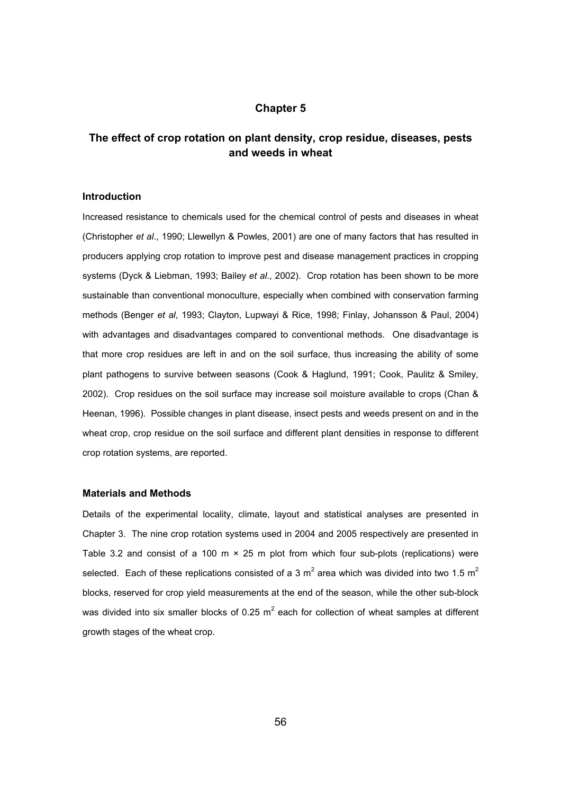# **Chapter 5**

# **The effect of crop rotation on plant density, crop residue, diseases, pests and weeds in wheat**

## **Introduction**

Increased resistance to chemicals used for the chemical control of pests and diseases in wheat (Christopher *et al*., 1990; Llewellyn & Powles, 2001) are one of many factors that has resulted in producers applying crop rotation to improve pest and disease management practices in cropping systems (Dyck & Liebman, 1993; Bailey *et al*., 2002). Crop rotation has been shown to be more sustainable than conventional monoculture, especially when combined with conservation farming methods (Benger *et al*, 1993; Clayton, Lupwayi & Rice, 1998; Finlay, Johansson & Paul, 2004) with advantages and disadvantages compared to conventional methods. One disadvantage is that more crop residues are left in and on the soil surface, thus increasing the ability of some plant pathogens to survive between seasons (Cook & Haglund, 1991; Cook, Paulitz & Smiley, 2002). Crop residues on the soil surface may increase soil moisture available to crops (Chan & Heenan, 1996). Possible changes in plant disease, insect pests and weeds present on and in the wheat crop, crop residue on the soil surface and different plant densities in response to different crop rotation systems, are reported.

#### **Materials and Methods**

Details of the experimental locality, climate, layout and statistical analyses are presented in Chapter 3. The nine crop rotation systems used in 2004 and 2005 respectively are presented in Table 3.2 and consist of a 100 m  $\times$  25 m plot from which four sub-plots (replications) were selected. Each of these replications consisted of a 3 m<sup>2</sup> area which was divided into two 1.5 m<sup>2</sup> blocks, reserved for crop yield measurements at the end of the season, while the other sub-block was divided into six smaller blocks of 0.25  $m^2$  each for collection of wheat samples at different growth stages of the wheat crop.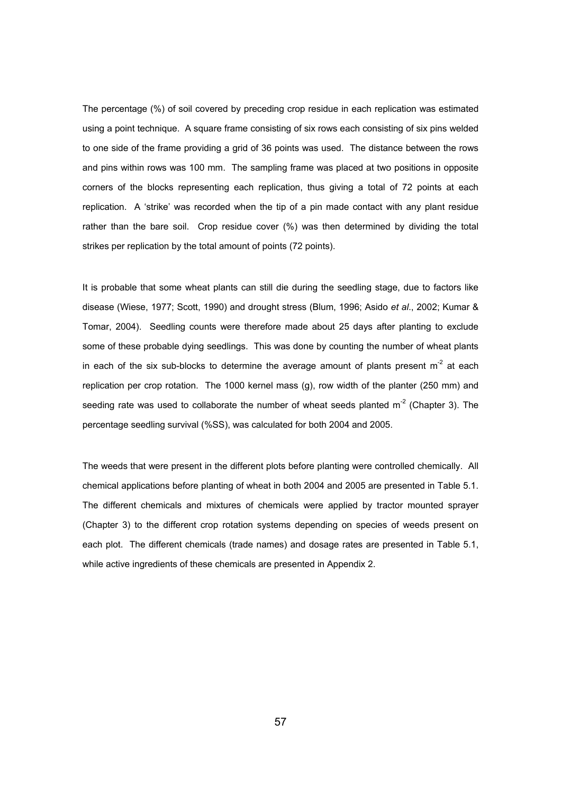The percentage (%) of soil covered by preceding crop residue in each replication was estimated using a point technique. A square frame consisting of six rows each consisting of six pins welded to one side of the frame providing a grid of 36 points was used. The distance between the rows and pins within rows was 100 mm. The sampling frame was placed at two positions in opposite corners of the blocks representing each replication, thus giving a total of 72 points at each replication. A 'strike' was recorded when the tip of a pin made contact with any plant residue rather than the bare soil. Crop residue cover (%) was then determined by dividing the total strikes per replication by the total amount of points (72 points).

It is probable that some wheat plants can still die during the seedling stage, due to factors like disease (Wiese, 1977; Scott, 1990) and drought stress (Blum, 1996; Asido *et al*., 2002; Kumar & Tomar, 2004). Seedling counts were therefore made about 25 days after planting to exclude some of these probable dying seedlings. This was done by counting the number of wheat plants in each of the six sub-blocks to determine the average amount of plants present  $m<sup>-2</sup>$  at each replication per crop rotation. The 1000 kernel mass (g), row width of the planter (250 mm) and seeding rate was used to collaborate the number of wheat seeds planted  $m<sup>-2</sup>$  (Chapter 3). The percentage seedling survival (%SS), was calculated for both 2004 and 2005.

The weeds that were present in the different plots before planting were controlled chemically. All chemical applications before planting of wheat in both 2004 and 2005 are presented in Table 5.1. The different chemicals and mixtures of chemicals were applied by tractor mounted sprayer (Chapter 3) to the different crop rotation systems depending on species of weeds present on each plot. The different chemicals (trade names) and dosage rates are presented in Table 5.1, while active ingredients of these chemicals are presented in Appendix 2.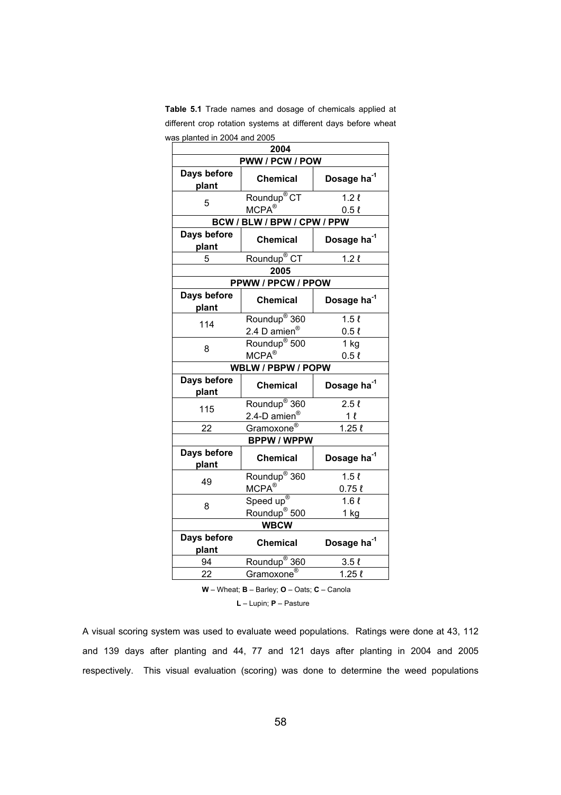| Table 5.1 Trade names and dosage of chemicals applied at       |
|----------------------------------------------------------------|
| different crop rotation systems at different days before wheat |
| was planted in 2004 and 2005                                   |

| 2004                                                      |                                                    |                                 |  |  |
|-----------------------------------------------------------|----------------------------------------------------|---------------------------------|--|--|
|                                                           | PWW / PCW / POW                                    |                                 |  |  |
| Days before<br>plant                                      | <b>Chemical</b>                                    | Dosage ha <sup>-1</sup>         |  |  |
| 5                                                         | Roundup <sup>®</sup> CT<br>$MCPA^*$                | 1.2 <sub>l</sub><br>0.5l        |  |  |
|                                                           | BCW / BLW / BPW / CPW / PPW                        |                                 |  |  |
| Days before<br>plant                                      | <b>Chemical</b>                                    | Dosage ha <sup>-1</sup>         |  |  |
| 5                                                         | Roundup <sup>®</sup> CT                            | 1.2 <sub>l</sub>                |  |  |
|                                                           | 2005                                               |                                 |  |  |
|                                                           | PPWW / PPCW / PPOW                                 |                                 |  |  |
| Days before<br>plant                                      | <b>Chemical</b>                                    | Dosage ha <sup>-1</sup>         |  |  |
| 114                                                       | Roundup <sup>®</sup> 360<br>2.4 D amien $^{\circ}$ | 1.5l<br>0.5l                    |  |  |
| 8                                                         | Roundup <sup>®</sup> 500<br>$MCPA^*$               | 1 <sub>kg</sub><br>$0.5 \ell$   |  |  |
|                                                           | WBLW / PBPW / POPW                                 |                                 |  |  |
| Days before<br>plant                                      | <b>Chemical</b>                                    | Dosage ha <sup>-1</sup>         |  |  |
| 115                                                       | Roundup <sup>®</sup> 360<br>2.4-D amien®           | 2.5l<br>1 l                     |  |  |
| 22                                                        | Gramoxone <sup>®</sup>                             | $1.25 \ell$                     |  |  |
|                                                           | <b>BPPW / WPPW</b>                                 |                                 |  |  |
| Days before<br>plant                                      | <b>Chemical</b>                                    | Dosage ha <sup>-1</sup>         |  |  |
| 49                                                        | Roundup <sup>®</sup> 360<br>$MCPA^{\circledR}$     | 1.5 <sub>l</sub><br>$0.75 \ell$ |  |  |
| 8                                                         | Speed up®<br>Roundup <sup>®</sup> 500              | 1.6l<br>$1$ kg                  |  |  |
|                                                           | <b>WBCW</b>                                        |                                 |  |  |
| Days before<br>Dosage ha <sup>-1</sup><br><b>Chemical</b> |                                                    |                                 |  |  |
| plant                                                     |                                                    |                                 |  |  |
| 94                                                        | Roundup <sup>®</sup> 360                           | 3.5 <sub>l</sub>                |  |  |

 **W** – Wheat; **B** – Barley; **O** – Oats; **C** – Canola

 **L** – Lupin; **P** – Pasture

A visual scoring system was used to evaluate weed populations. Ratings were done at 43, 112 and 139 days after planting and 44, 77 and 121 days after planting in 2004 and 2005 respectively. This visual evaluation (scoring) was done to determine the weed populations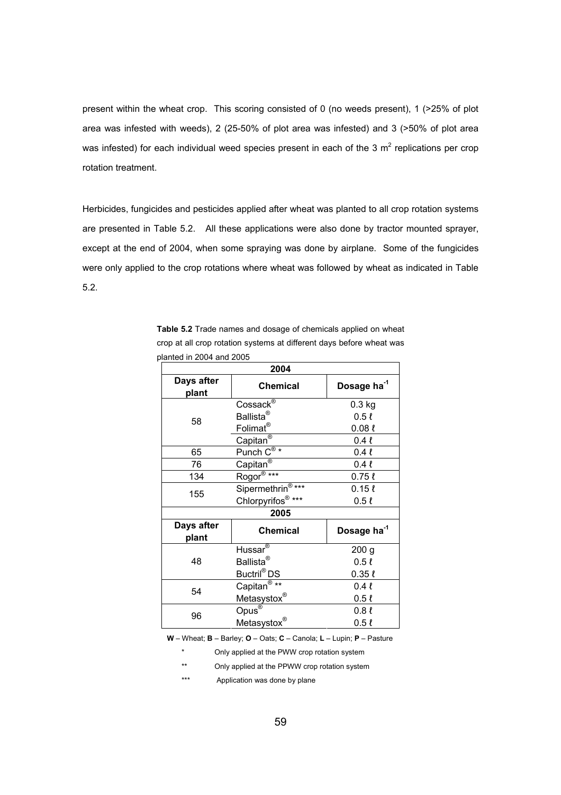present within the wheat crop. This scoring consisted of 0 (no weeds present), 1 (>25% of plot area was infested with weeds), 2 (25-50% of plot area was infested) and 3 (>50% of plot area was infested) for each individual weed species present in each of the 3  $m^2$  replications per crop rotation treatment.

Herbicides, fungicides and pesticides applied after wheat was planted to all crop rotation systems are presented in Table 5.2. All these applications were also done by tractor mounted sprayer, except at the end of 2004, when some spraying was done by airplane. Some of the fungicides were only applied to the crop rotations where wheat was followed by wheat as indicated in Table 5.2.

**Table 5.2** Trade names and dosage of chemicals applied on wheat crop at all crop rotation systems at different days before wheat was planted in 2004 and 2005

| 2004                |                                      |                         |  |  |
|---------------------|--------------------------------------|-------------------------|--|--|
| Days after<br>plant | <b>Chemical</b>                      | Dosage ha <sup>-1</sup> |  |  |
|                     | Cossack <sup>®</sup>                 | $0.3$ kg                |  |  |
| 58                  | Ballista $^{\circledR}$              | $0.5 \ell$              |  |  |
|                     | Folimat <sup>®</sup>                 | $0.08 \ell$             |  |  |
|                     | Capitan <sup>®</sup>                 | 0.4l                    |  |  |
| 65                  | $Punch \overline{C^{\circledast *}}$ | 0.4l                    |  |  |
| 76                  | Capitan®                             | $0.4 \ell$              |  |  |
| 134                 | Rogor <sup>®</sup> ***               | $0.75 \ell$             |  |  |
| 155                 | Sipermethrin <sup>®***</sup>         | $0.15 \ell$             |  |  |
|                     | Chlorpyrifos®***                     | $0.5 \ell$              |  |  |
|                     | 2005                                 |                         |  |  |
| Days after<br>plant | <b>Chemical</b>                      | Dosage ha <sup>-1</sup> |  |  |
|                     | Hussar <sup>®</sup>                  | 200 <sub>g</sub>        |  |  |
| 48                  | Ballista $^{\circledR}$              | 0.5l                    |  |  |
|                     | Buctril <sup>®</sup> DS              | $0.35 \ell$             |  |  |
| 54                  | Capitan <sup>®</sup> **              | $0.4 \ell$              |  |  |
|                     | Metasystox®                          | 0.5 <sub>l</sub>        |  |  |
| 96                  | $Opus^@$                             | 0.8 <sub>l</sub>        |  |  |
|                     | Metasystox®                          | 0.5 <sub>l</sub>        |  |  |

 **W** – Wheat; **B** – Barley; **O** – Oats; **C** – Canola; **L** – Lupin; **P** – Pasture

\* Only applied at the PWW crop rotation system

\*\* Only applied at the PPWW crop rotation system

\*\*\* Application was done by plane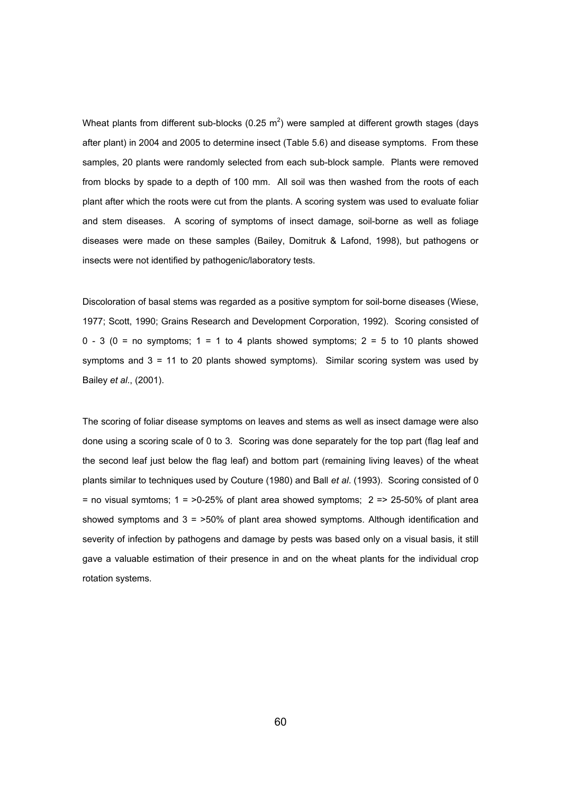Wheat plants from different sub-blocks (0.25 m<sup>2</sup>) were sampled at different growth stages (days after plant) in 2004 and 2005 to determine insect (Table 5.6) and disease symptoms. From these samples, 20 plants were randomly selected from each sub-block sample. Plants were removed from blocks by spade to a depth of 100 mm. All soil was then washed from the roots of each plant after which the roots were cut from the plants. A scoring system was used to evaluate foliar and stem diseases. A scoring of symptoms of insect damage, soil-borne as well as foliage diseases were made on these samples (Bailey, Domitruk & Lafond, 1998), but pathogens or insects were not identified by pathogenic/laboratory tests.

Discoloration of basal stems was regarded as a positive symptom for soil-borne diseases (Wiese, 1977; Scott, 1990; Grains Research and Development Corporation, 1992). Scoring consisted of  $0 - 3$  ( $0 =$  no symptoms;  $1 = 1$  to 4 plants showed symptoms;  $2 = 5$  to 10 plants showed symptoms and  $3 = 11$  to 20 plants showed symptoms). Similar scoring system was used by Bailey *et al*., (2001).

The scoring of foliar disease symptoms on leaves and stems as well as insect damage were also done using a scoring scale of 0 to 3. Scoring was done separately for the top part (flag leaf and the second leaf just below the flag leaf) and bottom part (remaining living leaves) of the wheat plants similar to techniques used by Couture (1980) and Ball *et al*. (1993). Scoring consisted of 0 = no visual symtoms;  $1 = 50-25%$  of plant area showed symptoms;  $2 = 25-50%$  of plant area showed symptoms and  $3 = 50\%$  of plant area showed symptoms. Although identification and severity of infection by pathogens and damage by pests was based only on a visual basis, it still gave a valuable estimation of their presence in and on the wheat plants for the individual crop rotation systems.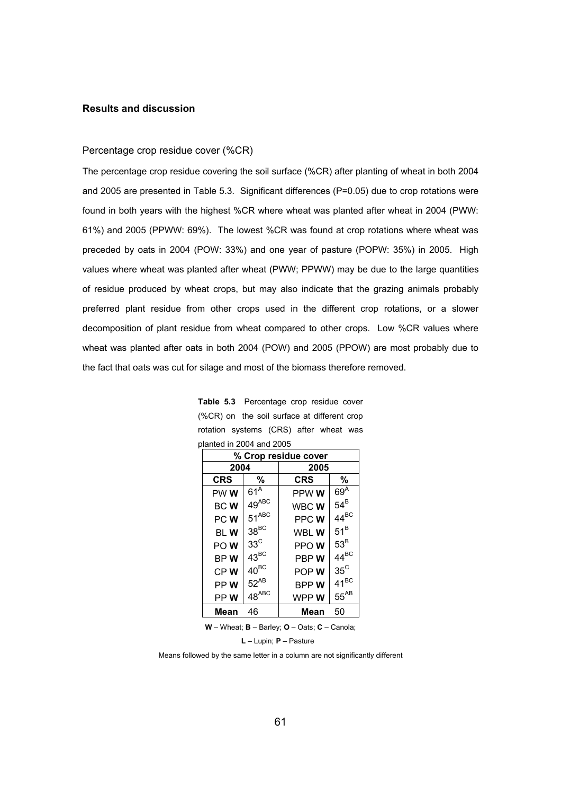# **Results and discussion**

## Percentage crop residue cover (%CR)

The percentage crop residue covering the soil surface (%CR) after planting of wheat in both 2004 and 2005 are presented in Table 5.3. Significant differences (P=0.05) due to crop rotations were found in both years with the highest %CR where wheat was planted after wheat in 2004 (PWW: 61%) and 2005 (PPWW: 69%). The lowest %CR was found at crop rotations where wheat was preceded by oats in 2004 (POW: 33%) and one year of pasture (POPW: 35%) in 2005. High values where wheat was planted after wheat (PWW; PPWW) may be due to the large quantities of residue produced by wheat crops, but may also indicate that the grazing animals probably preferred plant residue from other crops used in the different crop rotations, or a slower decomposition of plant residue from wheat compared to other crops. Low %CR values where wheat was planted after oats in both 2004 (POW) and 2005 (PPOW) are most probably due to the fact that oats was cut for silage and most of the biomass therefore removed.

|     | % Crop residue cover |                 |             |                 |  |  |
|-----|----------------------|-----------------|-------------|-----------------|--|--|
|     | 2004                 |                 | 2005        |                 |  |  |
|     | <b>CRS</b>           | %               | <b>CRS</b>  | %               |  |  |
|     | PW W                 | 61 <sup>A</sup> | PPW W       | 69 <sup>A</sup> |  |  |
|     | <b>BCW</b>           | $49^{ABC}$      | WBC W       | $54^B$          |  |  |
| PCW |                      | $51^{ABC}$      | PPC W       | $44^{BC}$       |  |  |
|     | bl W                 | $38^{\rm BC}$   | WBL W       | $51^B$          |  |  |
|     | PO W                 | $33^{\circ}$    | PPO W       | $53^B$          |  |  |
|     | BP W                 | $43^{BC}$       | PBP W       | $44^{BC}$       |  |  |
|     | CPW                  | $40^{BC}$       | POP W       | $35^{\circ}$    |  |  |
|     | PP W                 | $52^{AB}$       | <b>BPPW</b> | $41^{BC}$       |  |  |
|     | PP W                 | $48^{ABC}$      | WPP W       | $55^{AB}$       |  |  |
|     | Mean                 | 46              | Mean        | 50              |  |  |

**Table 5.3** Percentage crop residue cover (%CR) on the soil surface at different crop rotation systems (CRS) after wheat was planted in 2004 and 2005

**W** – Wheat; **B** – Barley; **O** – Oats; **C** – Canola;

**L** – Lupin; **P** – Pasture

Means followed by the same letter in a column are not significantly different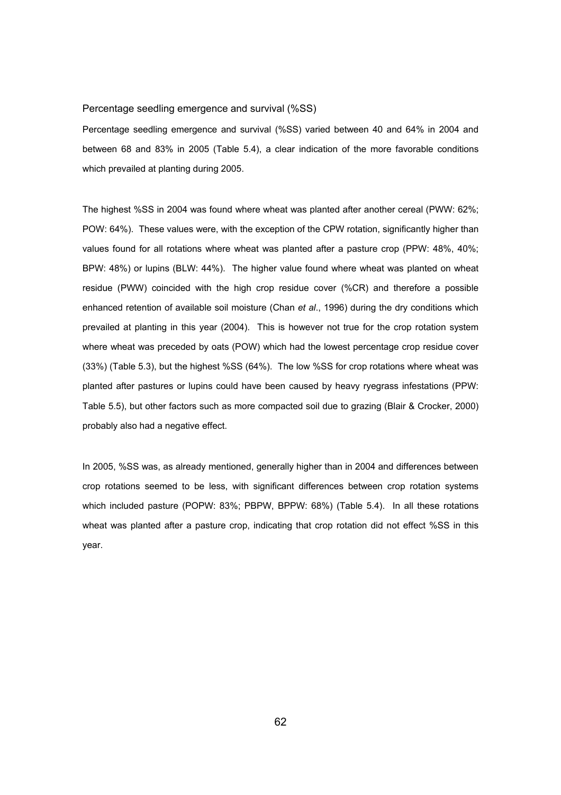# Percentage seedling emergence and survival (%SS)

Percentage seedling emergence and survival (%SS) varied between 40 and 64% in 2004 and between 68 and 83% in 2005 (Table 5.4), a clear indication of the more favorable conditions which prevailed at planting during 2005.

The highest %SS in 2004 was found where wheat was planted after another cereal (PWW: 62%; POW: 64%). These values were, with the exception of the CPW rotation, significantly higher than values found for all rotations where wheat was planted after a pasture crop (PPW: 48%, 40%; BPW: 48%) or lupins (BLW: 44%). The higher value found where wheat was planted on wheat residue (PWW) coincided with the high crop residue cover (%CR) and therefore a possible enhanced retention of available soil moisture (Chan *et al*., 1996) during the dry conditions which prevailed at planting in this year (2004). This is however not true for the crop rotation system where wheat was preceded by oats (POW) which had the lowest percentage crop residue cover (33%) (Table 5.3), but the highest %SS (64%). The low %SS for crop rotations where wheat was planted after pastures or lupins could have been caused by heavy ryegrass infestations (PPW: Table 5.5), but other factors such as more compacted soil due to grazing (Blair & Crocker, 2000) probably also had a negative effect.

In 2005, %SS was, as already mentioned, generally higher than in 2004 and differences between crop rotations seemed to be less, with significant differences between crop rotation systems which included pasture (POPW: 83%; PBPW, BPPW: 68%) (Table 5.4). In all these rotations wheat was planted after a pasture crop, indicating that crop rotation did not effect %SS in this year.

 $62$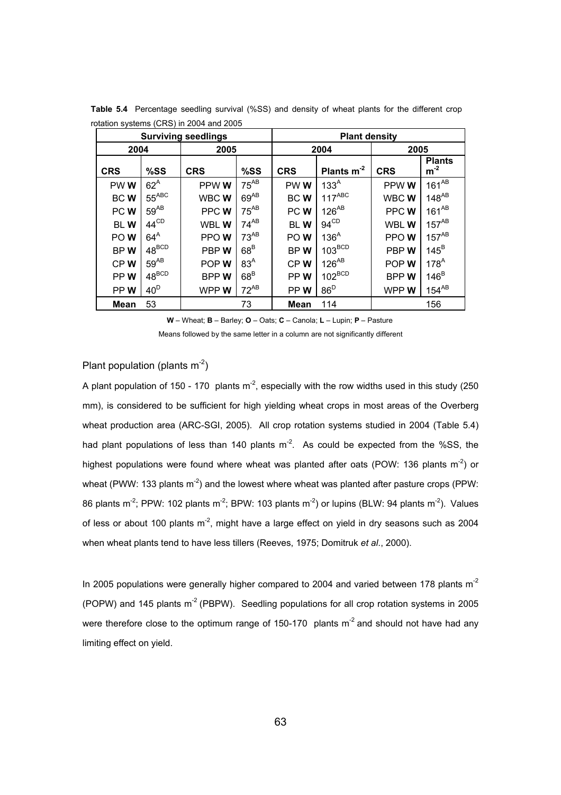|                 |                   | <b>Surviving seedlings</b> |                 | <b>Plant density</b> |                  |             |                           |  |
|-----------------|-------------------|----------------------------|-----------------|----------------------|------------------|-------------|---------------------------|--|
| 2004            | 2005              |                            |                 | 2004                 |                  | 2005        |                           |  |
| <b>CRS</b>      | %SS               | <b>CRS</b><br>%SS          |                 | <b>CRS</b>           | Plants $m^{-2}$  | <b>CRS</b>  | <b>Plants</b><br>$m^{-2}$ |  |
| PWW             | $62^A$            | PPW W                      | $75^{AB}$       | PWW                  | 133 <sup>A</sup> | PPW W       | $161^{AB}$                |  |
| <b>BCW</b>      | $55^{\text{ABC}}$ | WBC W                      | $69^{AB}$       | <b>BCW</b>           | $117^{ABC}$      | WBC W       | $148^{AB}$                |  |
| PC W            | $59^{AB}$         | PPC W                      | $75^{AB}$       | PC W                 | $126^{AB}$       | PPC W       | $161^{AB}$                |  |
| <b>BLW</b>      | $44^{\text{CD}}$  | WBL W                      | $74^{AB}$       | <b>BLW</b>           | $94^{\text{CD}}$ | WBL W       | $157^{AB}$                |  |
| POW <sub></sub> | $64^A$            | PPOW                       | $73^{AB}$       | PO W                 | 136 <sup>A</sup> | PPO W       | $157^{AB}$                |  |
| BPW             | $48^{\rm BCD}$    | PBP W                      | 68 <sup>B</sup> | BPW                  | $103^{BCD}$      | PBP W       | $145^B$                   |  |
| CPW             | $59^{AB}$         | POP W                      | 83 <sup>A</sup> | CPW                  | $126^{AB}$       | POPW        | 178 <sup>A</sup>          |  |
| PPW             | $48^{BCD}$        | <b>BPPW</b>                | 68 <sup>B</sup> | PP W                 | $102^{BCD}$      | <b>BPPW</b> | $146^B$                   |  |
| PPW             | 40 <sup>D</sup>   | WPP W                      | $72^{AB}$       | PP W                 | $86^{D}$         | WPP W       | $154^{AB}$                |  |
| <b>Mean</b>     | 53                |                            | 73              | <b>Mean</b>          | 114              |             | 156                       |  |

**Table 5.4** Percentage seedling survival (%SS) and density of wheat plants for the different crop rotation systems (CRS) in 2004 and 2005

 **W** – Wheat; **B** – Barley; **O** – Oats; **C** – Canola; **L** – Lupin; **P** – Pasture

Means followed by the same letter in a column are not significantly different

# Plant population (plants  $m<sup>-2</sup>$ )

A plant population of 150 - 170 plants  $m<sup>2</sup>$ , especially with the row widths used in this study (250 mm), is considered to be sufficient for high yielding wheat crops in most areas of the Overberg wheat production area (ARC-SGI, 2005). All crop rotation systems studied in 2004 (Table 5.4) had plant populations of less than 140 plants  $m<sup>-2</sup>$ . As could be expected from the %SS, the highest populations were found where wheat was planted after oats (POW: 136 plants  $m^{-2}$ ) or wheat (PWW: 133 plants  $m<sup>-2</sup>$ ) and the lowest where wheat was planted after pasture crops (PPW: 86 plants m<sup>-2</sup>; PPW: 102 plants m<sup>-2</sup>; BPW: 103 plants m<sup>-2</sup>) or lupins (BLW: 94 plants m<sup>-2</sup>). Values of less or about 100 plants  $m<sup>2</sup>$ , might have a large effect on yield in dry seasons such as 2004 when wheat plants tend to have less tillers (Reeves, 1975; Domitruk *et al*., 2000).

In 2005 populations were generally higher compared to 2004 and varied between 178 plants  $m<sup>2</sup>$ (POPW) and 145 plants  $m^2$  (PBPW). Seedling populations for all crop rotation systems in 2005 were therefore close to the optimum range of 150-170 plants  $m<sup>2</sup>$  and should not have had any limiting effect on yield.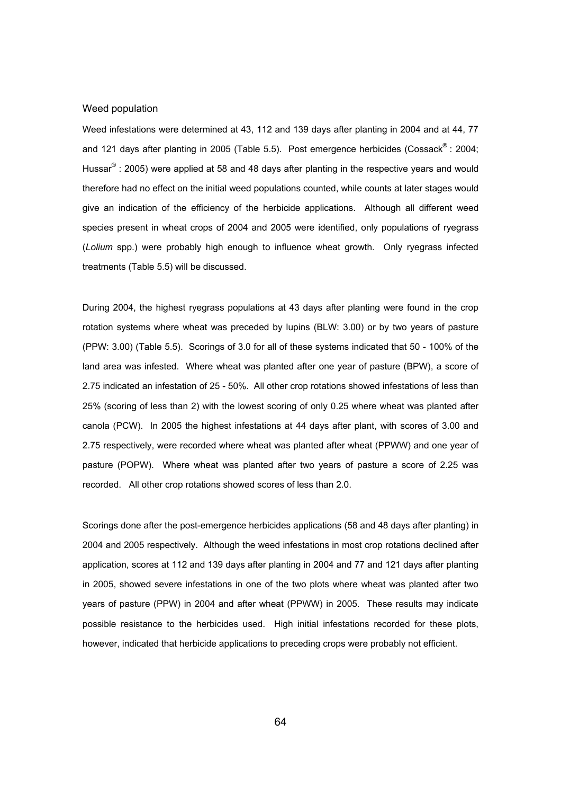## Weed population

Weed infestations were determined at 43, 112 and 139 days after planting in 2004 and at 44, 77 and 121 days after planting in 2005 (Table 5.5). Post emergence herbicides (Cossack® : 2004; Hussar<sup>®</sup> : 2005) were applied at 58 and 48 days after planting in the respective years and would therefore had no effect on the initial weed populations counted, while counts at later stages would give an indication of the efficiency of the herbicide applications. Although all different weed species present in wheat crops of 2004 and 2005 were identified, only populations of ryegrass (*Lolium* spp.) were probably high enough to influence wheat growth. Only ryegrass infected treatments (Table 5.5) will be discussed.

During 2004, the highest ryegrass populations at 43 days after planting were found in the crop rotation systems where wheat was preceded by lupins (BLW: 3.00) or by two years of pasture (PPW: 3.00) (Table 5.5). Scorings of 3.0 for all of these systems indicated that 50 - 100% of the land area was infested. Where wheat was planted after one year of pasture (BPW), a score of 2.75 indicated an infestation of 25 - 50%. All other crop rotations showed infestations of less than 25% (scoring of less than 2) with the lowest scoring of only 0.25 where wheat was planted after canola (PCW). In 2005 the highest infestations at 44 days after plant, with scores of 3.00 and 2.75 respectively, were recorded where wheat was planted after wheat (PPWW) and one year of pasture (POPW). Where wheat was planted after two years of pasture a score of 2.25 was recorded. All other crop rotations showed scores of less than 2.0.

Scorings done after the post-emergence herbicides applications (58 and 48 days after planting) in 2004 and 2005 respectively. Although the weed infestations in most crop rotations declined after application, scores at 112 and 139 days after planting in 2004 and 77 and 121 days after planting in 2005, showed severe infestations in one of the two plots where wheat was planted after two years of pasture (PPW) in 2004 and after wheat (PPWW) in 2005. These results may indicate possible resistance to the herbicides used. High initial infestations recorded for these plots, however, indicated that herbicide applications to preceding crops were probably not efficient.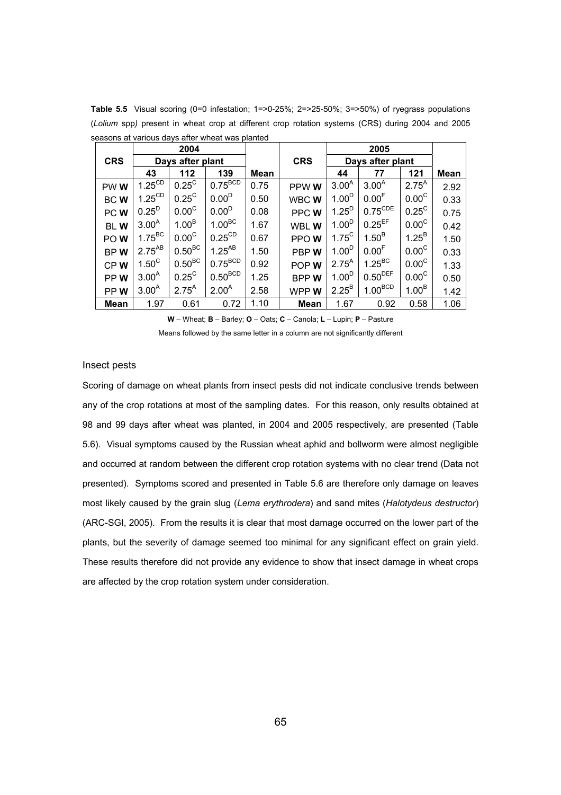|                 |                               | 2004              |                     |             |             |                   | 2005                |                   |             |
|-----------------|-------------------------------|-------------------|---------------------|-------------|-------------|-------------------|---------------------|-------------------|-------------|
| <b>CRS</b>      |                               | Days after plant  |                     |             | <b>CRS</b>  | Days after plant  |                     |                   |             |
|                 | 43                            | 112               | 139                 | <b>Mean</b> |             | 44                | 77                  | 121               | <b>Mean</b> |
| PWW <sub></sub> | $1.25^{\overline{\text{CD}}}$ | $0.25^{\circ}$    | $0.75^{BCD}$        | 0.75        | PPW W       | 3.00 <sup>A</sup> | $3.00^{A}$          | $2.75^{A}$        | 2.92        |
| <b>BCW</b>      | $1.25^{\text{CD}}$            | $0.25^{\circ}$    | 0.00 <sup>D</sup>   | 0.50        | WBC W       | 1.00 <sup>D</sup> | 0.00 <sup>F</sup>   | 0.00 <sup>C</sup> | 0.33        |
| PC W            | 0.25 <sup>D</sup>             | 0.00 <sup>C</sup> | 0.00 <sup>D</sup>   | 0.08        | PPC W       | $1.25^{D}$        | $0.75^{\text{CDE}}$ | $0.25^{\circ}$    | 0.75        |
| <b>BLW</b>      | 3.00 <sup>A</sup>             | 1.00 <sup>B</sup> | 1.00 <sup>BC</sup>  | 1.67        | WBL W       | 1.00 <sup>D</sup> | $0.25^{EF}$         | $0.00^{\circ}$    | 0.42        |
| POW <sub></sub> | $1.75^{\text{BC}}$            | 0.00 <sup>C</sup> | $0.25^{\text{CD}}$  | 0.67        | PPOW        | $1.75^{\circ}$    | 1.50 <sup>B</sup>   | $1.25^{B}$        | 1.50        |
| BPW             | $2.75^{AB}$                   | $0.50^{BC}$       | $1.25^{AB}$         | 1.50        | PBP W       | 1.00 <sup>D</sup> | 0.00 <sup>F</sup>   | 0.00 <sup>C</sup> | 0.33        |
| CPW             | $1.50^{\circ}$                | $0.50^{BC}$       | $0.75^{\text{BCD}}$ | 0.92        | POP W       | $2.75^{A}$        | $1.25^{BC}$         | 0.00 <sup>C</sup> | 1.33        |
| PPW <sub></sub> | 3.00 <sup>A</sup>             | $0.25^{\circ}$    | $0.50^{BCD}$        | 1.25        | <b>BPPW</b> | 1.00 <sup>D</sup> | $0.50^{DEF}$        | 0.00 <sup>C</sup> | 0.50        |
| PPW             | $3.00^{A}$                    | $2.75^{A}$        | 2.00 <sup>A</sup>   | 2.58        | WPP W       | $2.25^{B}$        | $1.00^{BCD}$        | 1.00 <sup>B</sup> | 1.42        |
| <b>Mean</b>     | 1.97                          | 0.61              | 0.72                | 1.10        | <b>Mean</b> | 1.67              | 0.92                | 0.58              | 1.06        |

**Table 5.5** Visual scoring (0=0 infestation; 1=>0-25%; 2=>25-50%; 3=>50%) of ryegrass populations (*Lolium* spp*)* present in wheat crop at different crop rotation systems (CRS) during 2004 and 2005 seasons at various days after wheat was planted

**W** – Wheat; **B** – Barley; **O** – Oats; **C** – Canola; **L** – Lupin; **P** – Pasture

Means followed by the same letter in a column are not significantly different

#### Insect pests

Scoring of damage on wheat plants from insect pests did not indicate conclusive trends between any of the crop rotations at most of the sampling dates. For this reason, only results obtained at 98 and 99 days after wheat was planted, in 2004 and 2005 respectively, are presented (Table 5.6). Visual symptoms caused by the Russian wheat aphid and bollworm were almost negligible and occurred at random between the different crop rotation systems with no clear trend (Data not presented). Symptoms scored and presented in Table 5.6 are therefore only damage on leaves most likely caused by the grain slug (*Lema erythrodera*) and sand mites (*Halotydeus destructor*) (ARC-SGI, 2005). From the results it is clear that most damage occurred on the lower part of the plants, but the severity of damage seemed too minimal for any significant effect on grain yield. These results therefore did not provide any evidence to show that insect damage in wheat crops are affected by the crop rotation system under consideration.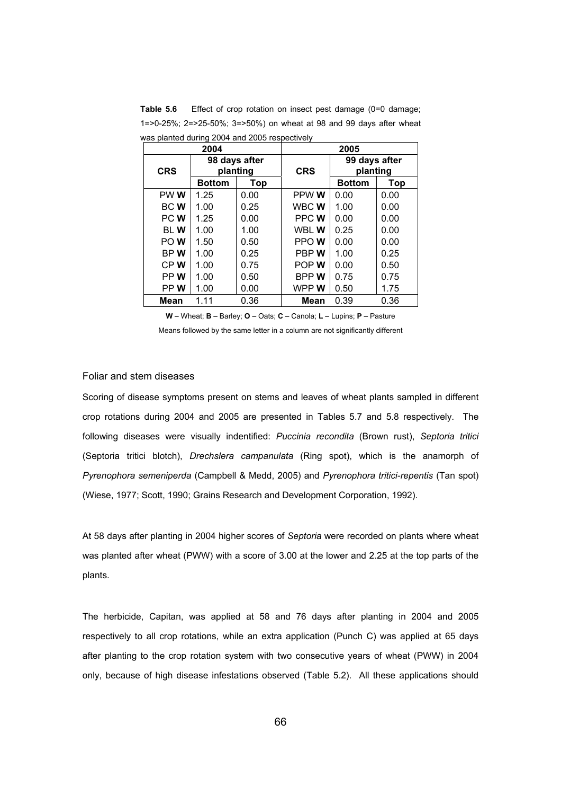|            | 2004          |                           | 2005        |                           |            |  |  |
|------------|---------------|---------------------------|-------------|---------------------------|------------|--|--|
| <b>CRS</b> |               | 98 days after<br>planting | <b>CRS</b>  | 99 days after<br>planting |            |  |  |
|            | <b>Bottom</b> | <b>Top</b>                |             | <b>Bottom</b>             | <b>Top</b> |  |  |
| PW W       | 1.25          | 0.00                      | PPW W       | 0.00                      | 0.00       |  |  |
| BC W       | 1.00          | 0.25                      | WBC W       | 1.00                      | 0.00       |  |  |
| PC W       | 1.25          | 0.00                      | PPC W       | 0.00                      | 0.00       |  |  |
| BL W       | 1.00          | 1.00                      | WBL W       | 0.25                      | 0.00       |  |  |
| PO W       | 1.50          | 0.50                      | PPO W       | 0.00                      | 0.00       |  |  |
| BPW        | 1.00          | 0.25                      | PBP W       | 1.00                      | 0.25       |  |  |
| CPW        | 1.00          | 0.75                      | POP W       | 0.00                      | 0.50       |  |  |
| PPW        | 1.00          | 0.50                      | <b>BPPW</b> | 0.75                      | 0.75       |  |  |
| PP W       | 1.00<br>0.00  |                           | WPP W       | 0.50                      | 1.75       |  |  |
| Mean       | 1.11          | 0.36                      | Mean        | 0.39                      | 0.36       |  |  |

**Table 5.6** Effect of crop rotation on insect pest damage (0=0 damage; 1=>0-25%; 2=>25-50%; 3=>50%) on wheat at 98 and 99 days after wheat was planted during 2004 and 2005 respectively

**W** – Wheat; **B** – Barley; **O** – Oats; **C** – Canola; **L** – Lupins; **P** – Pasture

Means followed by the same letter in a column are not significantly different

#### Foliar and stem diseases

Scoring of disease symptoms present on stems and leaves of wheat plants sampled in different crop rotations during 2004 and 2005 are presented in Tables 5.7 and 5.8 respectively. The following diseases were visually indentified: *Puccinia recondita* (Brown rust), *Septoria tritici* (Septoria tritici blotch), *Drechslera campanulata* (Ring spot), which is the anamorph of *Pyrenophora semeniperda* (Campbell & Medd, 2005) and *Pyrenophora tritici-repentis* (Tan spot) (Wiese, 1977; Scott, 1990; Grains Research and Development Corporation, 1992).

At 58 days after planting in 2004 higher scores of *Septoria* were recorded on plants where wheat was planted after wheat (PWW) with a score of 3.00 at the lower and 2.25 at the top parts of the plants.

The herbicide, Capitan, was applied at 58 and 76 days after planting in 2004 and 2005 respectively to all crop rotations, while an extra application (Punch C) was applied at 65 days after planting to the crop rotation system with two consecutive years of wheat (PWW) in 2004 only, because of high disease infestations observed (Table 5.2). All these applications should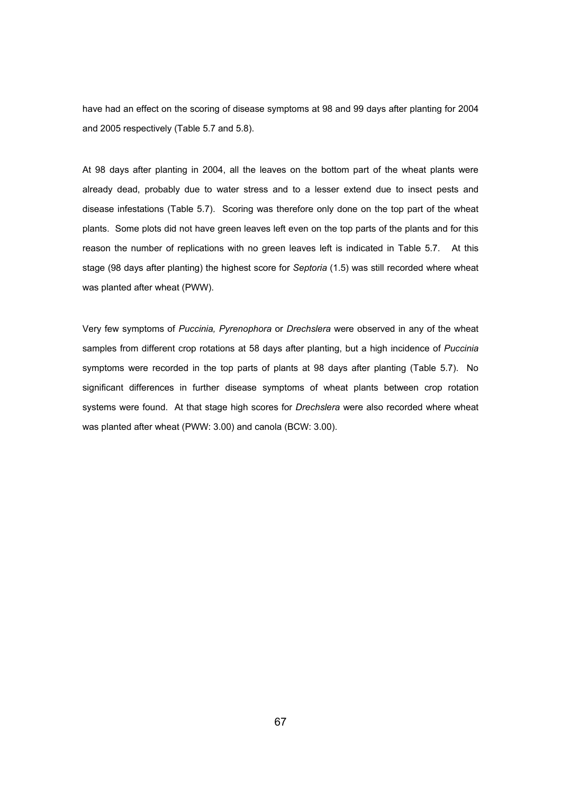have had an effect on the scoring of disease symptoms at 98 and 99 days after planting for 2004 and 2005 respectively (Table 5.7 and 5.8).

At 98 days after planting in 2004, all the leaves on the bottom part of the wheat plants were already dead, probably due to water stress and to a lesser extend due to insect pests and disease infestations (Table 5.7). Scoring was therefore only done on the top part of the wheat plants. Some plots did not have green leaves left even on the top parts of the plants and for this reason the number of replications with no green leaves left is indicated in Table 5.7. At this stage (98 days after planting) the highest score for *Septoria* (1.5) was still recorded where wheat was planted after wheat (PWW).

Very few symptoms of *Puccinia, Pyrenophora* or *Drechslera* were observed in any of the wheat samples from different crop rotations at 58 days after planting, but a high incidence of *Puccinia* symptoms were recorded in the top parts of plants at 98 days after planting (Table 5.7). No significant differences in further disease symptoms of wheat plants between crop rotation systems were found. At that stage high scores for *Drechslera* were also recorded where wheat was planted after wheat (PWW: 3.00) and canola (BCW: 3.00).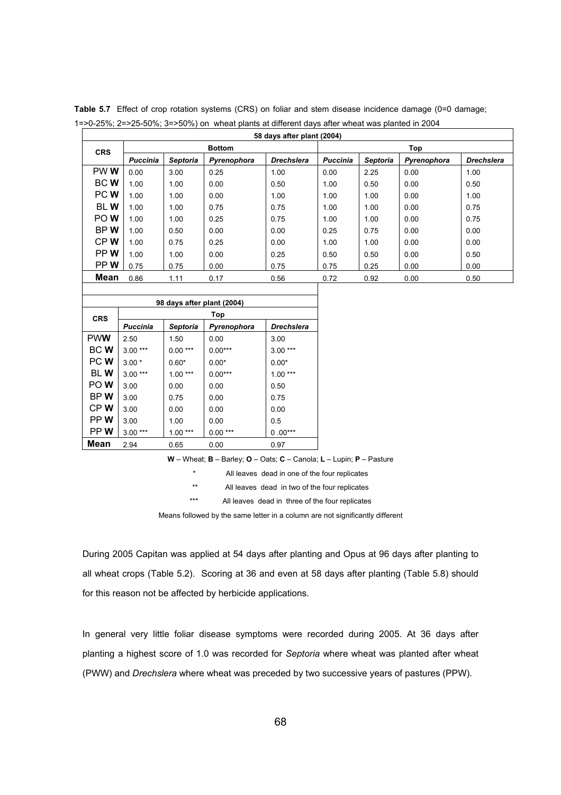|             | 58 days after plant (2004) |                 |               |                   |                 |          |             |                   |  |  |  |  |
|-------------|----------------------------|-----------------|---------------|-------------------|-----------------|----------|-------------|-------------------|--|--|--|--|
| <b>CRS</b>  |                            |                 | <b>Bottom</b> |                   | Top             |          |             |                   |  |  |  |  |
|             | <b>Puccinia</b>            | <b>Septoria</b> | Pyrenophora   | <b>Drechslera</b> | <b>Puccinia</b> | Septoria | Pyrenophora | <b>Drechslera</b> |  |  |  |  |
| PW W        | 0.00                       | 3.00            | 0.25          | 1.00              | 0.00            | 2.25     | 0.00        | 1.00              |  |  |  |  |
| <b>BCW</b>  | 1.00                       | 1.00            | 0.00          | 0.50              | 1.00            | 0.50     | 0.00        | 0.50              |  |  |  |  |
| PC W        | 1.00                       | 1.00            | 0.00          | 1.00              | 1.00            | 1.00     | 0.00        | 1.00              |  |  |  |  |
| <b>BLW</b>  | 1.00                       | 1.00            | 0.75          | 0.75              | 1.00            | 1.00     | 0.00        | 0.75              |  |  |  |  |
| PO W        | 1.00                       | 1.00            | 0.25          | 0.75              | 1.00            | 1.00     | 0.00        | 0.75              |  |  |  |  |
| BP W        | 1.00                       | 0.50            | 0.00          | 0.00              | 0.25            | 0.75     | 0.00        | 0.00              |  |  |  |  |
| CPW         | 1.00                       | 0.75            | 0.25          | 0.00              | 1.00            | 1.00     | 0.00        | 0.00              |  |  |  |  |
| PP W        | 1.00                       | 1.00            | 0.00          | 0.25              | 0.50            | 0.50     | 0.00        | 0.50              |  |  |  |  |
| PP W        | 0.75                       | 0.75            | 0.00          | 0.75              | 0.75            | 0.25     | 0.00        | 0.00              |  |  |  |  |
| <b>Mean</b> | 0.86                       | 1.11            | 0.17          | 0.56              | 0.72            | 0.92     | 0.00        | 0.50              |  |  |  |  |

Table 5.7 Effect of crop rotation systems (CRS) on foliar and stem disease incidence damage (0=0 damage; 1=>0-25%; 2=>25-50%; 3=>50%) on wheat plants at different days after wheat was planted in 2004

|             | 98 days after plant (2004) |                 |             |                   |  |  |  |  |  |  |  |  |
|-------------|----------------------------|-----------------|-------------|-------------------|--|--|--|--|--|--|--|--|
| <b>CRS</b>  |                            |                 | Top         |                   |  |  |  |  |  |  |  |  |
|             | Puccinia                   | <b>Septoria</b> | Pyrenophora | <b>Drechslera</b> |  |  |  |  |  |  |  |  |
| <b>PWW</b>  | 2.50                       | 1.50            | 0.00        | 3.00              |  |  |  |  |  |  |  |  |
| <b>BC W</b> | $3.00***$                  | $0.00***$       | $0.00***$   | $3.00***$         |  |  |  |  |  |  |  |  |
| PC W        | $3.00*$                    | $0.60*$         | $0.00*$     | $0.00*$           |  |  |  |  |  |  |  |  |
| <b>BLW</b>  | $3.00***$                  | $1.00***$       | $0.00***$   | $1.00***$         |  |  |  |  |  |  |  |  |
| PO W        | 3.00                       | 0.00            | 0.00        | 0.50              |  |  |  |  |  |  |  |  |
| BP W        | 3.00                       | 0.75            | 0.00        | 0.75              |  |  |  |  |  |  |  |  |
| CP W        | 3.00                       | 0.00            | 0.00        | 0.00              |  |  |  |  |  |  |  |  |
| PP W        | 3.00                       | 1.00            | 0.00        | 0.5               |  |  |  |  |  |  |  |  |
| PP W        | $3.00***$                  | $1.00***$       | $0.00***$   | $0.00***$         |  |  |  |  |  |  |  |  |
| <b>Mean</b> | 2.94                       | 0.65            | 0.00        | 0.97              |  |  |  |  |  |  |  |  |

**W** – Wheat; **B** – Barley; **O** – Oats; **C** – Canola; **L** – Lupin; **P** – Pasture

\* All leaves dead in one of the four replicates

\*\* All leaves dead in two of the four replicates

\*\*\* All leaves dead in three of the four replicates

Means followed by the same letter in a column are not significantly different

During 2005 Capitan was applied at 54 days after planting and Opus at 96 days after planting to all wheat crops (Table 5.2). Scoring at 36 and even at 58 days after planting (Table 5.8) should for this reason not be affected by herbicide applications.

In general very little foliar disease symptoms were recorded during 2005. At 36 days after planting a highest score of 1.0 was recorded for *Septoria* where wheat was planted after wheat (PWW) and *Drechslera* where wheat was preceded by two successive years of pastures (PPW).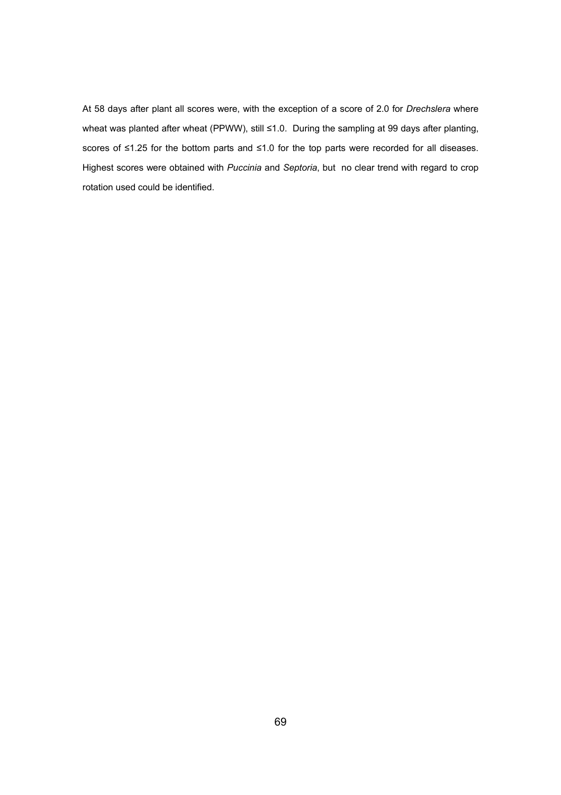At 58 days after plant all scores were, with the exception of a score of 2.0 for *Drechslera* where wheat was planted after wheat (PPWW), still ≤1.0. During the sampling at 99 days after planting, scores of ≤1.25 for the bottom parts and ≤1.0 for the top parts were recorded for all diseases. Highest scores were obtained with *Puccinia* and *Septoria*, but no clear trend with regard to crop rotation used could be identified.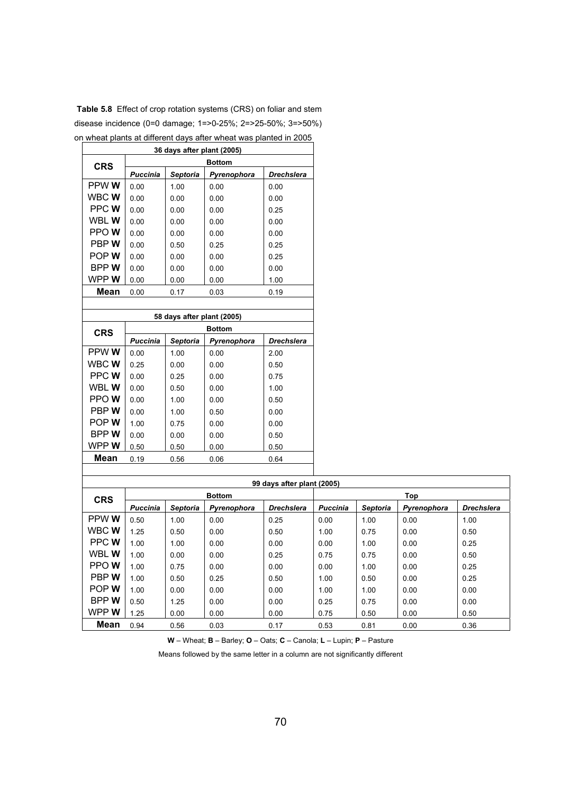|              | i wilcar plants at uniciciit uays altci wilcar was plantcu in 2000<br>36 days after plant (2005) |                            |               |                   |  |  |  |  |  |  |  |
|--------------|--------------------------------------------------------------------------------------------------|----------------------------|---------------|-------------------|--|--|--|--|--|--|--|
|              |                                                                                                  |                            | <b>Bottom</b> |                   |  |  |  |  |  |  |  |
| <b>CRS</b>   | <b>Puccinia</b>                                                                                  | <b>Septoria</b>            | Pyrenophora   | <b>Drechslera</b> |  |  |  |  |  |  |  |
| PPW W        | 0.00                                                                                             | 1.00                       | 0.00          | 0.00              |  |  |  |  |  |  |  |
| WBC W        | 0.00                                                                                             | 0.00                       | 0.00          | 0.00              |  |  |  |  |  |  |  |
| PPC W        | 0.00                                                                                             | 0.00                       | 0.00          | 0.25              |  |  |  |  |  |  |  |
| WBL W        | 0.00                                                                                             | 0.00                       | 0.00          | 0.00              |  |  |  |  |  |  |  |
| PPO W        | 0.00                                                                                             | 0.00                       | 0.00          | 0.00              |  |  |  |  |  |  |  |
| PBP W        | 0.00                                                                                             | 0.50                       | 0.25          | 0.25              |  |  |  |  |  |  |  |
| POP W        | 0.00                                                                                             | 0.00                       | 0.00          | 0.25              |  |  |  |  |  |  |  |
| BPP W        | 0.00                                                                                             | 0.00                       | 0.00          | 0.00              |  |  |  |  |  |  |  |
| WPP W        | 0.00                                                                                             | 0.00                       | 0.00          | 1.00              |  |  |  |  |  |  |  |
| <b>Mean</b>  | 0.00                                                                                             | 0.17                       | 0.03          | 0.19              |  |  |  |  |  |  |  |
|              |                                                                                                  |                            |               |                   |  |  |  |  |  |  |  |
|              |                                                                                                  | 58 days after plant (2005) |               |                   |  |  |  |  |  |  |  |
| <b>CRS</b>   |                                                                                                  |                            | <b>Bottom</b> |                   |  |  |  |  |  |  |  |
|              | <b>Puccinia</b>                                                                                  | Septoria                   | Pyrenophora   | <b>Drechslera</b> |  |  |  |  |  |  |  |
| PPW W        | 0.00                                                                                             | 1.00                       | 0.00          | 2.00              |  |  |  |  |  |  |  |
| WBC W        | 0.25                                                                                             | 0.00                       | 0.00          | 0.50              |  |  |  |  |  |  |  |
| PPC W        | 0.00                                                                                             | 0.25                       | 0.00          | 0.75              |  |  |  |  |  |  |  |
| WBL W        | 0.00                                                                                             | 0.50                       | 0.00          | 1.00              |  |  |  |  |  |  |  |
| PPOW         | 0.00                                                                                             | 1.00                       | 0.00          | 0.50              |  |  |  |  |  |  |  |
| PBPW         | 0.00                                                                                             | 1.00                       | 0.50          | 0.00              |  |  |  |  |  |  |  |
| POP W        | 1.00                                                                                             | 0.75                       | 0.00          | 0.00              |  |  |  |  |  |  |  |
| BPP W        | 0.00                                                                                             | 0.00                       | 0.00          | 0.50              |  |  |  |  |  |  |  |
| WPP <b>W</b> | 0.50                                                                                             | 0.50                       | 0.00          | 0.50              |  |  |  |  |  |  |  |
| <b>Mean</b>  | 0.19                                                                                             | 0.56                       | 0.06          | 0.64              |  |  |  |  |  |  |  |
|              |                                                                                                  |                            |               |                   |  |  |  |  |  |  |  |

**Table 5.8** Effect of crop rotation systems (CRS) on foliar and stem disease incidence (0=0 damage; 1=>0-25%; 2=>25-50%; 3=>50%) on wheat plants at different days after wheat was planted in 2005

|             |                 |          |               | 99 days after plant (2005) |                 |                 |             |                   |  |
|-------------|-----------------|----------|---------------|----------------------------|-----------------|-----------------|-------------|-------------------|--|
| <b>CRS</b>  |                 |          | <b>Bottom</b> |                            | Top             |                 |             |                   |  |
|             | <b>Puccinia</b> | Septoria | Pyrenophora   | <b>Drechslera</b>          | <b>Puccinia</b> | <b>Septoria</b> | Pyrenophora | <b>Drechslera</b> |  |
| PPW W       | 0.50            | 1.00     | 0.00          | 0.25                       | 0.00            | 1.00            | 0.00        | 1.00              |  |
| WBC W       | 1.25            | 0.50     | 0.00          | 0.50                       | 1.00            | 0.75            | 0.00        | 0.50              |  |
| PPC W       | 1.00            | 1.00     | 0.00          | 0.00                       | 0.00            | 1.00            | 0.00        | 0.25              |  |
| WBL W       | 1.00            | 0.00     | 0.00          | 0.25                       | 0.75            | 0.75            | 0.00        | 0.50              |  |
| PPO W       | 1.00            | 0.75     | 0.00          | 0.00                       | 0.00            | 1.00            | 0.00        | 0.25              |  |
| PBP W       | 1.00            | 0.50     | 0.25          | 0.50                       | 1.00            | 0.50            | 0.00        | 0.25              |  |
| POP W       | 1.00            | 0.00     | 0.00          | 0.00                       | 1.00            | 1.00            | 0.00        | 0.00              |  |
| <b>BPPW</b> | 0.50            | 1.25     | 0.00          | 0.00                       | 0.25            | 0.75            | 0.00        | 0.00              |  |
| WPP W       | 1.25            | 0.00     | 0.00          | 0.00                       | 0.75            | 0.50            | 0.00        | 0.50              |  |
| <b>Mean</b> | 0.94            | 0.56     | 0.03          | 0.17                       | 0.53            | 0.81            | 0.00        | 0.36              |  |

**W** – Wheat; **B** – Barley; **O** – Oats; **C** – Canola; **L** – Lupin; **P** – Pasture

Means followed by the same letter in a column are not significantly different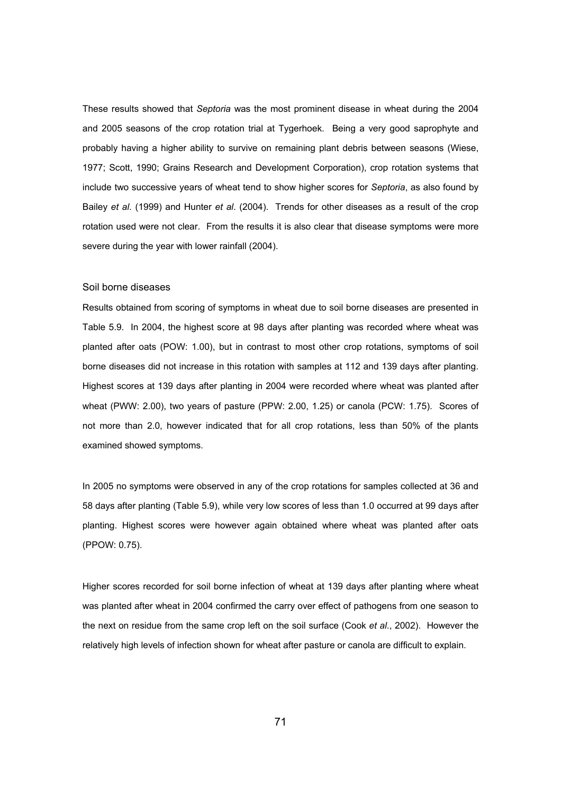These results showed that *Septoria* was the most prominent disease in wheat during the 2004 and 2005 seasons of the crop rotation trial at Tygerhoek. Being a very good saprophyte and probably having a higher ability to survive on remaining plant debris between seasons (Wiese, 1977; Scott, 1990; Grains Research and Development Corporation), crop rotation systems that include two successive years of wheat tend to show higher scores for *Septoria*, as also found by Bailey *et al*. (1999) and Hunter *et al*. (2004). Trends for other diseases as a result of the crop rotation used were not clear. From the results it is also clear that disease symptoms were more severe during the year with lower rainfall (2004).

## Soil borne diseases

Results obtained from scoring of symptoms in wheat due to soil borne diseases are presented in Table 5.9. In 2004, the highest score at 98 days after planting was recorded where wheat was planted after oats (POW: 1.00), but in contrast to most other crop rotations, symptoms of soil borne diseases did not increase in this rotation with samples at 112 and 139 days after planting. Highest scores at 139 days after planting in 2004 were recorded where wheat was planted after wheat (PWW: 2.00), two years of pasture (PPW: 2.00, 1.25) or canola (PCW: 1.75). Scores of not more than 2.0, however indicated that for all crop rotations, less than 50% of the plants examined showed symptoms.

In 2005 no symptoms were observed in any of the crop rotations for samples collected at 36 and 58 days after planting (Table 5.9), while very low scores of less than 1.0 occurred at 99 days after planting. Highest scores were however again obtained where wheat was planted after oats (PPOW: 0.75).

Higher scores recorded for soil borne infection of wheat at 139 days after planting where wheat was planted after wheat in 2004 confirmed the carry over effect of pathogens from one season to the next on residue from the same crop left on the soil surface (Cook *et al*., 2002). However the relatively high levels of infection shown for wheat after pasture or canola are difficult to explain.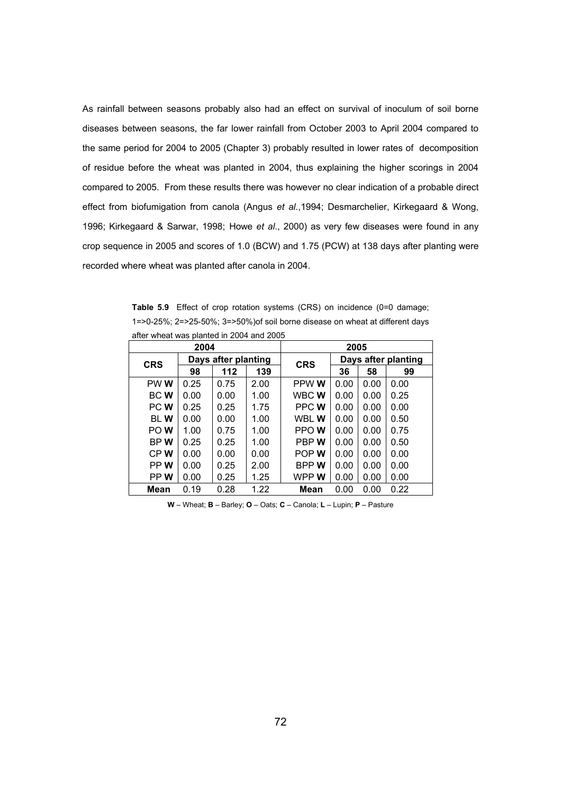As rainfall between seasons probably also had an effect on survival of inoculum of soil borne diseases between seasons, the far lower rainfall from October 2003 to April 2004 compared to the same period for 2004 to 2005 (Chapter 3) probably resulted in lower rates of decomposition of residue before the wheat was planted in 2004, thus explaining the higher scorings in 2004 compared to 2005. From these results there was however no clear indication of a probable direct effect from biofumigation from canola (Angus *et al*.,1994; Desmarchelier, Kirkegaard & Wong, 1996; Kirkegaard & Sarwar, 1998; Howe *et al*., 2000) as very few diseases were found in any crop sequence in 2005 and scores of 1.0 (BCW) and 1.75 (PCW) at 138 days after planting were recorded where wheat was planted after canola in 2004.

**Table 5.9** Effect of crop rotation systems (CRS) on incidence (0=0 damage: 1=>0-25%; 2=>25-50%; 3=>50%)of soil borne disease on wheat at different days after wheat was planted in 2004 and 2005

|             | 2004 |                     |      |             | 2005 |                     |      |  |  |
|-------------|------|---------------------|------|-------------|------|---------------------|------|--|--|
| <b>CRS</b>  |      | Days after planting |      | <b>CRS</b>  |      | Days after planting |      |  |  |
|             | 98   | 112                 | 139  |             | 36   | 58                  | 99   |  |  |
| PW W        | 0.25 | 0.75                | 2.00 | PPW W       | 0.00 | 0.00                | 0.00 |  |  |
| BC W        | 0.00 | 0.00                | 1.00 | WBC W       | 0.00 | 0.00                | 0.25 |  |  |
| PC W        | 0.25 | 0.25                | 1.75 | PPC W       | 0.00 | 0.00                | 0.00 |  |  |
| <b>BLW</b>  | 0.00 | 0.00                | 1.00 | WBL W       | 0.00 | 0.00                | 0.50 |  |  |
| PO W        | 1.00 | 0.75                | 1.00 | PPO W       | 0.00 | 0.00                | 0.75 |  |  |
| BP W        | 0.25 | 0.25                | 1.00 | PBP W       | 0.00 | 0.00                | 0.50 |  |  |
| CP W        | 0.00 | 0.00                | 0.00 | POP W       | 0.00 | 0.00                | 0.00 |  |  |
| PP W        | 0.00 | 0.25                | 2.00 | <b>BPPW</b> | 0.00 | 0.00                | 0.00 |  |  |
| PP W        | 0.00 | 0.25                | 1.25 | WPP W       | 0.00 | 0.00                | 0.00 |  |  |
| <b>Mean</b> | 0.19 | 0.28                | 1.22 | Mean        | 0.00 | 0.00                | 0.22 |  |  |

**W** – Wheat; **B** – Barley; **O** – Oats; **C** – Canola; **L** – Lupin; **P** – Pasture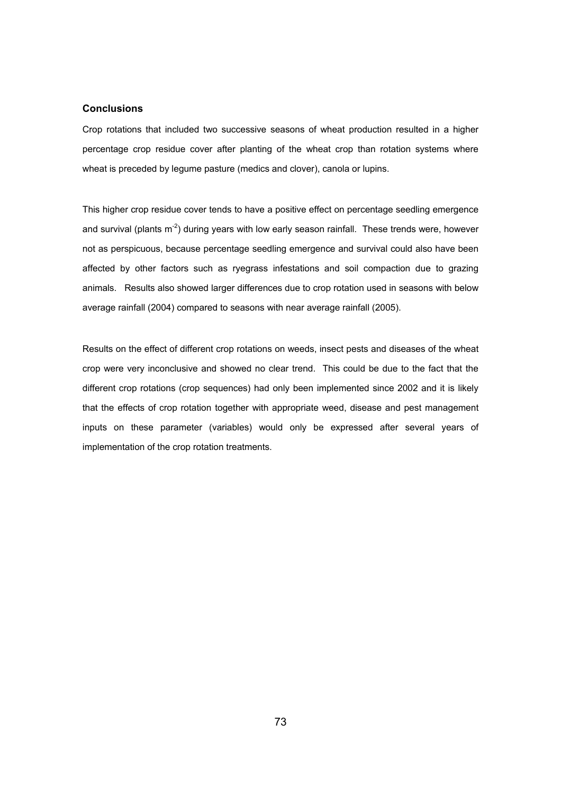## **Conclusions**

Crop rotations that included two successive seasons of wheat production resulted in a higher percentage crop residue cover after planting of the wheat crop than rotation systems where wheat is preceded by legume pasture (medics and clover), canola or lupins.

This higher crop residue cover tends to have a positive effect on percentage seedling emergence and survival (plants  $m<sup>-2</sup>$ ) during years with low early season rainfall. These trends were, however not as perspicuous, because percentage seedling emergence and survival could also have been affected by other factors such as ryegrass infestations and soil compaction due to grazing animals. Results also showed larger differences due to crop rotation used in seasons with below average rainfall (2004) compared to seasons with near average rainfall (2005).

Results on the effect of different crop rotations on weeds, insect pests and diseases of the wheat crop were very inconclusive and showed no clear trend. This could be due to the fact that the different crop rotations (crop sequences) had only been implemented since 2002 and it is likely that the effects of crop rotation together with appropriate weed, disease and pest management inputs on these parameter (variables) would only be expressed after several years of implementation of the crop rotation treatments.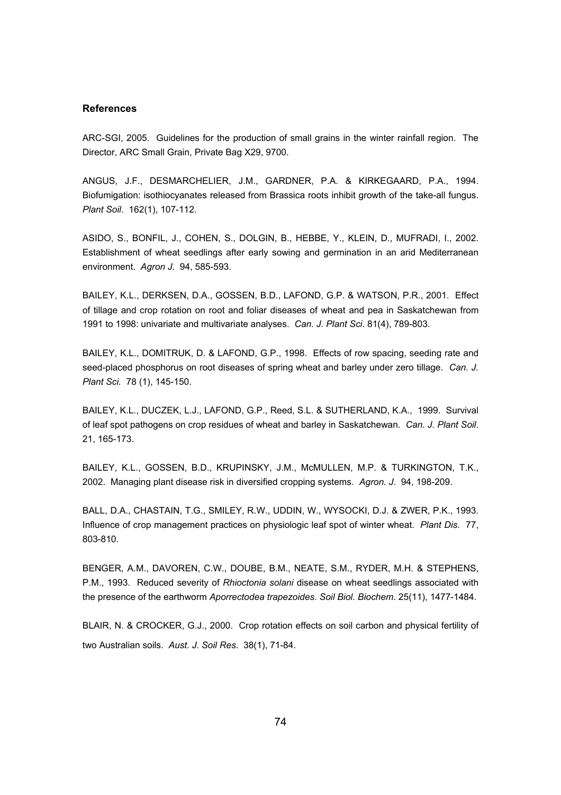## **References**

ARC-SGI, 2005. Guidelines for the production of small grains in the winter rainfall region. The Director, ARC Small Grain, Private Bag X29, 9700.

ANGUS, J.F., DESMARCHELIER, J.M., GARDNER, P.A. & KIRKEGAARD, P.A., 1994. Biofumigation: isothiocyanates released from Brassica roots inhibit growth of the take-all fungus. *Plant Soil*. 162(1), 107-112.

ASIDO, S., BONFIL, J., COHEN, S., DOLGIN, B., HEBBE, Y., KLEIN, D., MUFRADI, I., 2002. Establishment of wheat seedlings after early sowing and germination in an arid Mediterranean environment. *Agron J*. 94, 585-593.

BAILEY, K.L., DERKSEN, D.A., GOSSEN, B.D., LAFOND, G.P. & WATSON, P.R., 2001. Effect of tillage and crop rotation on root and foliar diseases of wheat and pea in Saskatchewan from 1991 to 1998: univariate and multivariate analyses. *Can. J. Plant Sci*. 81(4), 789-803.

BAILEY, K.L., DOMITRUK, D. & LAFOND, G.P., 1998. Effects of row spacing, seeding rate and seed-placed phosphorus on root diseases of spring wheat and barley under zero tillage. *Can. J. Plant Sci.* 78 (1), 145-150.

BAILEY, K.L., DUCZEK, L.J., LAFOND, G.P., Reed, S.L. & SUTHERLAND, K.A., 1999. Survival of leaf spot pathogens on crop residues of wheat and barley in Saskatchewan. *Can. J. Plant Soil*. 21, 165-173.

BAILEY, K.L., GOSSEN, B.D., KRUPINSKY, J.M., McMULLEN, M.P. & TURKINGTON, T.K., 2002. Managing plant disease risk in diversified cropping systems. *Agron. J*. 94, 198-209.

BALL, D.A., CHASTAIN, T.G., SMILEY, R.W., UDDIN, W., WYSOCKI, D.J. & ZWER, P.K., 1993. Influence of crop management practices on physiologic leaf spot of winter wheat. *Plant Dis*. 77, 803-810.

BENGER, A.M., DAVOREN, C.W., DOUBE, B.M., NEATE, S.M., RYDER, M.H. & STEPHENS, P.M., 1993. Reduced severity of *Rhioctonia solani* disease on wheat seedlings associated with the presence of the earthworm *Aporrectodea trapezoides*. *Soil Biol. Biochem*. 25(11), 1477-1484.

BLAIR, N. & CROCKER, G.J., 2000. Crop rotation effects on soil carbon and physical fertility of two Australian soils. *Aust. J. Soil Res*. 38(1), 71-84.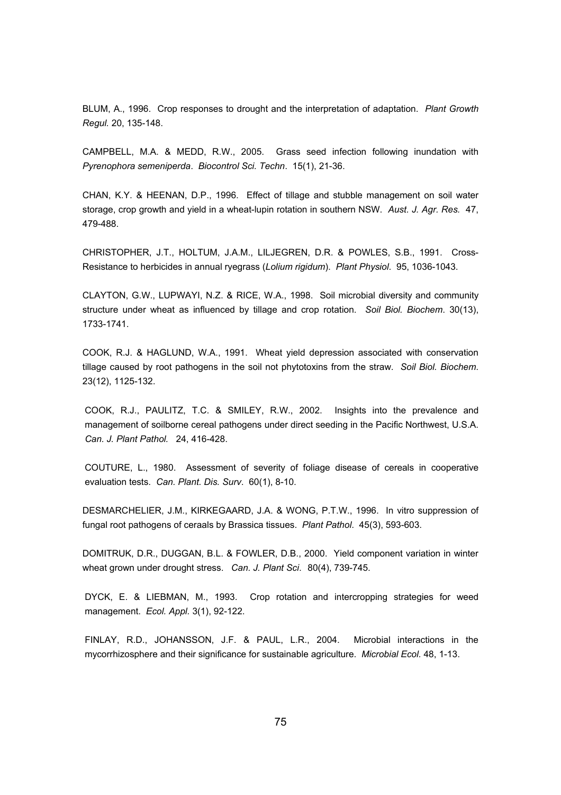BLUM, A., 1996. Crop responses to drought and the interpretation of adaptation. *Plant Growth Regul.* 20, 135-148.

CAMPBELL, M.A. & MEDD, R.W., 2005. Grass seed infection following inundation with *Pyrenophora semeniperda*. *Biocontrol Sci. Techn*. 15(1), 21-36.

CHAN, K.Y. & HEENAN, D.P., 1996. Effect of tillage and stubble management on soil water storage, crop growth and yield in a wheat-lupin rotation in southern NSW. *Aust. J. Agr. Res.* 47, 479-488.

CHRISTOPHER, J.T., HOLTUM, J.A.M., LILJEGREN, D.R. & POWLES, S.B., 1991. Cross-Resistance to herbicides in annual ryegrass (*Lolium rigidum*). *Plant Physiol*. 95, 1036-1043.

CLAYTON, G.W., LUPWAYI, N.Z. & RICE, W.A., 1998. Soil microbial diversity and community structure under wheat as influenced by tillage and crop rotation. *Soil Biol. Biochem*. 30(13), 1733-1741.

COOK, R.J. & HAGLUND, W.A., 1991. Wheat yield depression associated with conservation tillage caused by root pathogens in the soil not phytotoxins from the straw. *Soil Biol. Biochem*. 23(12), 1125-132.

COOK, R.J., PAULITZ, T.C. & SMILEY, R.W., 2002. Insights into the prevalence and management of soilborne cereal pathogens under direct seeding in the Pacific Northwest, U.S.A. *Can. J. Plant Pathol.* 24, 416-428.

COUTURE, L., 1980. Assessment of severity of foliage disease of cereals in cooperative evaluation tests. *Can. Plant. Dis. Surv*. 60(1), 8-10.

DESMARCHELIER, J.M., KIRKEGAARD, J.A. & WONG, P.T.W., 1996. In vitro suppression of fungal root pathogens of ceraals by Brassica tissues. *Plant Pathol*. 45(3), 593-603.

DOMITRUK, D.R., DUGGAN, B.L. & FOWLER, D.B., 2000. Yield component variation in winter wheat grown under drought stress. *Can. J. Plant Sci*. 80(4), 739-745.

DYCK, E. & LIEBMAN, M., 1993. Crop rotation and intercropping strategies for weed management. *Ecol. Appl.* 3(1), 92-122.

FINLAY, R.D., JOHANSSON, J.F. & PAUL, L.R., 2004. Microbial interactions in the mycorrhizosphere and their significance for sustainable agriculture. *Microbial Ecol.* 48, 1-13.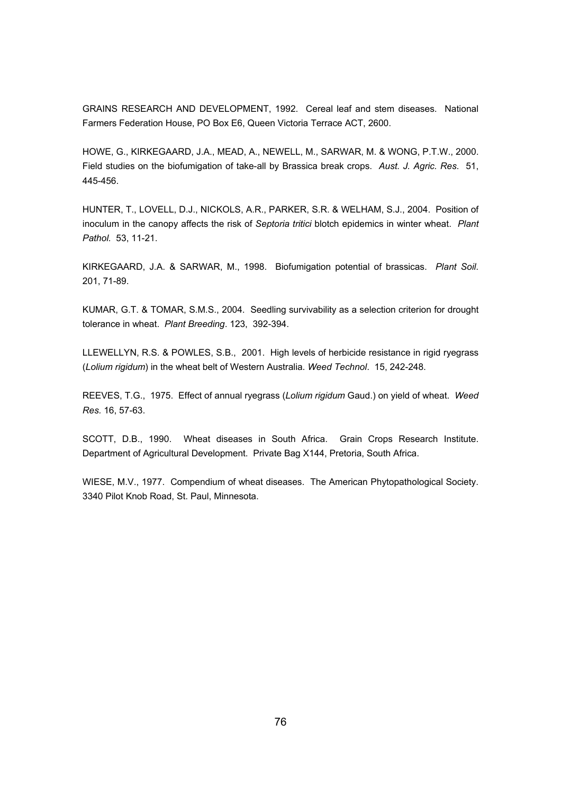GRAINS RESEARCH AND DEVELOPMENT, 1992. Cereal leaf and stem diseases. National Farmers Federation House, PO Box E6, Queen Victoria Terrace ACT, 2600.

HOWE, G., KIRKEGAARD, J.A., MEAD, A., NEWELL, M., SARWAR, M. & WONG, P.T.W., 2000. Field studies on the biofumigation of take-all by Brassica break crops. *Aust. J. Agric. Res*. 51, 445-456.

HUNTER, T., LOVELL, D.J., NICKOLS, A.R., PARKER, S.R. & WELHAM, S.J., 2004. Position of inoculum in the canopy affects the risk of *Septoria tritici* blotch epidemics in winter wheat. *Plant Pathol.* 53, 11-21.

KIRKEGAARD, J.A. & SARWAR, M., 1998. Biofumigation potential of brassicas. *Plant Soil*. 201, 71-89.

KUMAR, G.T. & TOMAR, S.M.S., 2004. Seedling survivability as a selection criterion for drought tolerance in wheat. *Plant Breeding*. 123, 392-394.

LLEWELLYN, R.S. & POWLES, S.B., 2001. High levels of herbicide resistance in rigid ryegrass (*Lolium rigidum*) in the wheat belt of Western Australia. *Weed Technol*. 15, 242-248.

REEVES, T.G., 1975. Effect of annual ryegrass (*Lolium rigidum* Gaud.) on yield of wheat. *Weed Res.* 16, 57-63.

SCOTT, D.B., 1990. Wheat diseases in South Africa. Grain Crops Research Institute. Department of Agricultural Development. Private Bag X144, Pretoria, South Africa.

WIESE, M.V., 1977. Compendium of wheat diseases. The American Phytopathological Society. 3340 Pilot Knob Road, St. Paul, Minnesota.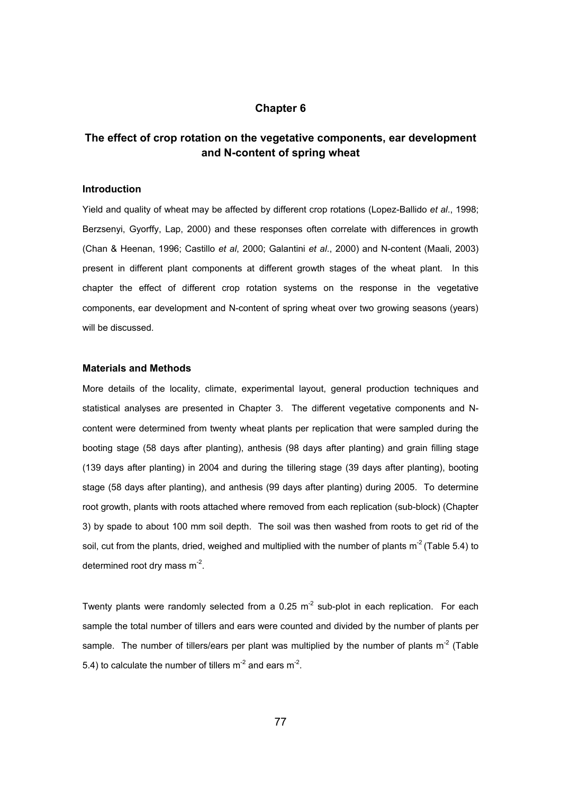# **Chapter 6**

# **The effect of crop rotation on the vegetative components, ear development and N-content of spring wheat**

#### **Introduction**

Yield and quality of wheat may be affected by different crop rotations (Lopez-Ballido *et al*., 1998; Berzsenyi, Gyorffy, Lap, 2000) and these responses often correlate with differences in growth (Chan & Heenan, 1996; Castillo *et al*, 2000; Galantini *et al*., 2000) and N-content (Maali, 2003) present in different plant components at different growth stages of the wheat plant. In this chapter the effect of different crop rotation systems on the response in the vegetative components, ear development and N-content of spring wheat over two growing seasons (years) will be discussed.

## **Materials and Methods**

More details of the locality, climate, experimental layout, general production techniques and statistical analyses are presented in Chapter 3. The different vegetative components and Ncontent were determined from twenty wheat plants per replication that were sampled during the booting stage (58 days after planting), anthesis (98 days after planting) and grain filling stage (139 days after planting) in 2004 and during the tillering stage (39 days after planting), booting stage (58 days after planting), and anthesis (99 days after planting) during 2005. To determine root growth, plants with roots attached where removed from each replication (sub-block) (Chapter 3) by spade to about 100 mm soil depth. The soil was then washed from roots to get rid of the soil, cut from the plants, dried, weighed and multiplied with the number of plants  $m^2$  (Table 5.4) to determined root dry mass m-2.

Twenty plants were randomly selected from a 0.25  $m<sup>2</sup>$  sub-plot in each replication. For each sample the total number of tillers and ears were counted and divided by the number of plants per sample. The number of tillers/ears per plant was multiplied by the number of plants  $m<sup>2</sup>$  (Table 5.4) to calculate the number of tillers  $m<sup>-2</sup>$  and ears  $m<sup>-2</sup>$ .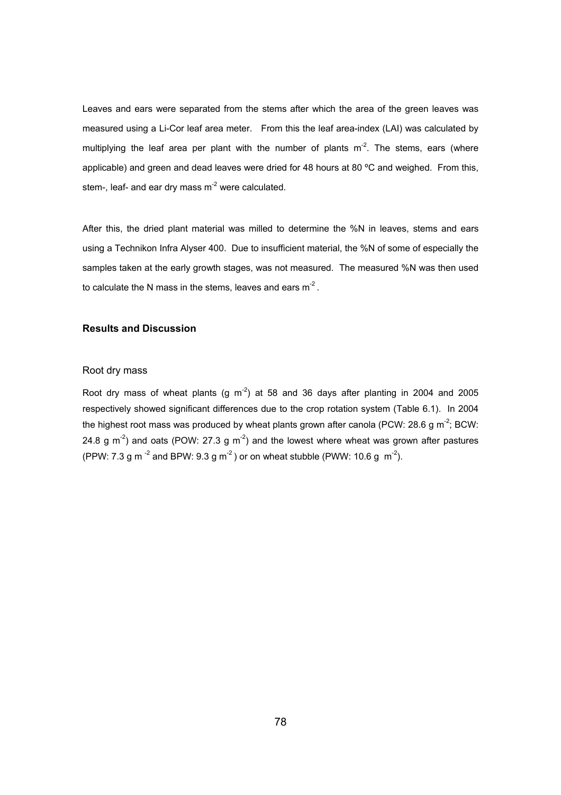Leaves and ears were separated from the stems after which the area of the green leaves was measured using a Li-Cor leaf area meter. From this the leaf area-index (LAI) was calculated by multiplying the leaf area per plant with the number of plants  $m<sup>-2</sup>$ . The stems, ears (where applicable) and green and dead leaves were dried for 48 hours at 80 °C and weighed. From this, stem-, leaf- and ear dry mass  $m<sup>2</sup>$  were calculated.

After this, the dried plant material was milled to determine the %N in leaves, stems and ears using a Technikon Infra Alyser 400. Due to insufficient material, the %N of some of especially the samples taken at the early growth stages, was not measured. The measured %N was then used to calculate the N mass in the stems, leaves and ears  $m<sup>2</sup>$ .

## **Results and Discussion**

#### Root dry mass

Root dry mass of wheat plants (g  $m<sup>2</sup>$ ) at 58 and 36 days after planting in 2004 and 2005 respectively showed significant differences due to the crop rotation system (Table 6.1). In 2004 the highest root mass was produced by wheat plants grown after canola (PCW: 28.6 g m<sup>-2</sup>; BCW: 24.8 g  $\text{m}^2$ ) and oats (POW: 27.3 g  $\text{m}^2$ ) and the lowest where wheat was grown after pastures (PPW: 7.3 g m<sup>-2</sup> and BPW: 9.3 g m<sup>-2</sup>) or on wheat stubble (PWW: 10.6 g m<sup>-2</sup>).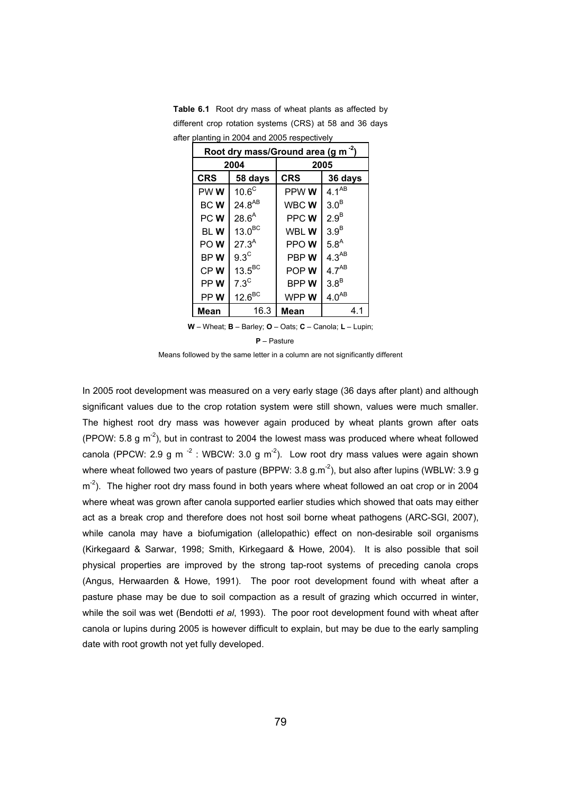|                 | Root dry mass/Ground area (g m <sup>-2</sup> ) |            |                  |  |  |  |
|-----------------|------------------------------------------------|------------|------------------|--|--|--|
|                 | 2004                                           | 2005       |                  |  |  |  |
| <b>CRS</b>      | 58 days                                        | <b>CRS</b> | 36 days          |  |  |  |
| PW <sub>W</sub> | 10.6 <sup>C</sup>                              | PPW W      | $4.1^{AB}$       |  |  |  |
| <b>BCW</b>      | $24.8^{AB}$                                    | WBC W      | $3.0^B$          |  |  |  |
| PC W            | $28.6^{A}$                                     | PPC W      | $2.9^B$          |  |  |  |
| BL W            | 13.0 <sup>BC</sup>                             | WBL W      | $3.9^B$          |  |  |  |
| PO W            | $27.3^{A}$                                     | PPO W      | 5.8 <sup>A</sup> |  |  |  |
| BPW             | $9.3^\circ$                                    | PBP W      | $4.3^{AB}$       |  |  |  |
| CPW             | $13.5^{\text{BC}}$                             | POP W      | $4.7^{AB}$       |  |  |  |
| PP W            | $7.3^{\circ}$                                  | BPP W      | $3.8^B$          |  |  |  |
| PPW             | $12.6^{\text{BC}}$                             | WPP W      | $4.0^{AB}$       |  |  |  |
| Mean            | 16.3                                           | Mean       | 4.1              |  |  |  |

**Table 6.1** Root dry mass of wheat plants as affected by different crop rotation systems (CRS) at 58 and 36 days after planting in 2004 and 2005 respectively

**W** – Wheat; **B** – Barley; **O** – Oats; **C** – Canola; **L** – Lupin;

**P** – Pasture

Means followed by the same letter in a column are not significantly different

In 2005 root development was measured on a very early stage (36 days after plant) and although significant values due to the crop rotation system were still shown, values were much smaller. The highest root dry mass was however again produced by wheat plants grown after oats (PPOW: 5.8 g  $\text{m}^2$ ), but in contrast to 2004 the lowest mass was produced where wheat followed canola (PPCW: 2.9 g m<sup> $-2$ </sup>: WBCW: 3.0 g m<sup>-2</sup>). Low root dry mass values were again shown where wheat followed two years of pasture (BPPW:  $3.8 \text{ g.m}^{-2}$ ), but also after lupins (WBLW:  $3.9 \text{ g}$ )  $m<sup>2</sup>$ ). The higher root dry mass found in both years where wheat followed an oat crop or in 2004 where wheat was grown after canola supported earlier studies which showed that oats may either act as a break crop and therefore does not host soil borne wheat pathogens (ARC-SGI, 2007), while canola may have a biofumigation (allelopathic) effect on non-desirable soil organisms (Kirkegaard & Sarwar, 1998; Smith, Kirkegaard & Howe, 2004). It is also possible that soil physical properties are improved by the strong tap-root systems of preceding canola crops (Angus, Herwaarden & Howe, 1991). The poor root development found with wheat after a pasture phase may be due to soil compaction as a result of grazing which occurred in winter, while the soil was wet (Bendotti *et al*, 1993). The poor root development found with wheat after canola or lupins during 2005 is however difficult to explain, but may be due to the early sampling date with root growth not yet fully developed.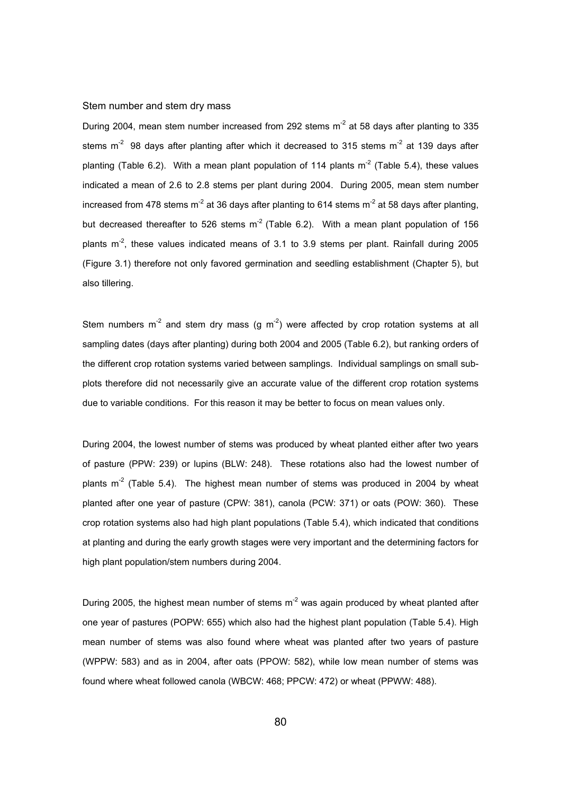#### Stem number and stem dry mass

During 2004, mean stem number increased from 292 stems  $m<sup>2</sup>$  at 58 days after planting to 335 stems  $m<sup>-2</sup>$  98 days after planting after which it decreased to 315 stems  $m<sup>-2</sup>$  at 139 days after planting (Table 6.2). With a mean plant population of 114 plants  $m<sup>2</sup>$  (Table 5.4), these values indicated a mean of 2.6 to 2.8 stems per plant during 2004. During 2005, mean stem number increased from 478 stems  $m^2$  at 36 days after planting to 614 stems  $m^2$  at 58 days after planting, but decreased thereafter to 526 stems  $m<sup>2</sup>$  (Table 6.2). With a mean plant population of 156 plants  $m<sup>2</sup>$ , these values indicated means of 3.1 to 3.9 stems per plant. Rainfall during 2005 (Figure 3.1) therefore not only favored germination and seedling establishment (Chapter 5), but also tillering.

Stem numbers  $m^2$  and stem dry mass (g  $m^2$ ) were affected by crop rotation systems at all sampling dates (days after planting) during both 2004 and 2005 (Table 6.2), but ranking orders of the different crop rotation systems varied between samplings. Individual samplings on small subplots therefore did not necessarily give an accurate value of the different crop rotation systems due to variable conditions. For this reason it may be better to focus on mean values only.

During 2004, the lowest number of stems was produced by wheat planted either after two years of pasture (PPW: 239) or lupins (BLW: 248). These rotations also had the lowest number of plants  $m<sup>2</sup>$  (Table 5.4). The highest mean number of stems was produced in 2004 by wheat planted after one year of pasture (CPW: 381), canola (PCW: 371) or oats (POW: 360). These crop rotation systems also had high plant populations (Table 5.4), which indicated that conditions at planting and during the early growth stages were very important and the determining factors for high plant population/stem numbers during 2004.

During 2005, the highest mean number of stems  $m<sup>-2</sup>$  was again produced by wheat planted after one year of pastures (POPW: 655) which also had the highest plant population (Table 5.4). High mean number of stems was also found where wheat was planted after two years of pasture (WPPW: 583) and as in 2004, after oats (PPOW: 582), while low mean number of stems was found where wheat followed canola (WBCW: 468; PPCW: 472) or wheat (PPWW: 488).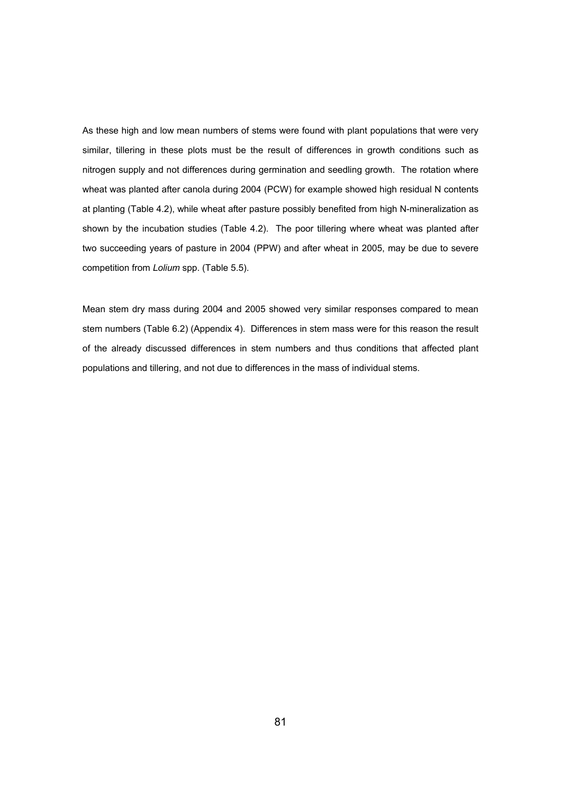As these high and low mean numbers of stems were found with plant populations that were very similar, tillering in these plots must be the result of differences in growth conditions such as nitrogen supply and not differences during germination and seedling growth. The rotation where wheat was planted after canola during 2004 (PCW) for example showed high residual N contents at planting (Table 4.2), while wheat after pasture possibly benefited from high N-mineralization as shown by the incubation studies (Table 4.2). The poor tillering where wheat was planted after two succeeding years of pasture in 2004 (PPW) and after wheat in 2005, may be due to severe competition from *Lolium* spp. (Table 5.5).

Mean stem dry mass during 2004 and 2005 showed very similar responses compared to mean stem numbers (Table 6.2) (Appendix 4). Differences in stem mass were for this reason the result of the already discussed differences in stem numbers and thus conditions that affected plant populations and tillering, and not due to differences in the mass of individual stems.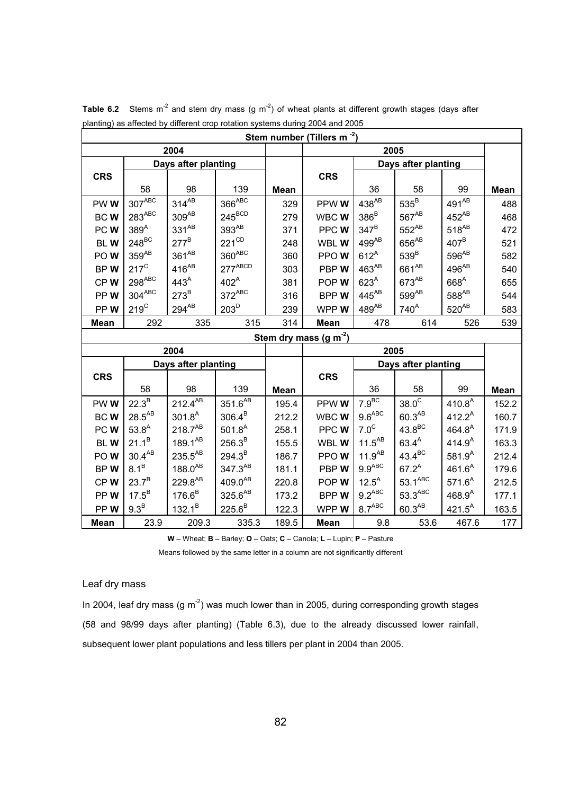|             |                      |                     |                     |       | Stem number (Tillers m <sup>-2</sup> ) |                     |                     |                     |       |
|-------------|----------------------|---------------------|---------------------|-------|----------------------------------------|---------------------|---------------------|---------------------|-------|
|             |                      | 2004                |                     |       |                                        |                     | 2005                |                     |       |
|             |                      | Days after planting |                     |       |                                        |                     | Days after planting |                     |       |
| <b>CRS</b>  |                      |                     |                     |       | <b>CRS</b>                             |                     |                     |                     |       |
|             | 58                   | 98                  | 139                 | Mean  |                                        | 36                  | 58                  | 99                  | Mean  |
| PWW         | $307$ <sup>ABC</sup> | $314^{AB}$          | $366^{ABC}$         | 329   | PPW W                                  | 438 <sup>AB</sup>   | $535^{\mathrm{B}}$  | $491^{\text{AB}}$   | 488   |
| BCW         | $283^{ABC}$          | $309^{\mathsf{AB}}$ | $245^{\text{BCD}}$  | 279   | WBC W                                  | $386^B$             | 567 <sup>AB</sup>   | 452 <sup>AB</sup>   | 468   |
| PCW         | 389 <sup>A</sup>     | $331^{AB}$          | $393^{\mathsf{AB}}$ | 371   | PPCW                                   | $347^B$             | 552 <sup>AB</sup>   | $518^{AB}$          | 472   |
| <b>BLW</b>  | $248^{\text{BC}}$    | $277^B$             | $221^{\text{CD}}$   | 248   | WBL W                                  | $499^{AB}$          | 656 <sup>AB</sup>   | $407^B$             | 521   |
| POW         | $359^{AB}$           | $361^{AB}$          | $360^{ABC}$         | 360   | PPOW                                   | $612^A$             | $539^B$             | 596 <sup>AB</sup>   | 582   |
| BPW         | $217^{\circ}$        | $416^{AB}$          | $277^{ABCD}$        | 303   | PBP W                                  | 463 <sup>AB</sup>   | 661 <sup>AB</sup>   | $496^{AB}$          | 540   |
| CPW         | $298^{ABC}$          | 443 <sup>A</sup>    | $402^A$             | 381   | POP W                                  | 623 <sup>A</sup>    | 673 <sup>AB</sup>   | 668 <sup>A</sup>    | 655   |
| PPW         | $304^{ABC}$          | $273^B$             | $372^{ABC}$         | 316   | <b>BPPW</b>                            | $445^{AB}$          | 599 <sup>AB</sup>   | $588^{\mathsf{AB}}$ | 544   |
| PPW         | $219^{\circ}$        | $294^{AB}$          | 203 <sup>D</sup>    | 239   | WPP W                                  | $489^{AB}$          | 740 <sup>A</sup>    | $520^{AB}$          | 583   |
| <b>Mean</b> | 292                  | 335                 | 315                 | 314   | Mean                                   | 478                 | 614                 | 526                 | 539   |
|             |                      |                     |                     |       | Stem dry mass $(g m-2)$                |                     |                     |                     |       |
|             |                      | 2004                |                     |       |                                        |                     | 2005                |                     |       |
|             |                      | Days after planting |                     |       |                                        | Days after planting |                     |                     |       |
| <b>CRS</b>  |                      |                     |                     |       | <b>CRS</b>                             |                     |                     |                     |       |
|             | 58                   | 98                  | 139                 | Mean  |                                        | 36                  | 58                  | 99                  | Mean  |
| PWW         | $22.3^B$             | $212.4^{\text{AB}}$ | $351.6^{\text{AB}}$ | 195.4 | PPWWW                                  | 7.9 <sup>BC</sup>   | $38.0^\circ$        | 410.8 <sup>A</sup>  | 152.2 |
| BCW         | $28.5^{AB}$          | $301.8^{A}$         | $306.4^{B}$         | 212.2 | WBC W                                  | $9.6^{ABC}$         | $60.3^{AB}$         | $412.2^A$           | 160.7 |
| PC W        | $53.8^{A}$           | $218.7^{AB}$        | $501.8^{A}$         | 258.1 | PPC W                                  | 7.0 <sup>C</sup>    | $43.8^{\text{BC}}$  | $464.8^{A}$         | 171.9 |
| <b>BLW</b>  | $21.1^B$             | 189.1 <sup>AB</sup> | $256.3^{B}$         | 155.5 | WBL W                                  | $11.5^{AB}$         | $63.4^{A}$          | 414.9 <sup>A</sup>  | 163.3 |
| POW         | $30.4^{AB}$          | $235.5^{AB}$        | $294.3^{B}$         | 186.7 | PPOW                                   | $11.9^{AB}$         | $43.4^{\text{BC}}$  | $581.9^{A}$         | 212.4 |
| BPW         | $8.1^B$              | $188.0^{AB}$        | 347.3AB             | 181.1 | PBP W                                  | 9.9 <sup>ABC</sup>  | $67.2^{A}$          | $461.6^{A}$         | 179.6 |
| CPW         | $23.7^{B}$           | 229.8AB             | 409.0AB             | 220.8 | POP W                                  | $12.5^A$            | $53.1^{ABC}$        | $571.6^{A}$         | 212.5 |
| PPW         | $17.5^B$             | $176.6^B$           | $325.6^{AB}$        | 173.2 | <b>BPPW</b>                            | $9.2^{ABC}$         | $53.3^{ABC}$        | $468.9^{A}$         | 177.1 |
| PPW         | 9.3 <sup>B</sup>     | $132.1^B$           | $225.6^B$           | 122.3 | WPP W                                  | 8.7 <sup>ABC</sup>  | $60.3^{AB}$         | $421.5^{A}$         | 163.5 |
| Mean        | 23.9                 | 209.3               | 335.3               | 189.5 | Mean                                   | 9.8                 | 53.6                | 467.6               | 177   |

**Table 6.2** Stems m<sup>-2</sup> and stem dry mass (g m<sup>-2</sup>) of wheat plants at different growth stages (days after planting) as affected by different crop rotation systems during 2004 and 2005

**W** – Wheat; **B** – Barley; **O** – Oats; **C** – Canola; **L** – Lupin; **P** – Pasture

Means followed by the same letter in a column are not significantly different

## Leaf dry mass

In 2004, leaf dry mass (g  $\text{m}^2$ ) was much lower than in 2005, during corresponding growth stages (58 and 98/99 days after planting) (Table 6.3), due to the already discussed lower rainfall, subsequent lower plant populations and less tillers per plant in 2004 than 2005.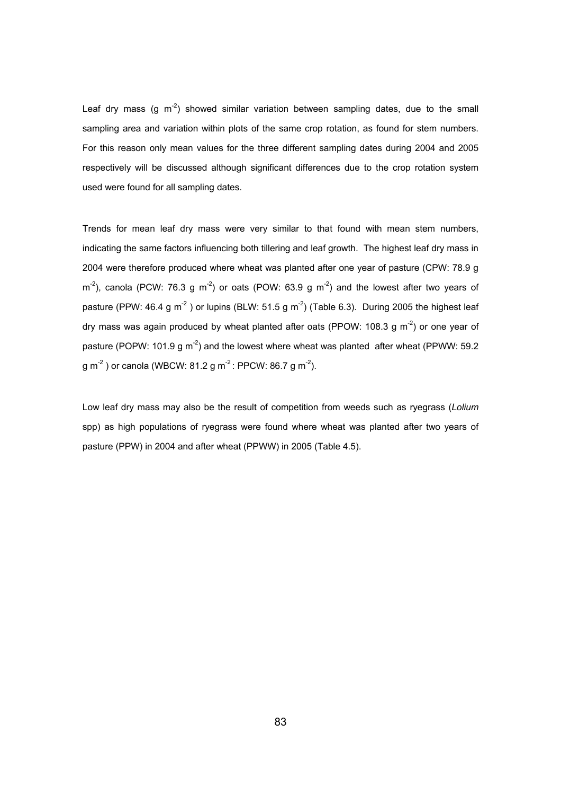Leaf dry mass (g  $m<sup>-2</sup>$ ) showed similar variation between sampling dates, due to the small sampling area and variation within plots of the same crop rotation, as found for stem numbers. For this reason only mean values for the three different sampling dates during 2004 and 2005 respectively will be discussed although significant differences due to the crop rotation system used were found for all sampling dates.

Trends for mean leaf dry mass were very similar to that found with mean stem numbers, indicating the same factors influencing both tillering and leaf growth. The highest leaf dry mass in 2004 were therefore produced where wheat was planted after one year of pasture (CPW: 78.9 g  $m<sup>2</sup>$ ), canola (PCW: 76.3 g m<sup>-2</sup>) or oats (POW: 63.9 g m<sup>-2</sup>) and the lowest after two years of pasture (PPW: 46.4 g m<sup>-2</sup>) or lupins (BLW: 51.5 g m<sup>-2</sup>) (Table 6.3). During 2005 the highest leaf dry mass was again produced by wheat planted after oats (PPOW: 108.3 g  $\text{m}^2$ ) or one year of pasture (POPW: 101.9  $q m<sup>2</sup>$ ) and the lowest where wheat was planted after wheat (PPWW: 59.2)  $g m<sup>-2</sup>$ ) or canola (WBCW: 81.2 g m<sup>-2</sup>: PPCW: 86.7 g m<sup>-2</sup>).

Low leaf dry mass may also be the result of competition from weeds such as ryegrass (*Lolium* spp) as high populations of ryegrass were found where wheat was planted after two years of pasture (PPW) in 2004 and after wheat (PPWW) in 2005 (Table 4.5).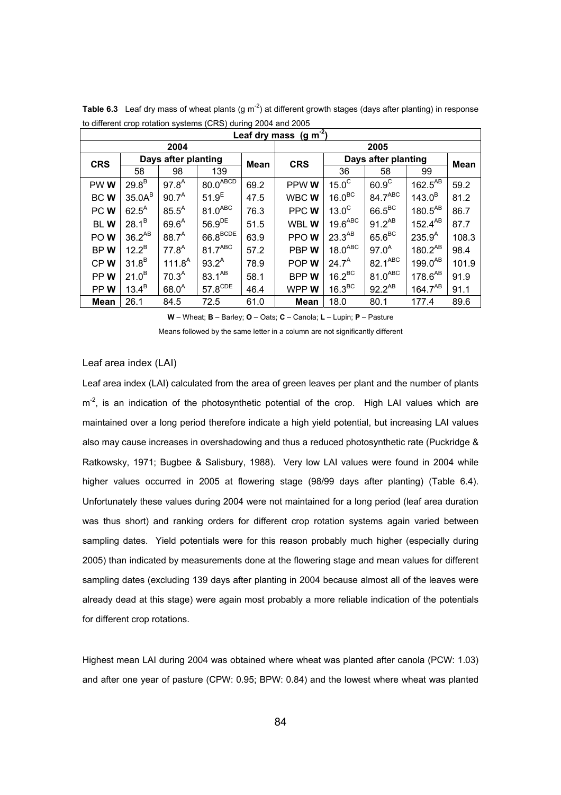| $\frac{1}{2}$ and only to be received by order to $\frac{1}{2}$ or $\frac{1}{2}$ and $\frac{1}{2}$ or $\frac{1}{2}$ and $\frac{1}{2}$ or $\frac{1}{2}$ | Leaf dry mass $(g m-2)$ |                    |                        |      |             |                     |                     |              |             |  |  |  |  |
|--------------------------------------------------------------------------------------------------------------------------------------------------------|-------------------------|--------------------|------------------------|------|-------------|---------------------|---------------------|--------------|-------------|--|--|--|--|
|                                                                                                                                                        |                         | 2004               |                        |      |             |                     | 2005                |              |             |  |  |  |  |
| <b>CRS</b>                                                                                                                                             | Days after planting     |                    |                        | Mean | <b>CRS</b>  |                     | Days after planting |              | <b>Mean</b> |  |  |  |  |
|                                                                                                                                                        | 58                      | 98                 | 139                    |      |             | 36                  | 58                  | 99           |             |  |  |  |  |
| PWW                                                                                                                                                    | $29.8^B$                | $97.8^{A}$         | $80.0$ <sup>ABCD</sup> | 69.2 | PPW W       | 15.0 <sup>C</sup>   | $60.9^\circ$        | $162.5^{AB}$ | 59.2        |  |  |  |  |
| BCW                                                                                                                                                    | $35.0A^B$               | $90.7^A$           | 51.9 <sup>E</sup>      | 47.5 | WBC W       | $16.0^{BC}$         | 84.7 <sup>ABC</sup> | $143.0^B$    | 81.2        |  |  |  |  |
| PCW <sub></sub>                                                                                                                                        | $62.5^A$                | $85.5^A$           | $81.0$ <sup>ABC</sup>  | 76.3 | PPC W       | $13.0^\circ$        | $66.5^{\text{BC}}$  | $180.5^{AB}$ | 86.7        |  |  |  |  |
| <b>BLW</b>                                                                                                                                             | $28.1^{B}$              | $69.6^{A}$         | $56.9^{DE}$            | 51.5 | WBL W       | 19.6 <sup>ABC</sup> | $91.2^{AB}$         | $152.4^{AB}$ | 87.7        |  |  |  |  |
| PO W                                                                                                                                                   | $36.2^{AB}$             | $88.7^{A}$         | $66.8^{BCDE}$          | 63.9 | PPO W       | $23.3^{AB}$         | $65.6^{\text{BC}}$  | $235.9^{A}$  | 108.3       |  |  |  |  |
| BPW                                                                                                                                                    | $12.2^B$                | $77.8^{A}$         | 81.7 <sup>ABC</sup>    | 57.2 | PBP W       | $18.0^{ABC}$        | $97.0^{A}$          | $180.2^{AB}$ | 98.4        |  |  |  |  |
| CPW                                                                                                                                                    | 31.8 <sup>B</sup>       | 111.8 <sup>A</sup> | $93.2^{A}$             | 78.9 | POP W       | $24.7^A$            | 82.1ABC             | $199.0^{AB}$ | 101.9       |  |  |  |  |
| PPW <sub></sub>                                                                                                                                        | 21.0 <sup>B</sup>       | 70.3 <sup>A</sup>  | $83.1^{AB}$            | 58.1 | <b>BPPW</b> | $16.2^{\text{BC}}$  | $81.0^{ABC}$        | $178.6^{AB}$ | 91.9        |  |  |  |  |
| PPW                                                                                                                                                    | $13.4^B$                | $68.0^{A}$         | $57.8^{\text{CDE}}$    | 46.4 | WPP W       | 16.3 <sup>BC</sup>  | $92.2^{AB}$         | $164.7^{AB}$ | 91.1        |  |  |  |  |
| Mean                                                                                                                                                   | 26.1                    | 84.5               | 72.5                   | 61.0 | <b>Mean</b> | 18.0                | 80.1                | 177.4        | 89.6        |  |  |  |  |

**Table 6.3** Leaf dry mass of wheat plants (g m<sup>-2</sup>) at different growth stages (days after planting) in response to different crop rotation systems (CRS) during 2004 and 2005

**W** – Wheat; **B** – Barley; **O** – Oats; **C** – Canola; **L** – Lupin; **P** – Pasture

Means followed by the same letter in a column are not significantly different

#### Leaf area index (LAI)

Leaf area index (LAI) calculated from the area of green leaves per plant and the number of plants  $m<sup>2</sup>$ , is an indication of the photosynthetic potential of the crop. High LAI values which are maintained over a long period therefore indicate a high yield potential, but increasing LAI values also may cause increases in overshadowing and thus a reduced photosynthetic rate (Puckridge & Ratkowsky, 1971; Bugbee & Salisbury, 1988). Very low LAI values were found in 2004 while higher values occurred in 2005 at flowering stage (98/99 days after planting) (Table 6.4). Unfortunately these values during 2004 were not maintained for a long period (leaf area duration was thus short) and ranking orders for different crop rotation systems again varied between sampling dates. Yield potentials were for this reason probably much higher (especially during 2005) than indicated by measurements done at the flowering stage and mean values for different sampling dates (excluding 139 days after planting in 2004 because almost all of the leaves were already dead at this stage) were again most probably a more reliable indication of the potentials for different crop rotations.

Highest mean LAI during 2004 was obtained where wheat was planted after canola (PCW: 1.03) and after one year of pasture (CPW: 0.95; BPW: 0.84) and the lowest where wheat was planted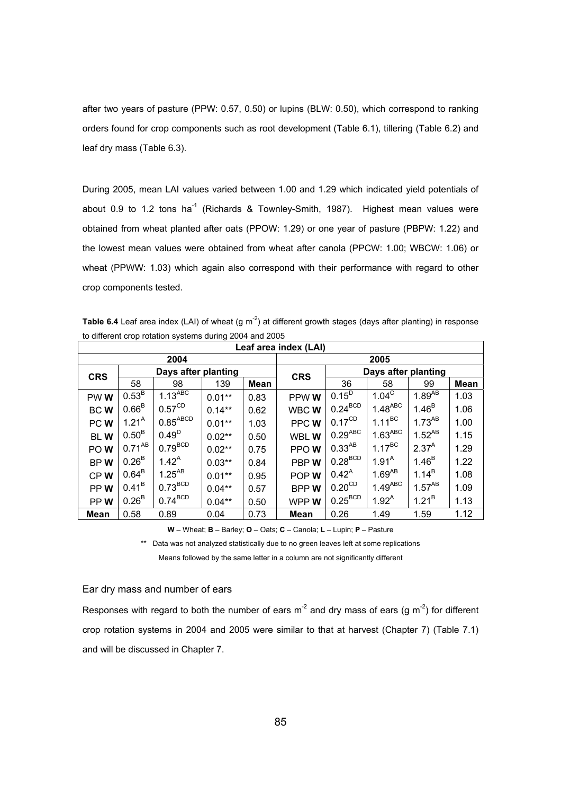after two years of pasture (PPW: 0.57, 0.50) or lupins (BLW: 0.50), which correspond to ranking orders found for crop components such as root development (Table 6.1), tillering (Table 6.2) and leaf dry mass (Table 6.3).

During 2005, mean LAI values varied between 1.00 and 1.29 which indicated yield potentials of about 0.9 to 1.2 tons ha<sup>-1</sup> (Richards & Townley-Smith, 1987). Highest mean values were obtained from wheat planted after oats (PPOW: 1.29) or one year of pasture (PBPW: 1.22) and the lowest mean values were obtained from wheat after canola (PPCW: 1.00; WBCW: 1.06) or wheat (PPWW: 1.03) which again also correspond with their performance with regard to other crop components tested.

Table 6.4 Leaf area index (LAI) of wheat (g m<sup>-2</sup>) at different growth stages (days after planting) in response to different crop rotation systems during 2004 and 2005

|             | Leaf area index (LAI) |                      |           |             |             |                                    |                       |             |             |  |  |  |
|-------------|-----------------------|----------------------|-----------|-------------|-------------|------------------------------------|-----------------------|-------------|-------------|--|--|--|
|             |                       | 2004                 |           |             |             |                                    | 2005                  |             |             |  |  |  |
| <b>CRS</b>  |                       | Days after planting  |           |             | <b>CRS</b>  |                                    | Days after planting   |             |             |  |  |  |
|             | 58                    | 98                   | 139       | <b>Mean</b> |             | 36                                 | 58                    | 99          | <b>Mean</b> |  |  |  |
| PW W        | 0.53 <sup>B</sup>     | $1.13^{ABC}$         | $0.01**$  | 0.83        | PPW W       | $0.15^{D}$                         | $1.04^{\circ}$        | $1.89^{AB}$ | 1.03        |  |  |  |
| BC W        | 0.66 <sup>B</sup>     | $0.57^{\text{CD}}$   | $0.14***$ | 0.62        | WBC W       | $0.24^{\text{BCD}}$                | $1.48^{ABC}$          | $1.46^{B}$  | 1.06        |  |  |  |
| PCW         | 1.21 <sup>A</sup>     | $0.85^{\text{ABCD}}$ | $0.01**$  | 1.03        | PPCW        | $0.17^{\text{CD}}$                 | $1.11^{BC}$           | $1.73^{AB}$ | 1.00        |  |  |  |
| <b>BLW</b>  | $0.50^{\rm B}$        | $0.49^{D}$           | $0.02**$  | 0.50        | WBL W       | $0.29^{ABC}$                       | $1.63$ <sup>ABC</sup> | $1.52^{AB}$ | 1.15        |  |  |  |
| PO W        | $0.71^{AB}$           | $0.79^{BCD}$         | $0.02**$  | 0.75        | PPO W       | $0.33^{AB}$                        | $1.17^{BC}$           | $2.37^{A}$  | 1.29        |  |  |  |
| BPW         | 0.26 <sup>B</sup>     | $1.42^{A}$           | $0.03***$ | 0.84        | PBP W       | $0.28^{BCD}$                       | 1.91 <sup>A</sup>     | $1.46^{B}$  | 1.22        |  |  |  |
| CPW         | $0.64^B$              | $1.25^{AB}$          | $0.01**$  | 0.95        | POP W       | $0.42^{A}$                         | $1.69^{AB}$           | $1.14^{B}$  | 1.08        |  |  |  |
| PPW         | $0.41^B$              | $0.73^{BCD}$         | $0.04**$  | 0.57        | <b>BPPW</b> | $0.20^{\text{CD}}$                 | $1.49^{ABC}$          | $1.57^{AB}$ | 1.09        |  |  |  |
| PPW         | $0.26^{\text{B}}$     | $0.74^{\text{BCD}}$  | $0.04***$ | 0.50        | WPP W       | $0.25^{\scriptsize{\textrm{BCD}}}$ | $1.92^{A}$            | $1.21^{B}$  | 1.13        |  |  |  |
| <b>Mean</b> | 0.58                  | 0.89                 | 0.04      | 0.73        | <b>Mean</b> | 0.26                               | 1.49                  | 1.59        | 1.12        |  |  |  |

**W** – Wheat; **B** – Barley; **O** – Oats; **C** – Canola; **L** – Lupin; **P** – Pasture

\*\* Data was not analyzed statistically due to no green leaves left at some replications Means followed by the same letter in a column are not significantly different

## Ear dry mass and number of ears

Responses with regard to both the number of ears  $m^2$  and dry mass of ears (g  $m^2$ ) for different crop rotation systems in 2004 and 2005 were similar to that at harvest (Chapter 7) (Table 7.1) and will be discussed in Chapter 7.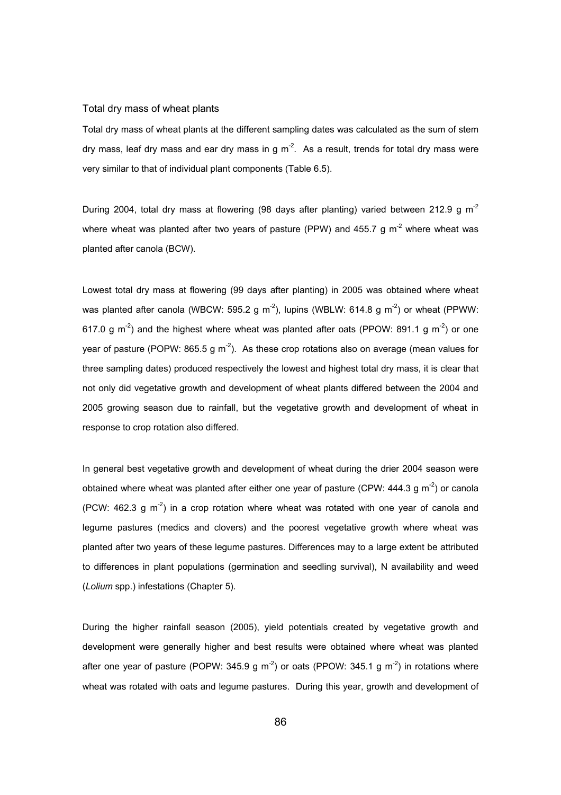#### Total dry mass of wheat plants

Total dry mass of wheat plants at the different sampling dates was calculated as the sum of stem dry mass, leaf dry mass and ear dry mass in q  $m^2$ . As a result, trends for total dry mass were very similar to that of individual plant components (Table 6.5).

During 2004, total dry mass at flowering (98 days after planting) varied between 212.9 g m<sup>-2</sup> where wheat was planted after two years of pasture (PPW) and 455.7 g  $m<sup>2</sup>$  where wheat was planted after canola (BCW).

Lowest total dry mass at flowering (99 days after planting) in 2005 was obtained where wheat was planted after canola (WBCW: 595.2 g m<sup>-2</sup>), lupins (WBLW: 614.8 g m<sup>-2</sup>) or wheat (PPWW: 617.0 g  $\text{m}^2$ ) and the highest where wheat was planted after oats (PPOW: 891.1 g  $\text{m}^2$ ) or one year of pasture (POPW:  $865.5$  g m<sup>-2</sup>). As these crop rotations also on average (mean values for three sampling dates) produced respectively the lowest and highest total dry mass, it is clear that not only did vegetative growth and development of wheat plants differed between the 2004 and 2005 growing season due to rainfall, but the vegetative growth and development of wheat in response to crop rotation also differed.

In general best vegetative growth and development of wheat during the drier 2004 season were obtained where wheat was planted after either one year of pasture (CPW: 444.3 g  $m<sup>-2</sup>$ ) or canola (PCW: 462.3 g  $m<sup>-2</sup>$ ) in a crop rotation where wheat was rotated with one year of canola and legume pastures (medics and clovers) and the poorest vegetative growth where wheat was planted after two years of these legume pastures. Differences may to a large extent be attributed to differences in plant populations (germination and seedling survival), N availability and weed (*Lolium* spp.) infestations (Chapter 5).

During the higher rainfall season (2005), yield potentials created by vegetative growth and development were generally higher and best results were obtained where wheat was planted after one year of pasture (POPW: 345.9 g  $m<sup>-2</sup>$ ) or oats (PPOW: 345.1 g  $m<sup>-2</sup>$ ) in rotations where wheat was rotated with oats and legume pastures. During this year, growth and development of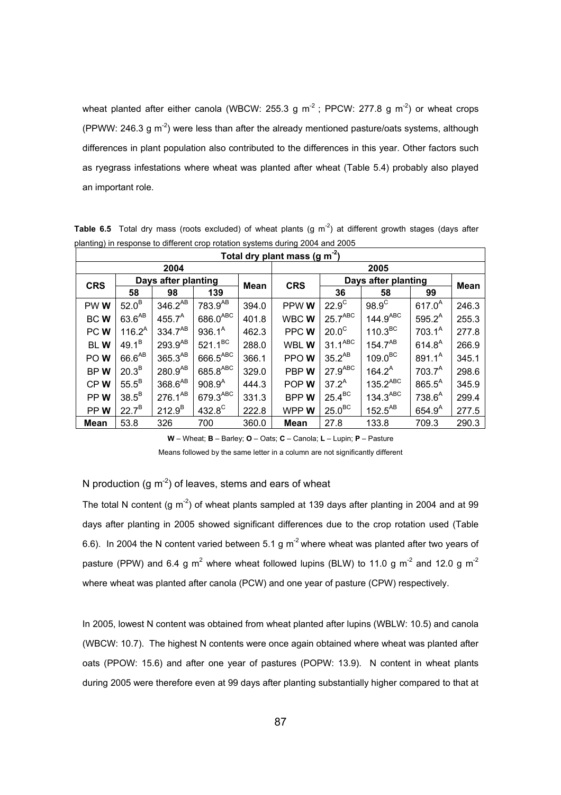wheat planted after either canola (WBCW: 255.3 g  $m^2$ ; PPCW: 277.8 g  $m^2$ ) or wheat crops (PPWW: 246.3 g  $m<sup>2</sup>$ ) were less than after the already mentioned pasture/oats systems, although differences in plant population also contributed to the differences in this year. Other factors such as ryegrass infestations where wheat was planted after wheat (Table 5.4) probably also played an important role.

| ັ<br>Total dry plant mass (g m <sup>-2</sup> ) |                     |                     |                     |       |             |                       |                        |                    |       |
|------------------------------------------------|---------------------|---------------------|---------------------|-------|-------------|-----------------------|------------------------|--------------------|-------|
| 2004                                           |                     |                     |                     | 2005  |             |                       |                        |                    |       |
| <b>CRS</b>                                     | Days after planting |                     |                     | Mean  | <b>CRS</b>  | Days after planting   |                        |                    | Mean  |
|                                                | 58                  | 98                  | 139                 |       |             | 36                    | 58                     | 99                 |       |
| PWW <sub></sub>                                | $52.0^B$            | 346.2 <sup>AB</sup> | 783.9 <sup>AB</sup> | 394.0 | PPW W       | $22.9^\circ$          | $98.9^{\circ}$         | $617.0^{A}$        | 246.3 |
| <b>BCW</b>                                     | $63.6^{AB}$         | $455.7^A$           | $686.0^\text{ABC}$  | 401.8 | WBCWW       | $25.7$ <sup>ABC</sup> | 144.9 <sup>ABC</sup>   | $595.2^A$          | 255.3 |
| PCW                                            | $116.2^A$           | $334.7^{AB}$        | $936.1^A$           | 462.3 | PPC W       | $20.0^\circ$          | 110.3 <sup>BC</sup>    | $703.1^A$          | 277.8 |
| <b>BLW</b>                                     | $49.1^{B}$          | $293.9^{AB}$        | $521.1^{BC}$        | 288.0 | WBL W       | $31.1^\text{ABC}$     | $154.7^{AB}$           | $614.8^{A}$        | 266.9 |
| POW                                            | 66.6 <sup>AB</sup>  | $365.3^{AB}$        | $666.5^{ABC}$       | 366.1 | PPOW        | $35.2^{AB}$           | 109.0 <sup>BC</sup>    | $891.1^A$          | 345.1 |
| BPW                                            | $20.3^B$            | $280.9^{AB}$        | $685.8^{ABC}$       | 329.0 | PBPW        | $27.9$ <sup>ABC</sup> | $164.2^A$              | $703.7^A$          | 298.6 |
| CPW                                            | $55.5^B$            | $368.6^{AB}$        | $908.9^{A}$         | 444.3 | POP W       | $37.2^A$              | $135.2$ <sup>ABC</sup> | $865.5^{A}$        | 345.9 |
| PPW                                            | $38.5^B$            | $276.1^{AB}$        | 679.3ABC            | 331.3 | <b>BPPW</b> | $25.4^{\text{BC}}$    | 134.3 <sup>ABC</sup>   | 738.6 <sup>A</sup> | 299.4 |
| PPW                                            | $22.7^B$            | $212.9^{B}$         | 432.8 <sup>C</sup>  | 222.8 | WPP W       | $25.0^{\text{BC}}$    | $152.5^{AB}$           | $654.9^{A}$        | 277.5 |
| <b>Mean</b>                                    | 53.8                | 326                 | 700                 | 360.0 | <b>Mean</b> | 27.8                  | 133.8                  | 709.3              | 290.3 |

**Table 6.5** Total dry mass (roots excluded) of wheat plants (g  $m<sup>-2</sup>$ ) at different growth stages (days after planting) in response to different crop rotation systems during 2004 and 2005

**W** – Wheat; **B** – Barley; **O** – Oats; **C** – Canola; **L** – Lupin; **P** – Pasture

Means followed by the same letter in a column are not significantly different

# N production  $(g m<sup>-2</sup>)$  of leaves, stems and ears of wheat

The total N content (g  $m<sup>2</sup>$ ) of wheat plants sampled at 139 days after planting in 2004 and at 99 days after planting in 2005 showed significant differences due to the crop rotation used (Table 6.6). In 2004 the N content varied between 5.1 g  $m<sup>-2</sup>$  where wheat was planted after two years of pasture (PPW) and 6.4 g m<sup>2</sup> where wheat followed lupins (BLW) to 11.0 g m<sup>-2</sup> and 12.0 g m<sup>-2</sup> where wheat was planted after canola (PCW) and one year of pasture (CPW) respectively.

In 2005, lowest N content was obtained from wheat planted after lupins (WBLW: 10.5) and canola (WBCW: 10.7). The highest N contents were once again obtained where wheat was planted after oats (PPOW: 15.6) and after one year of pastures (POPW: 13.9). N content in wheat plants during 2005 were therefore even at 99 days after planting substantially higher compared to that at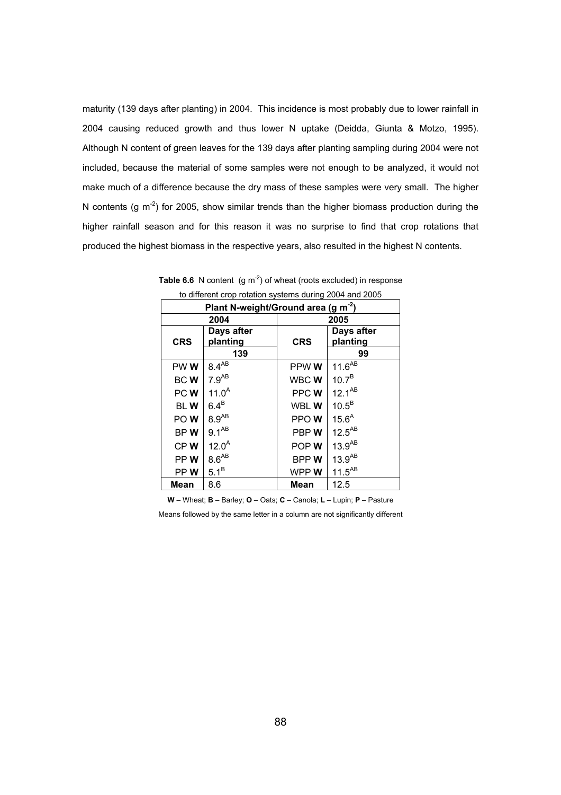maturity (139 days after planting) in 2004. This incidence is most probably due to lower rainfall in 2004 causing reduced growth and thus lower N uptake (Deidda, Giunta & Motzo, 1995). Although N content of green leaves for the 139 days after planting sampling during 2004 were not included, because the material of some samples were not enough to be analyzed, it would not make much of a difference because the dry mass of these samples were very small. The higher N contents (g  $m^{-2}$ ) for 2005, show similar trends than the higher biomass production during the higher rainfall season and for this reason it was no surprise to find that crop rotations that produced the highest biomass in the respective years, also resulted in the highest N contents.

| Plant N-weight/Ground area (g m <sup>-2</sup> ) |                   |             |                   |  |  |  |
|-------------------------------------------------|-------------------|-------------|-------------------|--|--|--|
|                                                 | 2004              |             | 2005              |  |  |  |
|                                                 | Days after        |             | Days after        |  |  |  |
| <b>CRS</b>                                      | planting          | <b>CRS</b>  | planting          |  |  |  |
|                                                 | 139               |             | 99                |  |  |  |
| PW W                                            | $8.4^{AB}$        | PPW W       | $11.6^{AB}$       |  |  |  |
| BCW                                             | $7.9^{AB}$        | WBC W       | $10.7^{B}$        |  |  |  |
| PC W                                            | 11.0 <sup>A</sup> | PPCW        | $12.1^{AB}$       |  |  |  |
| <b>BLW</b>                                      | $6.4^B$           | WBL W       | $10.5^B$          |  |  |  |
| POW <sub></sub>                                 | $8.9^{AB}$        | PPOW        | 15.6 <sup>A</sup> |  |  |  |
| BPW                                             | $9.1^{AB}$        | PBP W       | $12.5^{AB}$       |  |  |  |
| CPW                                             | $12.0^{A}$        | POP W       | $13.9^{AB}$       |  |  |  |
| PP W                                            | $8.6^{AB}$        | <b>BPPW</b> | $13.9^{AB}$       |  |  |  |
| PP W                                            | $5.1^B$           | WPP W       | $11.5^{AB}$       |  |  |  |
| Mean                                            | 8.6               | <b>Mean</b> | 12.5              |  |  |  |

**Table 6.6** N content  $(g m<sup>-2</sup>)$  of wheat (roots excluded) in response to different crop rotation systems during 2004 and 2005

**W** – Wheat; **B** – Barley; **O** – Oats; **C** – Canola; **L** – Lupin; **P** – Pasture

Means followed by the same letter in a column are not significantly different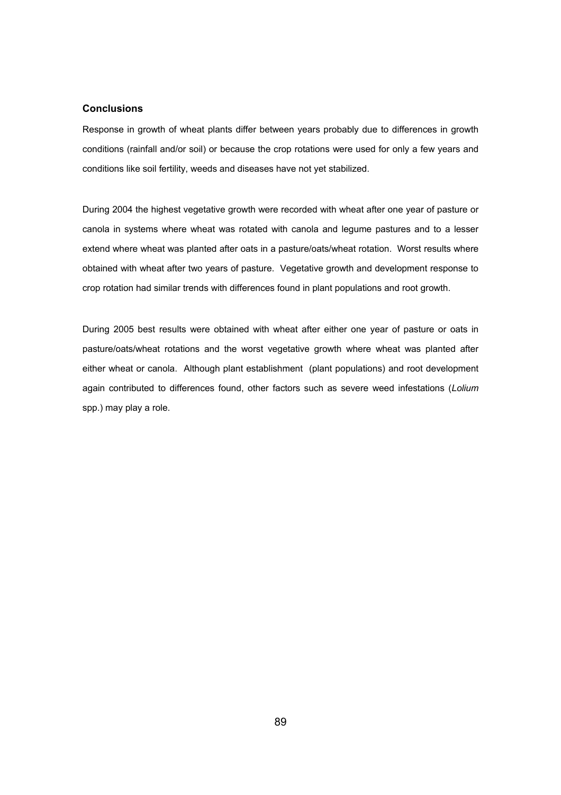## **Conclusions**

Response in growth of wheat plants differ between years probably due to differences in growth conditions (rainfall and/or soil) or because the crop rotations were used for only a few years and conditions like soil fertility, weeds and diseases have not yet stabilized.

During 2004 the highest vegetative growth were recorded with wheat after one year of pasture or canola in systems where wheat was rotated with canola and legume pastures and to a lesser extend where wheat was planted after oats in a pasture/oats/wheat rotation. Worst results where obtained with wheat after two years of pasture. Vegetative growth and development response to crop rotation had similar trends with differences found in plant populations and root growth.

During 2005 best results were obtained with wheat after either one year of pasture or oats in pasture/oats/wheat rotations and the worst vegetative growth where wheat was planted after either wheat or canola. Although plant establishment (plant populations) and root development again contributed to differences found, other factors such as severe weed infestations (*Lolium*  spp.) may play a role.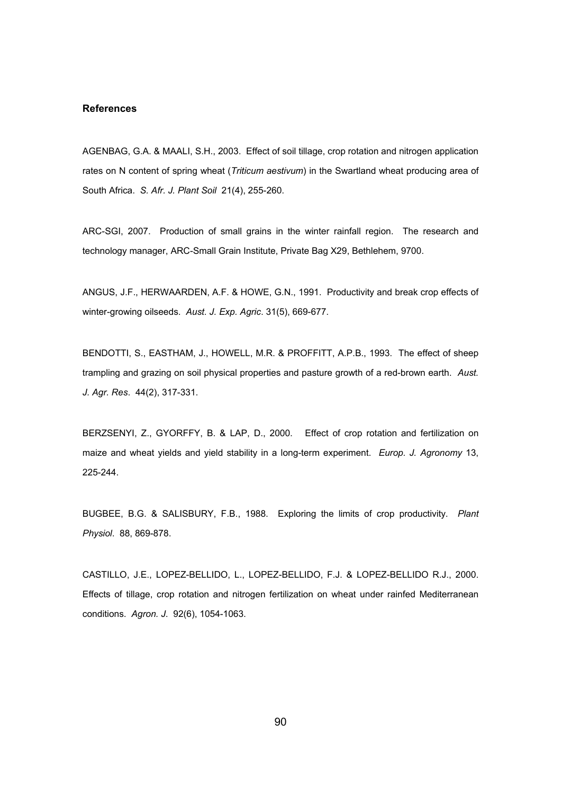## **References**

AGENBAG, G.A. & MAALI, S.H., 2003. Effect of soil tillage, crop rotation and nitrogen application rates on N content of spring wheat (*Triticum aestivum*) in the Swartland wheat producing area of South Africa. *S. Afr. J. Plant Soil* 21(4), 255-260.

ARC-SGI, 2007. Production of small grains in the winter rainfall region. The research and technology manager, ARC-Small Grain Institute, Private Bag X29, Bethlehem, 9700.

ANGUS, J.F., HERWAARDEN, A.F. & HOWE, G.N., 1991. Productivity and break crop effects of winter-growing oilseeds. *Aust. J. Exp. Agric*. 31(5), 669-677.

BENDOTTI, S., EASTHAM, J., HOWELL, M.R. & PROFFITT, A.P.B., 1993. The effect of sheep trampling and grazing on soil physical properties and pasture growth of a red-brown earth. *Aust. J. Agr. Res*. 44(2), 317-331.

BERZSENYI, Z., GYORFFY, B. & LAP, D., 2000. Effect of crop rotation and fertilization on maize and wheat yields and yield stability in a long-term experiment. *Europ. J. Agronomy* 13, 225-244.

BUGBEE, B.G. & SALISBURY, F.B., 1988. Exploring the limits of crop productivity. *Plant Physiol*. 88, 869-878.

CASTILLO, J.E., LOPEZ-BELLIDO, L., LOPEZ-BELLIDO, F.J. & LOPEZ-BELLIDO R.J., 2000. Effects of tillage, crop rotation and nitrogen fertilization on wheat under rainfed Mediterranean conditions. *Agron. J*. 92(6), 1054-1063.

90 and the contract of the contract of the contract of the contract of the contract of the contract of the con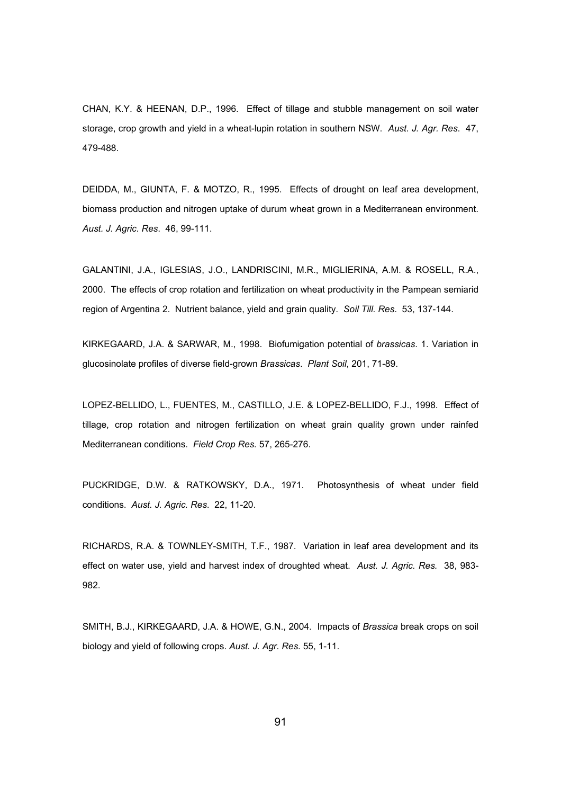CHAN, K.Y. & HEENAN, D.P., 1996. Effect of tillage and stubble management on soil water storage, crop growth and yield in a wheat-lupin rotation in southern NSW. *Aust. J. Agr. Res*. 47, 479-488.

DEIDDA, M., GIUNTA, F. & MOTZO, R., 1995. Effects of drought on leaf area development, biomass production and nitrogen uptake of durum wheat grown in a Mediterranean environment. *Aust. J. Agric. Res*. 46, 99-111.

GALANTINI, J.A., IGLESIAS, J.O., LANDRISCINI, M.R., MIGLIERINA, A.M. & ROSELL, R.A., 2000. The effects of crop rotation and fertilization on wheat productivity in the Pampean semiarid region of Argentina 2. Nutrient balance, yield and grain quality. *Soil Till. Res*. 53, 137-144.

KIRKEGAARD, J.A. & SARWAR, M., 1998. Biofumigation potential of *brassicas*. 1. Variation in glucosinolate profiles of diverse field-grown *Brassicas*. *Plant Soil*, 201, 71-89.

LOPEZ-BELLIDO, L., FUENTES, M., CASTILLO, J.E. & LOPEZ-BELLIDO, F.J., 1998. Effect of tillage, crop rotation and nitrogen fertilization on wheat grain quality grown under rainfed Mediterranean conditions. *Field Crop Res.* 57, 265-276.

PUCKRIDGE, D.W. & RATKOWSKY, D.A., 1971. Photosynthesis of wheat under field conditions. *Aust. J. Agric. Res*. 22, 11-20.

RICHARDS, R.A. & TOWNLEY-SMITH, T.F., 1987. Variation in leaf area development and its effect on water use, yield and harvest index of droughted wheat. *Aust. J. Agric. Res.* 38, 983- 982.

SMITH, B.J., KIRKEGAARD, J.A. & HOWE, G.N., 2004. Impacts of *Brassica* break crops on soil biology and yield of following crops. *Aust. J. Agr. Res*. 55, 1-11.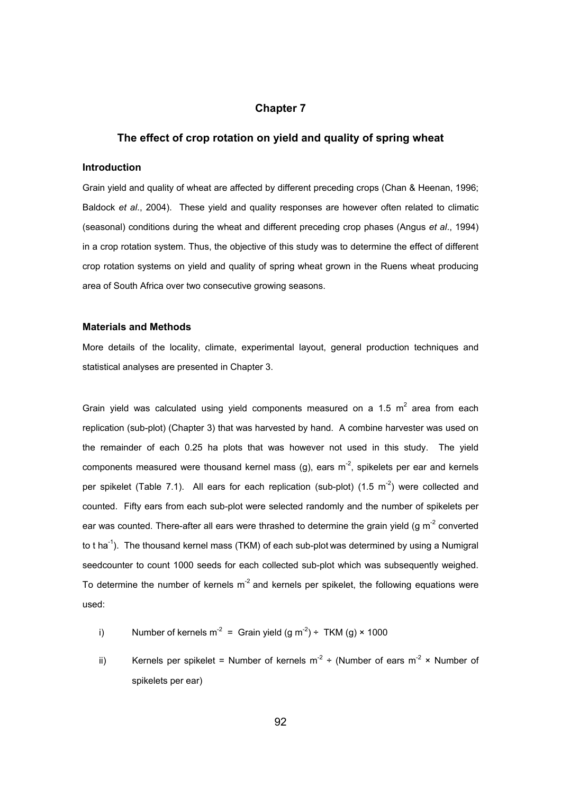# **Chapter 7**

## **The effect of crop rotation on yield and quality of spring wheat**

#### **Introduction**

Grain yield and quality of wheat are affected by different preceding crops (Chan & Heenan, 1996; Baldock *et al*., 2004). These yield and quality responses are however often related to climatic (seasonal) conditions during the wheat and different preceding crop phases (Angus *et al*., 1994) in a crop rotation system. Thus, the objective of this study was to determine the effect of different crop rotation systems on yield and quality of spring wheat grown in the Ruens wheat producing area of South Africa over two consecutive growing seasons.

## **Materials and Methods**

More details of the locality, climate, experimental layout, general production techniques and statistical analyses are presented in Chapter 3.

Grain yield was calculated using yield components measured on a 1.5  $m^2$  area from each replication (sub-plot) (Chapter 3) that was harvested by hand. A combine harvester was used on the remainder of each 0.25 ha plots that was however not used in this study. The yield components measured were thousand kernel mass  $(g)$ , ears m<sup>-2</sup>, spikelets per ear and kernels per spikelet (Table 7.1). All ears for each replication (sub-plot) (1.5  $m<sup>-2</sup>$ ) were collected and counted. Fifty ears from each sub-plot were selected randomly and the number of spikelets per ear was counted. There-after all ears were thrashed to determine the grain yield (g  $m<sup>-2</sup>$  converted to t ha<sup>-1</sup>). The thousand kernel mass (TKM) of each sub-plot was determined by using a Numigral seedcounter to count 1000 seeds for each collected sub-plot which was subsequently weighed. To determine the number of kernels  $m<sup>-2</sup>$  and kernels per spikelet, the following equations were used:

- i) Number of kernels m<sup>-2</sup> = Grain yield  $(g m^{-2}) \div TKM (g) \times 1000$
- ii) Kernels per spikelet = Number of kernels  $m^2 \div$  (Number of ears  $m^2 \times$  Number of spikelets per ear)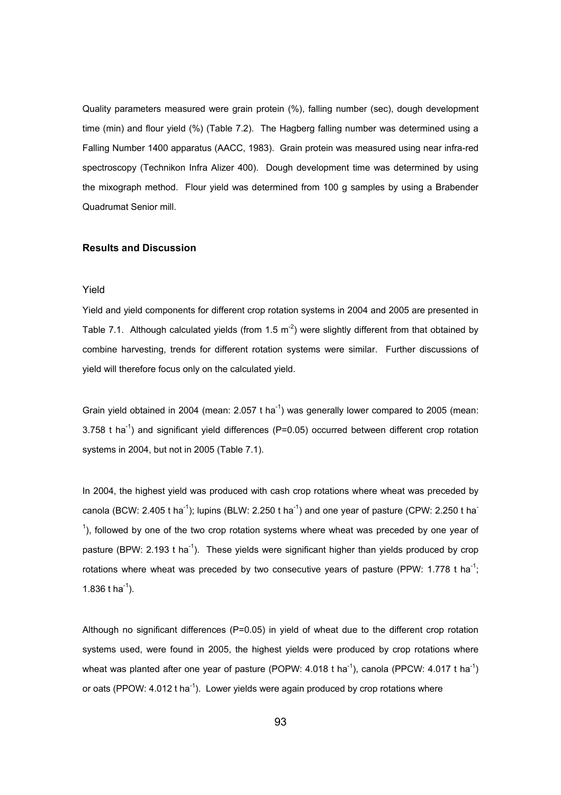Quality parameters measured were grain protein (%), falling number (sec), dough development time (min) and flour yield (%) (Table 7.2). The Hagberg falling number was determined using a Falling Number 1400 apparatus (AACC, 1983). Grain protein was measured using near infra-red spectroscopy (Technikon Infra Alizer 400). Dough development time was determined by using the mixograph method. Flour yield was determined from 100 g samples by using a Brabender Quadrumat Senior mill.

#### **Results and Discussion**

## Yield

Yield and yield components for different crop rotation systems in 2004 and 2005 are presented in Table 7.1. Although calculated yields (from 1.5  $m<sup>-2</sup>$ ) were slightly different from that obtained by combine harvesting, trends for different rotation systems were similar. Further discussions of yield will therefore focus only on the calculated yield.

Grain yield obtained in 2004 (mean:  $2.057$  t ha<sup>-1</sup>) was generally lower compared to 2005 (mean:  $3.758$  t ha<sup>-1</sup>) and significant yield differences (P=0.05) occurred between different crop rotation systems in 2004, but not in 2005 (Table 7.1).

In 2004, the highest yield was produced with cash crop rotations where wheat was preceded by canola (BCW: 2.405 t ha<sup>-1</sup>); lupins (BLW: 2.250 t ha<sup>-1</sup>) and one year of pasture (CPW: 2.250 t ha<sup>-</sup>  $<sup>1</sup>$ ), followed by one of the two crop rotation systems where wheat was preceded by one year of</sup> pasture (BPW: 2.193 t ha<sup>-1</sup>). These yields were significant higher than yields produced by crop rotations where wheat was preceded by two consecutive years of pasture (PPW: 1.778 t ha<sup>-1</sup>; 1.836 t ha<sup>-1</sup>).

Although no significant differences (P=0.05) in yield of wheat due to the different crop rotation systems used, were found in 2005, the highest yields were produced by crop rotations where wheat was planted after one year of pasture (POPW: 4.018 t ha<sup>-1</sup>), canola (PPCW: 4.017 t ha<sup>-1</sup>) or oats (PPOW:  $4.012$  t ha<sup>-1</sup>). Lower yields were again produced by crop rotations where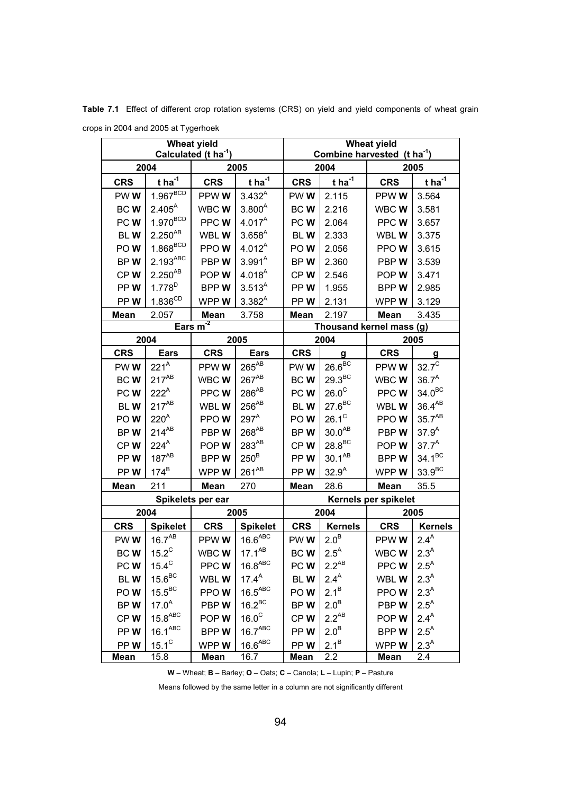**Table 7.1** Effect of different crop rotation systems (CRS) on yield and yield components of wheat grain crops in 2004 and 2005 at Tygerhoek

| <b>Wheat yield</b><br>Calculated (t ha <sup>-1</sup> ) |                                |                    |                                 | <b>Wheat yield</b><br>Combine harvested $(t \text{ ha}^{-1})$ |                           |                      |                           |  |
|--------------------------------------------------------|--------------------------------|--------------------|---------------------------------|---------------------------------------------------------------|---------------------------|----------------------|---------------------------|--|
|                                                        | 2004                           | 2005               |                                 | 2004                                                          |                           | 2005                 |                           |  |
| <b>CRS</b>                                             | $t$ ha <sup>-1</sup>           | <b>CRS</b>         | $tha-1$                         | <b>CRS</b>                                                    | $tna-1$                   | <b>CRS</b>           | $tha-1$                   |  |
| PWW                                                    | $1.967^{BCD}$                  | PPWWW              | $3.432^{A}$                     | PWW                                                           | 2.115                     | PPW W                | 3.564                     |  |
| BCW                                                    | $2.405^{A}$                    | WBCWW              | $3.800^{A}$                     | BCW                                                           | 2.216                     | WBCWW                | 3.581                     |  |
| PCW <sub></sub>                                        | $1.970^{BCD}$                  | PPCWW              | 4.017 <sup>A</sup>              | PC W                                                          | 2.064                     | PPCWW                | 3.657                     |  |
| <b>BLW</b>                                             | $2.250^{AB}$                   | WBL W              | $3.658^{A}$                     | <b>BLW</b>                                                    | 2.333                     | WBL W                | 3.375                     |  |
| POW                                                    | $1.868^{BCD}$                  | PPOW               | $4.012^{A}$                     | POW                                                           | 2.056                     | PPOW                 | 3.615                     |  |
| BPW                                                    | $2.193$ <sup>ABC</sup>         | PBPW               | $3.991^{A}$                     | BPW                                                           | 2.360                     | PBP W                | 3.539                     |  |
| CPW                                                    | $2.250^{AB}$                   | POP W              | $4.018^{A}$                     | CPW                                                           | 2.546                     | POP W                | 3.471                     |  |
| PPW                                                    | $1.778^{D}$                    | <b>BPPW</b>        | $3.513^{A}$                     | PPW                                                           | 1.955                     | <b>BPPW</b>          | 2.985                     |  |
| PPW                                                    | $1.836^{\text{CD}}$            | WPPW               | $3.382^{A}$                     | PPW                                                           | 2.131                     | WPP W                | 3.129                     |  |
| <b>Mean</b>                                            | 2.057                          | Mean               | 3.758                           | <b>Mean</b>                                                   | 2.197                     | <b>Mean</b>          | 3.435                     |  |
| Ears $m^2$                                             |                                |                    |                                 | Thousand kernel mass (g)                                      |                           |                      |                           |  |
|                                                        | 2004                           | 2005               |                                 | 2004                                                          |                           | 2005                 |                           |  |
| <b>CRS</b>                                             | <b>Ears</b>                    | <b>CRS</b>         | <b>Ears</b>                     | <b>CRS</b>                                                    | g                         | <b>CRS</b>           | $\mathbf g$               |  |
| PWW                                                    | $221^A$                        | PPWWW              | $265^{\mathsf{AB}}$             | PWW                                                           | $26.6^{BC}$               | PPW W                | $32.7^\circ$              |  |
| <b>BCW</b>                                             | $217^{AB}$                     | WBCWW              | $267^{AB}$                      | BCW                                                           | $29.3^{BC}$               | WBCWW                | $36.7^{A}$                |  |
| PCW                                                    | $222^A$                        | PPCW               | $286^{\mathsf{AB}}$             | PCW                                                           | $26.0^\circ$              | PPCWW                | 34.0 <sup>BC</sup>        |  |
| <b>BLW</b>                                             | $217^{AB}$                     | WBL W              | $256^{AB}$                      | <b>BLW</b>                                                    | $27.6^{\text{BC}}$        | WBL W                | $36.4^{AB}$               |  |
| POW                                                    | $220^A$                        | PPOW               | $297^A$                         | POW                                                           | $26.1^{\circ}$            | PPOW                 | $35.7^{AB}$               |  |
| BPW                                                    | $214^{AB}$                     | PBPW               | $268^{AB}$                      | BPW                                                           | $30.0^{AB}$               | PBP W                | $37.9^{A}$                |  |
| CPW                                                    | $224^A$                        | POPW               | 283 <sup>AB</sup>               | CPW                                                           | $28.8^{BC}$               | POP W                | $37.7^{A}$                |  |
| PPW                                                    | $187^{AB}$                     | <b>BPPW</b>        | $250^{\text{B}}$                | PPW                                                           | $30.1^{AB}$               | BPPW                 | $34.1^{BC}$               |  |
| PPW                                                    | $174^B$                        | WPPW               | $261^{AB}$                      | PPW                                                           | 32.9 <sup>A</sup>         | WPP W                | $33.9^{BC}$               |  |
| <b>Mean</b>                                            | 211                            | 270<br><b>Mean</b> |                                 | Mean                                                          | 28.6                      | 35.5<br><b>Mean</b>  |                           |  |
|                                                        |                                | Spikelets per ear  |                                 |                                                               |                           | Kernels per spikelet |                           |  |
|                                                        | 2004                           |                    | 2005                            |                                                               | 2004                      |                      | 2005                      |  |
| <b>CRS</b>                                             | <b>Spikelet</b><br>$16.7^{AB}$ | <b>CRS</b>         | <b>Spikelet</b><br>$16.6^{ABC}$ | <b>CRS</b>                                                    | <b>Kernels</b><br>$2.0^B$ | <b>CRS</b>           | <b>Kernels</b><br>$2.4^A$ |  |
| PWW<br><b>BCW</b>                                      | $15.2^C$                       | PPWWW<br>WBCWW     | $17.1^{AB}$                     | PWW<br>BCW                                                    | $2.5^A$                   | PPW W<br>WBCWW       | 2.3 <sup>A</sup>          |  |
| PCW <sub></sub>                                        | $15.4^{\circ}$                 | PPCWW              | 16.8 <sup>ABC</sup>             | PC W                                                          | $2.2^{AB}$                | PPC W                | $2.5^A$                   |  |
| <b>BLW</b>                                             | $15.6^{\rm BC}$                | WBL W              | $17.4^A$                        | BLW                                                           | 2.4 <sup>A</sup>          | WBL W                | 2.3 <sup>A</sup>          |  |
| POW                                                    | $15.5^{\text{BC}}$             | PPOW               | $16.5^{ABC}$                    | POW <sub></sub>                                               | $2.1^{B}$                 | PPOW                 | 2.3 <sup>A</sup>          |  |
| BPW                                                    | $17.0^A$                       | PBPW               | $16.2^{BC}$                     | BPW                                                           | $2.0^B$                   | PBP W                | $2.5^A$                   |  |
| CPW                                                    | $15.8^{ABC}$                   | POP W              | 16.0 <sup>c</sup>               | CPW                                                           | $2.2^{AB}$                | POP W                | 2.4 <sup>A</sup>          |  |
| PPW                                                    | $16.1^{ABC}$                   | BPPW               | 16.7 <sup>ABC</sup>             | PPW                                                           | 2.0 <sup>B</sup>          | BPP W                | $2.5^{A}$                 |  |
| PPW                                                    | $15.1^{\circ}$                 | WPPW               | 16.6 <sup>ABC</sup>             | PPW                                                           | $2.1^B$                   | WPP W                | 2.3 <sup>A</sup>          |  |
| <b>Mean</b>                                            | 15.8                           | <b>Mean</b>        | 16.7                            | <b>Mean</b>                                                   | 2.2                       | <b>Mean</b>          | 2.4                       |  |

**W** – Wheat; **B** – Barley; **O** – Oats; **C** – Canola; **L** – Lupin; **P** – Pasture

Means followed by the same letter in a column are not significantly different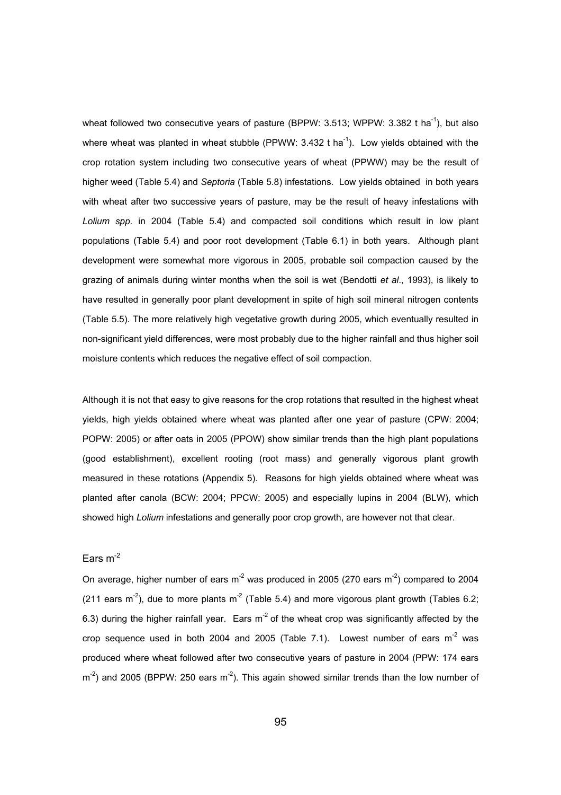wheat followed two consecutive years of pasture (BPPW:  $3.513$ ; WPPW:  $3.382$  t ha<sup>-1</sup>), but also where wheat was planted in wheat stubble (PPWW:  $3.432$  t ha<sup>-1</sup>). Low yields obtained with the crop rotation system including two consecutive years of wheat (PPWW) may be the result of higher weed (Table 5.4) and *Septoria* (Table 5.8) infestations. Low yields obtained in both years with wheat after two successive years of pasture, may be the result of heavy infestations with *Lolium spp.* in 2004 (Table 5.4) and compacted soil conditions which result in low plant populations (Table 5.4) and poor root development (Table 6.1) in both years. Although plant development were somewhat more vigorous in 2005, probable soil compaction caused by the grazing of animals during winter months when the soil is wet (Bendotti *et al*., 1993), is likely to have resulted in generally poor plant development in spite of high soil mineral nitrogen contents (Table 5.5). The more relatively high vegetative growth during 2005, which eventually resulted in non-significant yield differences, were most probably due to the higher rainfall and thus higher soil moisture contents which reduces the negative effect of soil compaction.

Although it is not that easy to give reasons for the crop rotations that resulted in the highest wheat yields, high yields obtained where wheat was planted after one year of pasture (CPW: 2004; POPW: 2005) or after oats in 2005 (PPOW) show similar trends than the high plant populations (good establishment), excellent rooting (root mass) and generally vigorous plant growth measured in these rotations (Appendix 5). Reasons for high yields obtained where wheat was planted after canola (BCW: 2004; PPCW: 2005) and especially lupins in 2004 (BLW), which showed high *Lolium* infestations and generally poor crop growth, are however not that clear.

# Ears  $m<sup>-2</sup>$

On average, higher number of ears  $m^2$  was produced in 2005 (270 ears  $m^2$ ) compared to 2004 (211 ears  $m<sup>2</sup>$ ), due to more plants  $m<sup>2</sup>$  (Table 5.4) and more vigorous plant growth (Tables 6.2; 6.3) during the higher rainfall year. Ears  $m^2$  of the wheat crop was significantly affected by the crop sequence used in both 2004 and 2005 (Table 7.1). Lowest number of ears  $m^2$  was produced where wheat followed after two consecutive years of pasture in 2004 (PPW: 174 ears  $m<sup>2</sup>$ ) and 2005 (BPPW: 250 ears  $m<sup>2</sup>$ ). This again showed similar trends than the low number of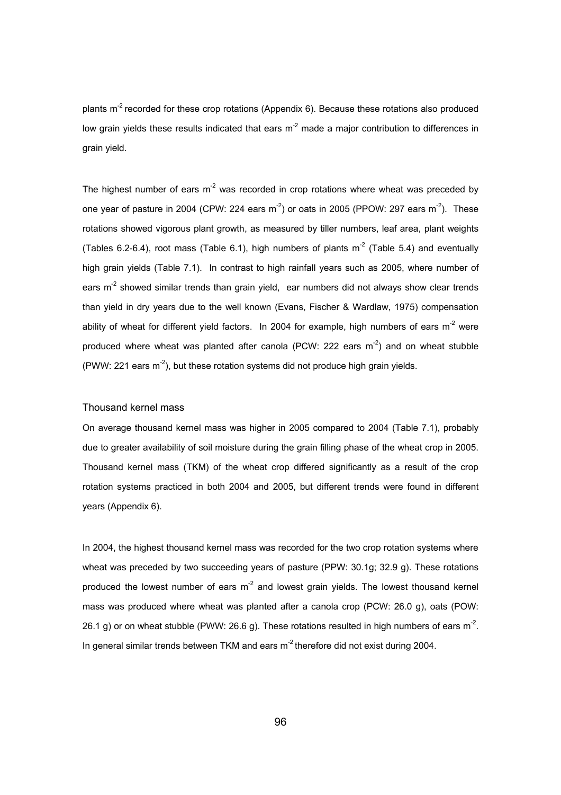plants  $m^2$  recorded for these crop rotations (Appendix 6). Because these rotations also produced low grain yields these results indicated that ears  $m<sup>-2</sup>$  made a major contribution to differences in grain yield.

The highest number of ears  $m<sup>2</sup>$  was recorded in crop rotations where wheat was preceded by one year of pasture in 2004 (CPW: 224 ears  $m<sup>-2</sup>$ ) or oats in 2005 (PPOW: 297 ears  $m<sup>-2</sup>$ ). These rotations showed vigorous plant growth, as measured by tiller numbers, leaf area, plant weights (Tables 6.2-6.4), root mass (Table 6.1), high numbers of plants  $m<sup>2</sup>$  (Table 5.4) and eventually high grain yields (Table 7.1). In contrast to high rainfall years such as 2005, where number of ears  $m<sup>2</sup>$  showed similar trends than grain yield, ear numbers did not always show clear trends than yield in dry years due to the well known (Evans, Fischer & Wardlaw, 1975) compensation ability of wheat for different yield factors. In 2004 for example, high numbers of ears  $m<sup>-2</sup>$  were produced where wheat was planted after canola (PCW: 222 ears  $m<sup>2</sup>$ ) and on wheat stubble (PWW: 221 ears  $m^{-2}$ ), but these rotation systems did not produce high grain yields.

## Thousand kernel mass

On average thousand kernel mass was higher in 2005 compared to 2004 (Table 7.1), probably due to greater availability of soil moisture during the grain filling phase of the wheat crop in 2005. Thousand kernel mass (TKM) of the wheat crop differed significantly as a result of the crop rotation systems practiced in both 2004 and 2005, but different trends were found in different years (Appendix 6).

In 2004, the highest thousand kernel mass was recorded for the two crop rotation systems where wheat was preceded by two succeeding years of pasture (PPW: 30.1g; 32.9 g). These rotations produced the lowest number of ears  $m<sup>2</sup>$  and lowest grain yields. The lowest thousand kernel mass was produced where wheat was planted after a canola crop (PCW: 26.0 g), oats (POW: 26.1 g) or on wheat stubble (PWW: 26.6 g). These rotations resulted in high numbers of ears  $m^2$ . In general similar trends between TKM and ears  $m<sup>2</sup>$  therefore did not exist during 2004.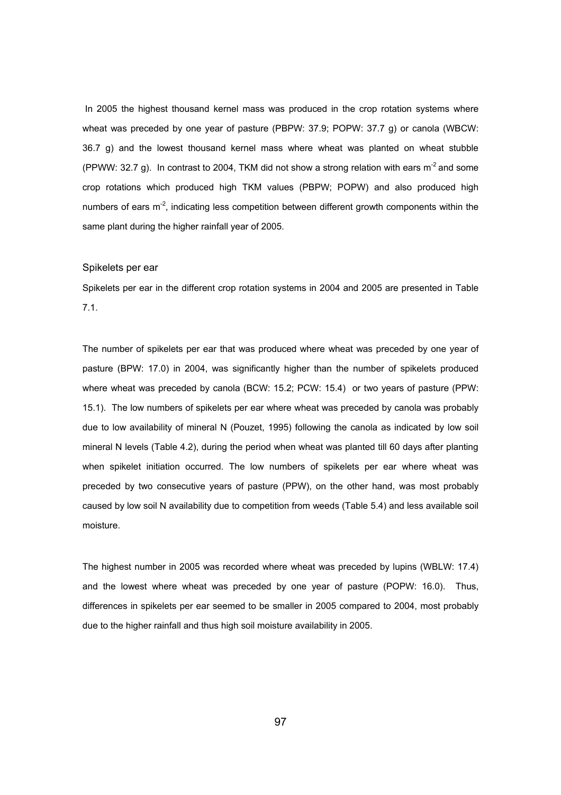In 2005 the highest thousand kernel mass was produced in the crop rotation systems where wheat was preceded by one year of pasture (PBPW: 37.9; POPW: 37.7 g) or canola (WBCW: 36.7 g) and the lowest thousand kernel mass where wheat was planted on wheat stubble (PPWW: 32.7 g). In contrast to 2004, TKM did not show a strong relation with ears  $m^2$  and some crop rotations which produced high TKM values (PBPW; POPW) and also produced high numbers of ears  $m<sup>2</sup>$ , indicating less competition between different growth components within the same plant during the higher rainfall year of 2005.

#### Spikelets per ear

Spikelets per ear in the different crop rotation systems in 2004 and 2005 are presented in Table 7.1.

The number of spikelets per ear that was produced where wheat was preceded by one year of pasture (BPW: 17.0) in 2004, was significantly higher than the number of spikelets produced where wheat was preceded by canola (BCW: 15.2; PCW: 15.4) or two years of pasture (PPW: 15.1). The low numbers of spikelets per ear where wheat was preceded by canola was probably due to low availability of mineral N (Pouzet, 1995) following the canola as indicated by low soil mineral N levels (Table 4.2), during the period when wheat was planted till 60 days after planting when spikelet initiation occurred. The low numbers of spikelets per ear where wheat was preceded by two consecutive years of pasture (PPW), on the other hand, was most probably caused by low soil N availability due to competition from weeds (Table 5.4) and less available soil moisture.

The highest number in 2005 was recorded where wheat was preceded by lupins (WBLW: 17.4) and the lowest where wheat was preceded by one year of pasture (POPW: 16.0). Thus, differences in spikelets per ear seemed to be smaller in 2005 compared to 2004, most probably due to the higher rainfall and thus high soil moisture availability in 2005.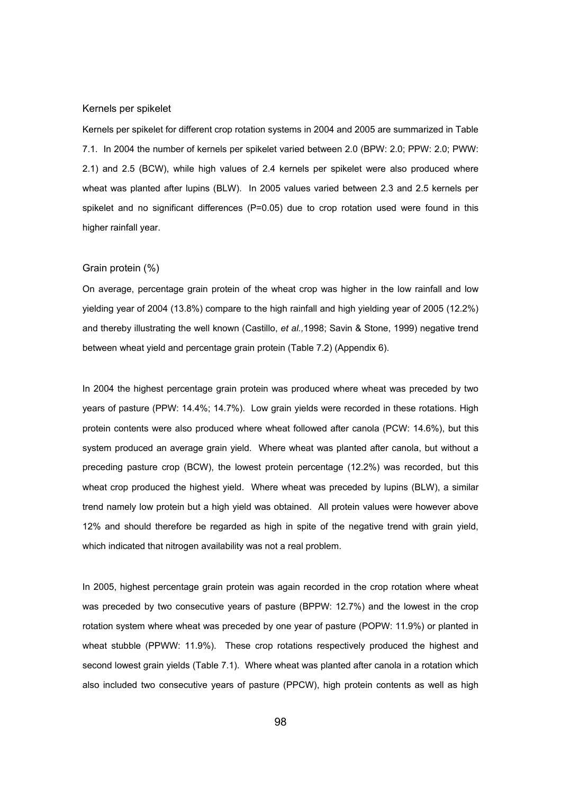#### Kernels per spikelet

Kernels per spikelet for different crop rotation systems in 2004 and 2005 are summarized in Table 7.1. In 2004 the number of kernels per spikelet varied between 2.0 (BPW: 2.0; PPW: 2.0; PWW: 2.1) and 2.5 (BCW), while high values of 2.4 kernels per spikelet were also produced where wheat was planted after lupins (BLW). In 2005 values varied between 2.3 and 2.5 kernels per spikelet and no significant differences  $(P=0.05)$  due to crop rotation used were found in this higher rainfall year.

#### Grain protein (%)

On average, percentage grain protein of the wheat crop was higher in the low rainfall and low yielding year of 2004 (13.8%) compare to the high rainfall and high yielding year of 2005 (12.2%) and thereby illustrating the well known (Castillo, *et al.,*1998; Savin & Stone, 1999) negative trend between wheat yield and percentage grain protein (Table 7.2) (Appendix 6).

In 2004 the highest percentage grain protein was produced where wheat was preceded by two years of pasture (PPW: 14.4%; 14.7%). Low grain yields were recorded in these rotations. High protein contents were also produced where wheat followed after canola (PCW: 14.6%), but this system produced an average grain yield. Where wheat was planted after canola, but without a preceding pasture crop (BCW), the lowest protein percentage (12.2%) was recorded, but this wheat crop produced the highest yield. Where wheat was preceded by lupins (BLW), a similar trend namely low protein but a high yield was obtained. All protein values were however above 12% and should therefore be regarded as high in spite of the negative trend with grain yield, which indicated that nitrogen availability was not a real problem.

In 2005, highest percentage grain protein was again recorded in the crop rotation where wheat was preceded by two consecutive years of pasture (BPPW: 12.7%) and the lowest in the crop rotation system where wheat was preceded by one year of pasture (POPW: 11.9%) or planted in wheat stubble (PPWW: 11.9%). These crop rotations respectively produced the highest and second lowest grain yields (Table 7.1). Where wheat was planted after canola in a rotation which also included two consecutive years of pasture (PPCW), high protein contents as well as high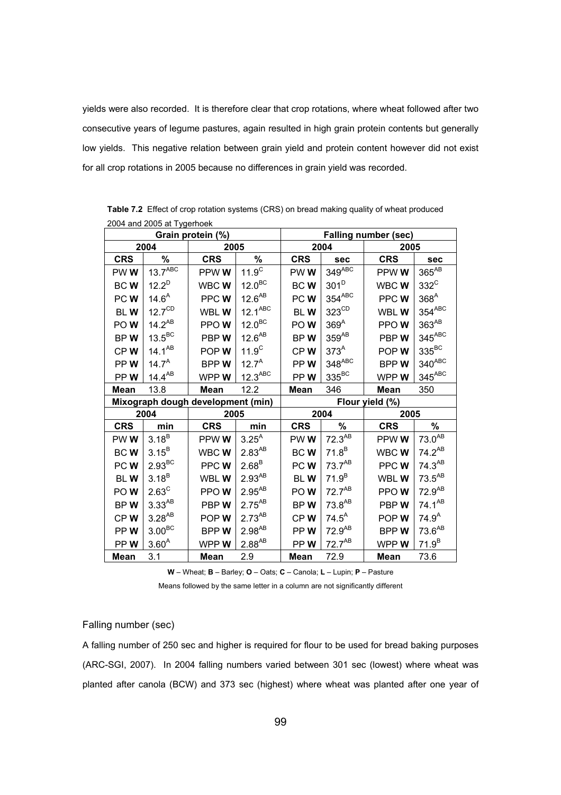yields were also recorded. It is therefore clear that crop rotations, where wheat followed after two consecutive years of legume pastures, again resulted in high grain protein contents but generally low yields. This negative relation between grain yield and protein content however did not exist for all crop rotations in 2005 because no differences in grain yield was recorded.

| Grain protein (%)                                    |                       |             |                       | <b>Falling number (sec)</b> |                   |             |                    |
|------------------------------------------------------|-----------------------|-------------|-----------------------|-----------------------------|-------------------|-------------|--------------------|
| 2004                                                 |                       | 2005        |                       | 2004                        |                   | 2005        |                    |
| <b>CRS</b>                                           | %                     | <b>CRS</b>  | %                     | <b>CRS</b>                  | sec               | <b>CRS</b>  | sec                |
| PWW                                                  | $13.7$ <sup>ABC</sup> | PPWWW       | $11.9^C$              | PWW                         | $349^{ABC}$       | PPW W       | 365 <sup>AB</sup>  |
| <b>BCW</b>                                           | $12.2^{D}$            | WBC W       | 12.0 <sup>BC</sup>    | BCW                         | $301^D$           | WBC W       | $332^{\circ}$      |
| PCW <sub></sub>                                      | $14.6^{A}$            | PPCWW       | $12.6^{AB}$           | PCW                         | $354^{ABC}$       | PPC W       | 368 <sup>A</sup>   |
| <b>BLW</b>                                           | $12.7^{\text{CD}}$    | WBL W       | $12.1^{ABC}$          | <b>BLW</b>                  | $323^{\text{CD}}$ | WBL W       | $354^{ABC}$        |
| POW                                                  | $14.2^{AB}$           | PPOW        | 12.0 <sup>BC</sup>    | POW <sub></sub>             | 369 <sup>A</sup>  | PPOW        | $363^{AB}$         |
| BPW                                                  | $13.5^{\text{BC}}$    | PBPW        | $12.6^{AB}$           | BPW                         | $359^{AB}$        | PBPW        | $345^{ABC}$        |
| CPW                                                  | $14.1^{AB}$           | POP W       | 11.9 <sup>C</sup>     | CPW                         | 373 <sup>A</sup>  | POPW        | $335^{BC}$         |
| PPW                                                  | $14.7^A$              | <b>BPPW</b> | $12.7^A$              | PPW <sub></sub>             | 348ABC            | BPPW        | $340^{ABC}$        |
| PPW                                                  | $14.4^{AB}$           | WPP W       | $12.3$ <sup>ABC</sup> | PPW                         | $335^{BC}$        | WPP W       | $345^{ABC}$        |
| Mean                                                 | 13.8                  | <b>Mean</b> | 12.2                  | Mean                        | 346               | <b>Mean</b> | 350                |
| Flour yield (%)<br>Mixograph dough development (min) |                       |             |                       |                             |                   |             |                    |
| 2004                                                 |                       | 2005        |                       | 2004                        |                   | 2005        |                    |
| <b>CRS</b>                                           | min                   | <b>CRS</b>  | min                   | <b>CRS</b>                  | %                 | <b>CRS</b>  | %                  |
| PWW                                                  | $3.18^{B}$            | PPW W       | $3.25^{A}$            | PWW <sub></sub>             | $72.3^{AB}$       | PPW W       | $73.0^{AB}$        |
| <b>BCW</b>                                           | $3.15^{B}$            | WBC W       | $2.83^{AB}$           | <b>BCW</b>                  | $71.8^B$          | WBC W       | $74.2^{AB}$        |
| PCWW                                                 | $2.93^{BC}$           | PPC W       | $2.68^{B}$            | PCWW                        | $73.7^{AB}$       | PPC W       | $74.3^{AB}$        |
| <b>BLW</b>                                           | $3.18^{B}$            | WBL W       | $2.93^{AB}$           | <b>BLW</b>                  | $71.9^{B}$        | WBL W       | $73.5^{AB}$        |
| POW                                                  | $2.63^{\circ}$        | PPOW        | $2.95^{AB}$           | POW <sub></sub>             | $72.7^{AB}$       | PPOW        | 72.9 <sup>AB</sup> |
| BPW                                                  | $3.33^{AB}$           | PBPW        | $2.75^{AB}$           | BPW                         | $73.8^{AB}$       | PBPW        | $74.1^{AB}$        |
| CPW                                                  | $3.28^{AB}$           | POP W       | $2.73^{AB}$           | CPW                         | $74.5^A$          | POPW        | $74.9^{A}$         |
| PPW                                                  | 3.00 <sup>BC</sup>    | <b>BPPW</b> | $2.98^{AB}$           | PPW                         | $72.9^{AB}$       | <b>BPPW</b> | $73.6^{AB}$        |
| PPW                                                  | $3.60^{A}$            | WPPW        | $2.88^{AB}$           | PPW                         | $72.7^{AB}$       | WPP W       | $71.9^{B}$         |
| Mean                                                 | 3.1                   | Mean        | 2.9                   | Mean                        | 72.9              | Mean        | 73.6               |

**Table 7.2** Effect of crop rotation systems (CRS) on bread making quality of wheat produced 2004 and 2005 at Tygerhoek

**W** – Wheat; **B** – Barley; **O** – Oats; **C** – Canola; **L** – Lupin; **P** – Pasture

Means followed by the same letter in a column are not significantly different

## Falling number (sec)

A falling number of 250 sec and higher is required for flour to be used for bread baking purposes (ARC-SGI, 2007). In 2004 falling numbers varied between 301 sec (lowest) where wheat was planted after canola (BCW) and 373 sec (highest) where wheat was planted after one year of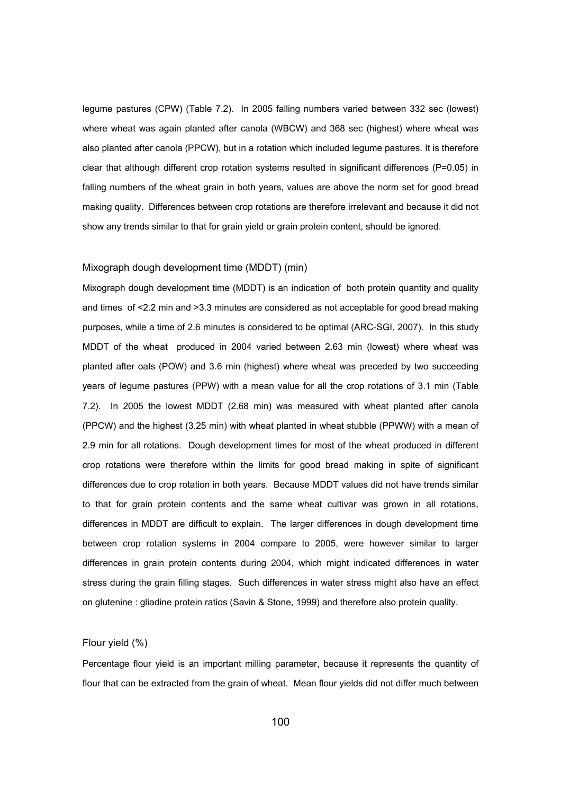legume pastures (CPW) (Table 7.2). In 2005 falling numbers varied between 332 sec (lowest) where wheat was again planted after canola (WBCW) and 368 sec (highest) where wheat was also planted after canola (PPCW), but in a rotation which included legume pastures. It is therefore clear that although different crop rotation systems resulted in significant differences (P=0.05) in falling numbers of the wheat grain in both years, values are above the norm set for good bread making quality. Differences between crop rotations are therefore irrelevant and because it did not show any trends similar to that for grain yield or grain protein content, should be ignored.

#### Mixograph dough development time (MDDT) (min)

Mixograph dough development time (MDDT) is an indication of both protein quantity and quality and times of <2.2 min and >3.3 minutes are considered as not acceptable for good bread making purposes, while a time of 2.6 minutes is considered to be optimal (ARC-SGI, 2007). In this study MDDT of the wheat produced in 2004 varied between 2.63 min (lowest) where wheat was planted after oats (POW) and 3.6 min (highest) where wheat was preceded by two succeeding years of legume pastures (PPW) with a mean value for all the crop rotations of 3.1 min (Table 7.2). In 2005 the lowest MDDT (2.68 min) was measured with wheat planted after canola (PPCW) and the highest (3.25 min) with wheat planted in wheat stubble (PPWW) with a mean of 2.9 min for all rotations. Dough development times for most of the wheat produced in different crop rotations were therefore within the limits for good bread making in spite of significant differences due to crop rotation in both years. Because MDDT values did not have trends similar to that for grain protein contents and the same wheat cultivar was grown in all rotations, differences in MDDT are difficult to explain. The larger differences in dough development time between crop rotation systems in 2004 compare to 2005, were however similar to larger differences in grain protein contents during 2004, which might indicated differences in water stress during the grain filling stages. Such differences in water stress might also have an effect on glutenine : gliadine protein ratios (Savin & Stone, 1999) and therefore also protein quality.

#### Flour yield (%)

Percentage flour yield is an important milling parameter, because it represents the quantity of flour that can be extracted from the grain of wheat. Mean flour yields did not differ much between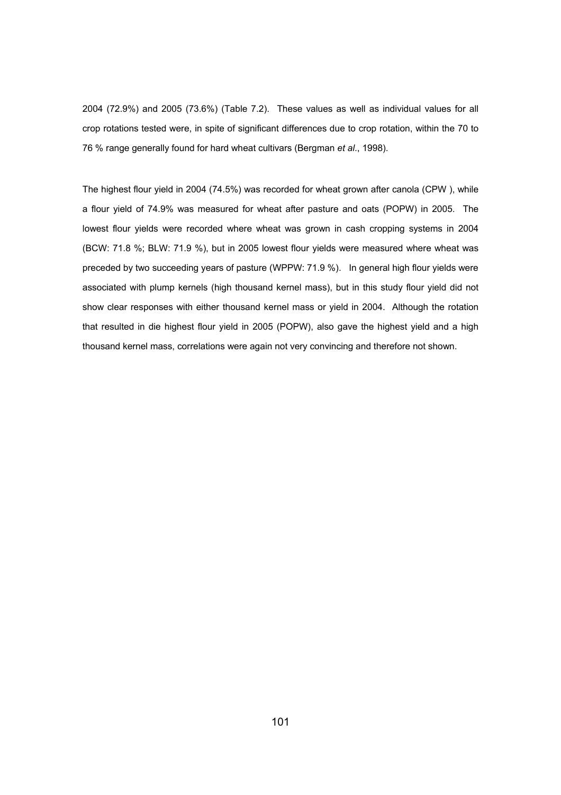2004 (72.9%) and 2005 (73.6%) (Table 7.2). These values as well as individual values for all crop rotations tested were, in spite of significant differences due to crop rotation, within the 70 to 76 % range generally found for hard wheat cultivars (Bergman *et al*., 1998).

The highest flour yield in 2004 (74.5%) was recorded for wheat grown after canola (CPW ), while a flour yield of 74.9% was measured for wheat after pasture and oats (POPW) in 2005. The lowest flour yields were recorded where wheat was grown in cash cropping systems in 2004 (BCW: 71.8 %; BLW: 71.9 %), but in 2005 lowest flour yields were measured where wheat was preceded by two succeeding years of pasture (WPPW: 71.9 %). In general high flour yields were associated with plump kernels (high thousand kernel mass), but in this study flour yield did not show clear responses with either thousand kernel mass or yield in 2004. Although the rotation that resulted in die highest flour yield in 2005 (POPW), also gave the highest yield and a high thousand kernel mass, correlations were again not very convincing and therefore not shown.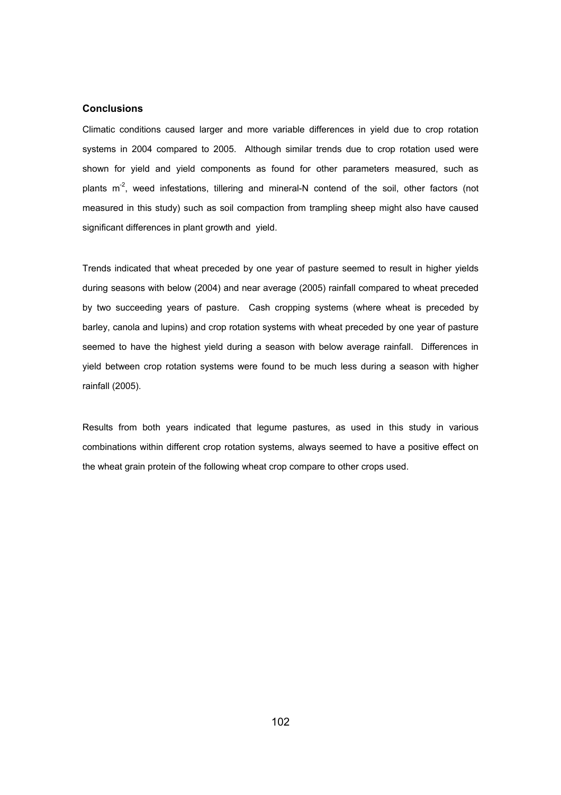## **Conclusions**

Climatic conditions caused larger and more variable differences in yield due to crop rotation systems in 2004 compared to 2005. Although similar trends due to crop rotation used were shown for yield and yield components as found for other parameters measured, such as plants  $m<sup>2</sup>$ , weed infestations, tillering and mineral-N contend of the soil, other factors (not measured in this study) such as soil compaction from trampling sheep might also have caused significant differences in plant growth and yield.

Trends indicated that wheat preceded by one year of pasture seemed to result in higher yields during seasons with below (2004) and near average (2005) rainfall compared to wheat preceded by two succeeding years of pasture. Cash cropping systems (where wheat is preceded by barley, canola and lupins) and crop rotation systems with wheat preceded by one year of pasture seemed to have the highest yield during a season with below average rainfall. Differences in yield between crop rotation systems were found to be much less during a season with higher rainfall (2005).

Results from both years indicated that legume pastures, as used in this study in various combinations within different crop rotation systems, always seemed to have a positive effect on the wheat grain protein of the following wheat crop compare to other crops used.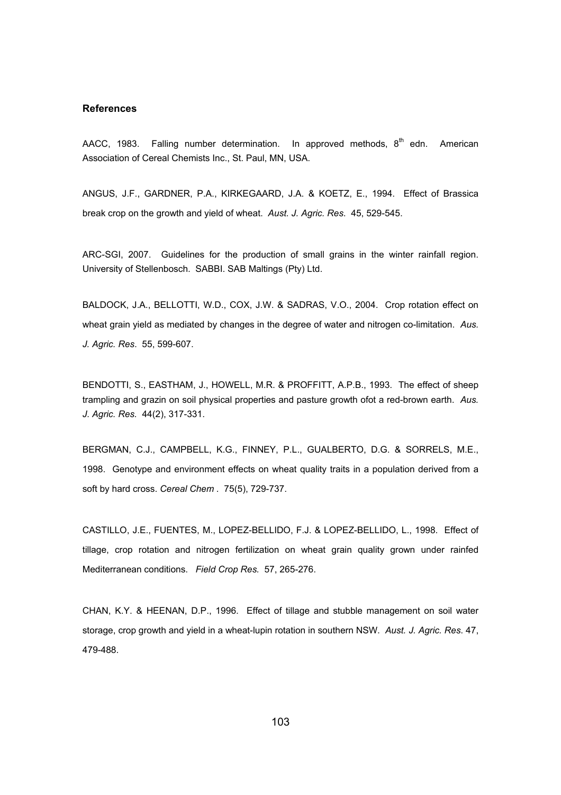#### **References**

AACC, 1983. Falling number determination. In approved methods,  $8<sup>th</sup>$  edn. American Association of Cereal Chemists Inc., St. Paul, MN, USA.

ANGUS, J.F., GARDNER, P.A., KIRKEGAARD, J.A. & KOETZ, E., 1994. Effect of Brassica break crop on the growth and yield of wheat. *Aust. J. Agric. Res*. 45, 529-545.

ARC-SGI, 2007. Guidelines for the production of small grains in the winter rainfall region. University of Stellenbosch. SABBI. SAB Maltings (Pty) Ltd.

BALDOCK, J.A., BELLOTTI, W.D., COX, J.W. & SADRAS, V.O., 2004. Crop rotation effect on wheat grain yield as mediated by changes in the degree of water and nitrogen co-limitation. *Aus. J. Agric. Res*. 55, 599-607.

BENDOTTI, S., EASTHAM, J., HOWELL, M.R. & PROFFITT, A.P.B., 1993. The effect of sheep trampling and grazin on soil physical properties and pasture growth ofot a red-brown earth. *Aus. J. Agric. Res.* 44(2), 317-331.

BERGMAN, C.J., CAMPBELL, K.G., FINNEY, P.L., GUALBERTO, D.G. & SORRELS, M.E., 1998. Genotype and environment effects on wheat quality traits in a population derived from a soft by hard cross. *Cereal Chem .* 75(5), 729-737.

CASTILLO, J.E., FUENTES, M., LOPEZ-BELLIDO, F.J. & LOPEZ-BELLIDO, L., 1998. Effect of tillage, crop rotation and nitrogen fertilization on wheat grain quality grown under rainfed Mediterranean conditions. *Field Crop Res.* 57, 265-276.

CHAN, K.Y. & HEENAN, D.P., 1996. Effect of tillage and stubble management on soil water storage, crop growth and yield in a wheat-lupin rotation in southern NSW. *Aust. J. Agric. Res*. 47, 479-488.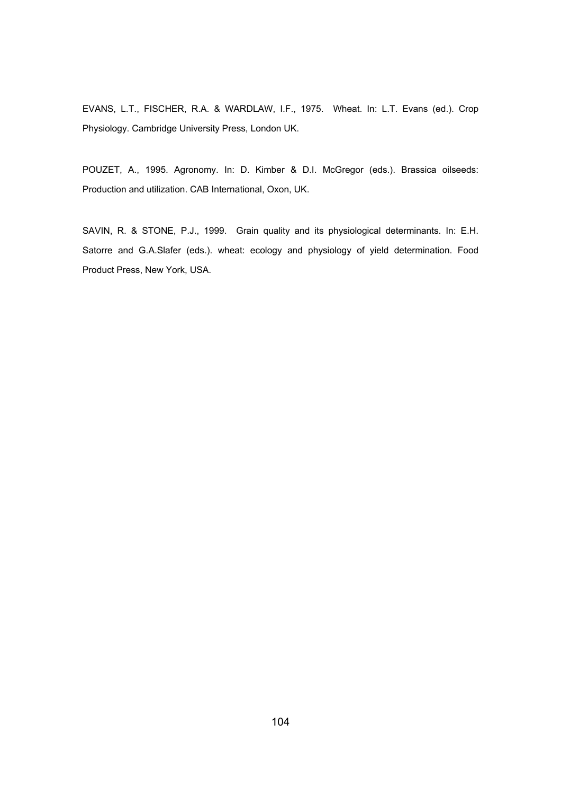EVANS, L.T., FISCHER, R.A. & WARDLAW, I.F., 1975. Wheat. In: L.T. Evans (ed.). Crop Physiology. Cambridge University Press, London UK.

POUZET, A., 1995. Agronomy. In: D. Kimber & D.I. McGregor (eds.). Brassica oilseeds: Production and utilization. CAB International, Oxon, UK.

SAVIN, R. & STONE, P.J., 1999. Grain quality and its physiological determinants. In: E.H. Satorre and G.A.Slafer (eds.). wheat: ecology and physiology of yield determination. Food Product Press, New York, USA.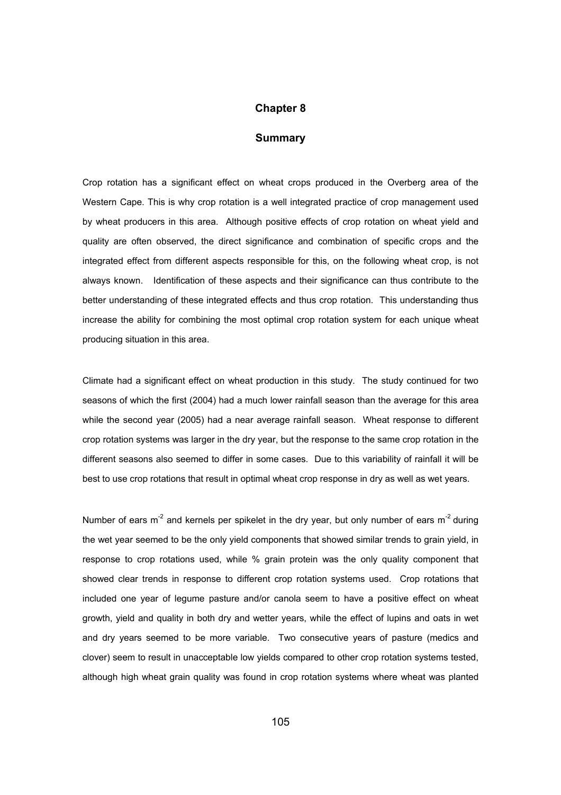# **Chapter 8**

## **Summary**

Crop rotation has a significant effect on wheat crops produced in the Overberg area of the Western Cape. This is why crop rotation is a well integrated practice of crop management used by wheat producers in this area. Although positive effects of crop rotation on wheat yield and quality are often observed, the direct significance and combination of specific crops and the integrated effect from different aspects responsible for this, on the following wheat crop, is not always known. Identification of these aspects and their significance can thus contribute to the better understanding of these integrated effects and thus crop rotation. This understanding thus increase the ability for combining the most optimal crop rotation system for each unique wheat producing situation in this area.

Climate had a significant effect on wheat production in this study. The study continued for two seasons of which the first (2004) had a much lower rainfall season than the average for this area while the second year (2005) had a near average rainfall season. Wheat response to different crop rotation systems was larger in the dry year, but the response to the same crop rotation in the different seasons also seemed to differ in some cases. Due to this variability of rainfall it will be best to use crop rotations that result in optimal wheat crop response in dry as well as wet years.

Number of ears  $m^2$  and kernels per spikelet in the dry year, but only number of ears  $m^2$  during the wet year seemed to be the only yield components that showed similar trends to grain yield, in response to crop rotations used, while % grain protein was the only quality component that showed clear trends in response to different crop rotation systems used. Crop rotations that included one year of legume pasture and/or canola seem to have a positive effect on wheat growth, yield and quality in both dry and wetter years, while the effect of lupins and oats in wet and dry years seemed to be more variable. Two consecutive years of pasture (medics and clover) seem to result in unacceptable low yields compared to other crop rotation systems tested, although high wheat grain quality was found in crop rotation systems where wheat was planted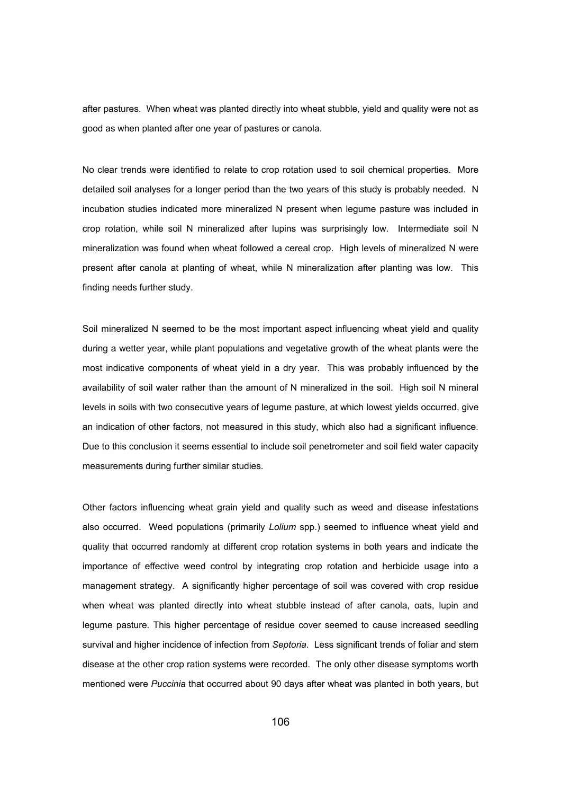after pastures. When wheat was planted directly into wheat stubble, yield and quality were not as good as when planted after one year of pastures or canola.

No clear trends were identified to relate to crop rotation used to soil chemical properties. More detailed soil analyses for a longer period than the two years of this study is probably needed. N incubation studies indicated more mineralized N present when legume pasture was included in crop rotation, while soil N mineralized after lupins was surprisingly low. Intermediate soil N mineralization was found when wheat followed a cereal crop. High levels of mineralized N were present after canola at planting of wheat, while N mineralization after planting was low. This finding needs further study.

Soil mineralized N seemed to be the most important aspect influencing wheat yield and quality during a wetter year, while plant populations and vegetative growth of the wheat plants were the most indicative components of wheat yield in a dry year. This was probably influenced by the availability of soil water rather than the amount of N mineralized in the soil. High soil N mineral levels in soils with two consecutive years of legume pasture, at which lowest yields occurred, give an indication of other factors, not measured in this study, which also had a significant influence. Due to this conclusion it seems essential to include soil penetrometer and soil field water capacity measurements during further similar studies.

Other factors influencing wheat grain yield and quality such as weed and disease infestations also occurred. Weed populations (primarily *Lolium* spp.) seemed to influence wheat yield and quality that occurred randomly at different crop rotation systems in both years and indicate the importance of effective weed control by integrating crop rotation and herbicide usage into a management strategy. A significantly higher percentage of soil was covered with crop residue when wheat was planted directly into wheat stubble instead of after canola, oats, lupin and legume pasture. This higher percentage of residue cover seemed to cause increased seedling survival and higher incidence of infection from *Septoria*. Less significant trends of foliar and stem disease at the other crop ration systems were recorded. The only other disease symptoms worth mentioned were *Puccinia* that occurred about 90 days after wheat was planted in both years, but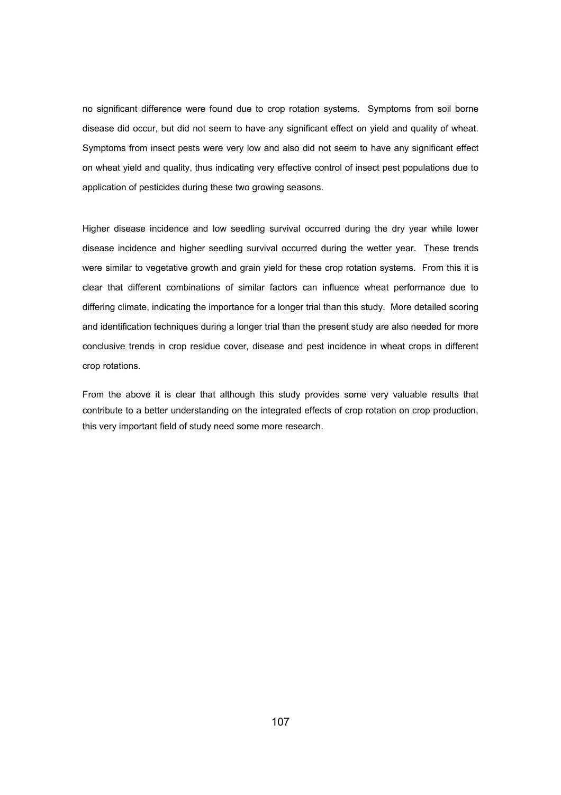no significant difference were found due to crop rotation systems. Symptoms from soil borne disease did occur, but did not seem to have any significant effect on yield and quality of wheat. Symptoms from insect pests were very low and also did not seem to have any significant effect on wheat yield and quality, thus indicating very effective control of insect pest populations due to application of pesticides during these two growing seasons.

Higher disease incidence and low seedling survival occurred during the dry year while lower disease incidence and higher seedling survival occurred during the wetter year. These trends were similar to vegetative growth and grain yield for these crop rotation systems. From this it is clear that different combinations of similar factors can influence wheat performance due to differing climate, indicating the importance for a longer trial than this study. More detailed scoring and identification techniques during a longer trial than the present study are also needed for more conclusive trends in crop residue cover, disease and pest incidence in wheat crops in different crop rotations.

From the above it is clear that although this study provides some very valuable results that contribute to a better understanding on the integrated effects of crop rotation on crop production, this very important field of study need some more research.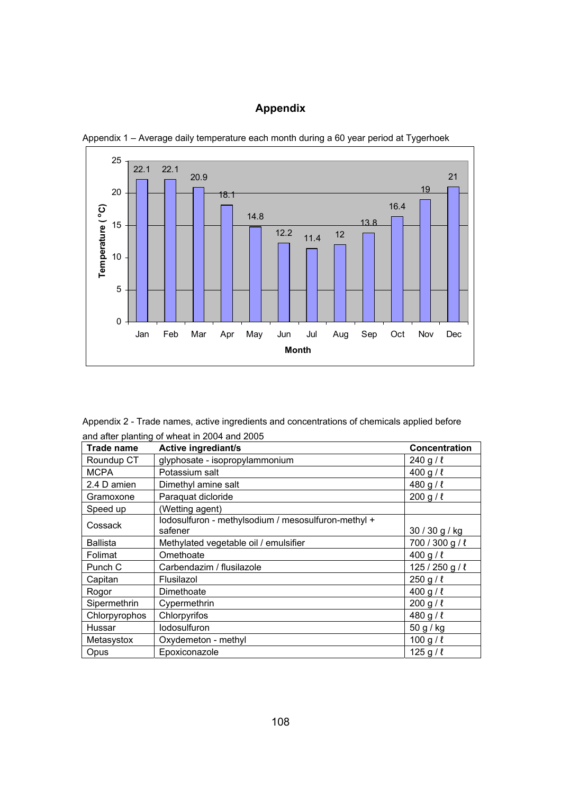# **Appendix**



Appendix 1 – Average daily temperature each month during a 60 year period at Tygerhoek

Appendix 2 - Trade names, active ingredients and concentrations of chemicals applied before and after planting of wheat in 2004 and 2005

| <b>Trade name</b> | <b>Active ingrediant/s</b>                                     | Concentration   |
|-------------------|----------------------------------------------------------------|-----------------|
| Roundup CT        | glyphosate - isopropylammonium                                 | 240 g / $\ell$  |
| <b>MCPA</b>       | Potassium salt                                                 | 400 g / $\ell$  |
| 2.4 D amien       | Dimethyl amine salt                                            | 480 g / $\ell$  |
| Gramoxone         | Paraquat dicloride                                             | 200 g/l         |
| Speed up          | (Wetting agent)                                                |                 |
| Cossack           | lodosulfuron - methylsodium / mesosulfuron-methyl +<br>safener | 30 / 30 g / kg  |
| <b>Ballista</b>   | Methylated vegetable oil / emulsifier                          | 700 / 300 g / l |
| Folimat           | Omethoate                                                      | 400 g / $\ell$  |
| Punch C           | Carbendazim / flusilazole                                      | 125/250 g/l     |
| Capitan           | Flusilazol                                                     | $250 g / \ell$  |
| Rogor             | Dimethoate                                                     | 400 g / $\ell$  |
| Sipermethrin      | Cypermethrin                                                   | 200 g / l       |
| Chlorpyrophos     | Chlorpyrifos                                                   | 480 g / $\ell$  |
| Hussar            | lodosulfuron                                                   | 50 g / kg       |
| Metasystox        | Oxydemeton - methyl                                            | 100 g / $\ell$  |
| Opus              | Epoxiconazole                                                  | 125 g / $\ell$  |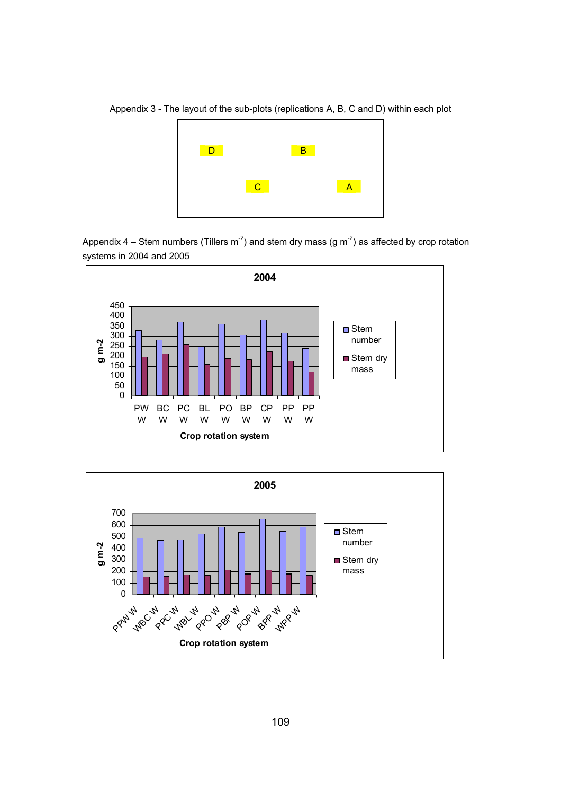Appendix 3 - The layout of the sub-plots (replications A, B, C and D) within each plot



Appendix 4 – Stem numbers (Tillers m<sup>-2</sup>) and stem dry mass (g m<sup>-2</sup>) as affected by crop rotation systems in 2004 and 2005



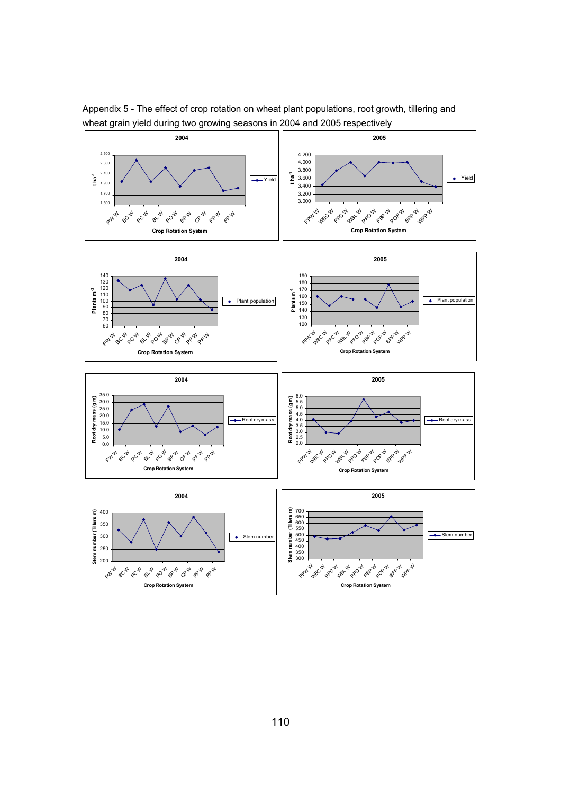

Appendix 5 - The effect of crop rotation on wheat plant populations, root growth, tillering and wheat grain yield during two growing seasons in 2004 and 2005 respectively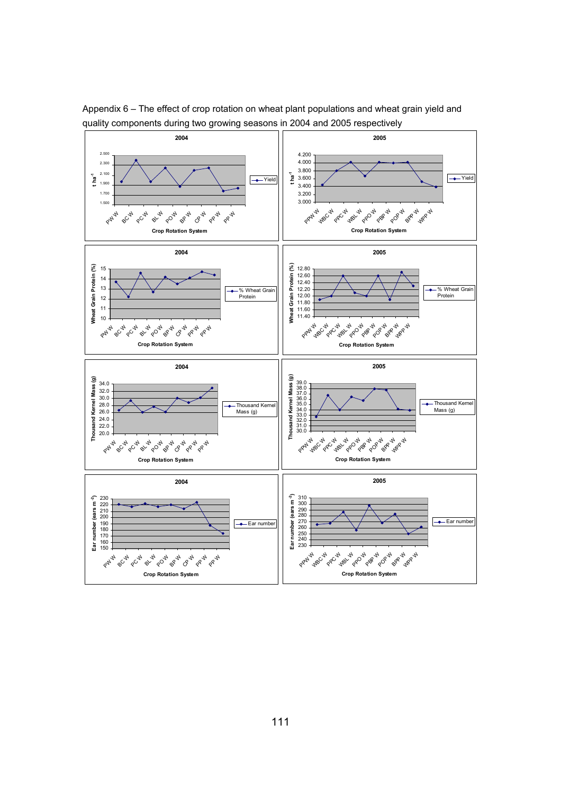

Appendix 6 – The effect of crop rotation on wheat plant populations and wheat grain yield and quality components during two growing seasons in 2004 and 2005 respectively